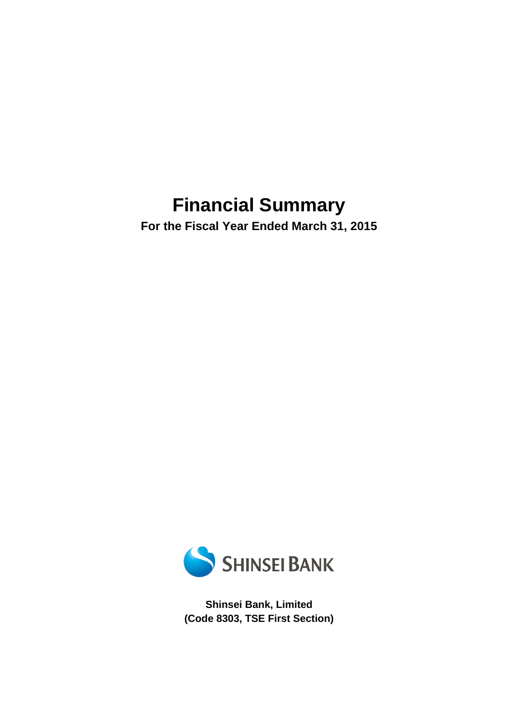# **Financial Summary**

**For the Fiscal Year Ended March 31, 2015** 



**Shinsei Bank, Limited (Code 8303, TSE First Section)**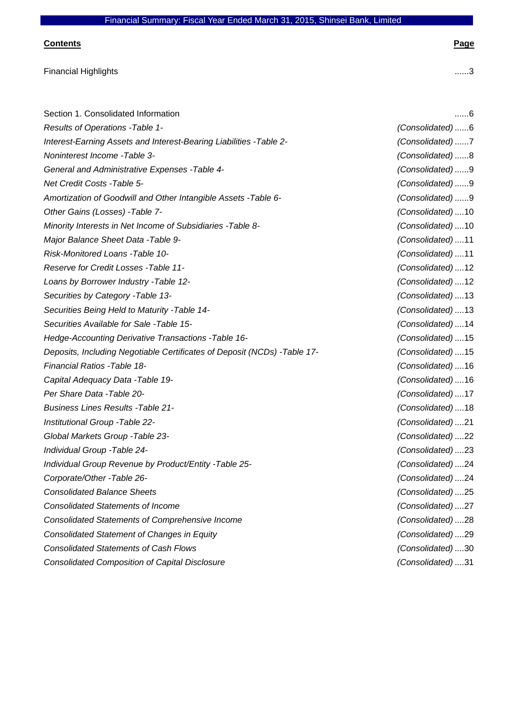#### **Contents Page**

| <b>Financial Highlights</b>                                               | 3                 |
|---------------------------------------------------------------------------|-------------------|
|                                                                           |                   |
| Section 1. Consolidated Information                                       | 6                 |
| Results of Operations - Table 1-                                          | (Consolidated)6   |
| Interest-Earning Assets and Interest-Bearing Liabilities - Table 2-       | (Consolidated)7   |
| Noninterest Income - Table 3-                                             | (Consolidated)8   |
| General and Administrative Expenses - Table 4-                            | (Consolidated)9   |
| Net Credit Costs - Table 5-                                               | (Consolidated)9   |
| Amortization of Goodwill and Other Intangible Assets - Table 6-           | (Consolidated)9   |
| Other Gains (Losses) - Table 7-                                           | (Consolidated) 10 |
| Minority Interests in Net Income of Subsidiaries - Table 8-               | (Consolidated) 10 |
| Major Balance Sheet Data - Table 9-                                       | (Consolidated)11  |
| Risk-Monitored Loans - Table 10-                                          | (Consolidated)11  |
| Reserve for Credit Losses - Table 11-                                     | (Consolidated)12  |
| Loans by Borrower Industry - Table 12-                                    | (Consolidated) 12 |
| Securities by Category - Table 13-                                        | (Consolidated) 13 |
| Securities Being Held to Maturity - Table 14-                             | (Consolidated) 13 |
| Securities Available for Sale -Table 15-                                  | (Consolidated) 14 |
| Hedge-Accounting Derivative Transactions - Table 16-                      | (Consolidated) 15 |
| Deposits, Including Negotiable Certificates of Deposit (NCDs) - Table 17- | (Consolidated) 15 |
| Financial Ratios - Table 18-                                              | (Consolidated) 16 |
| Capital Adequacy Data - Table 19-                                         | (Consolidated) 16 |
| Per Share Data - Table 20-                                                | (Consolidated) 17 |
| <b>Business Lines Results - Table 21-</b>                                 | (Consolidated)18  |
| Institutional Group - Table 22-                                           | (Consolidated)21  |
| Global Markets Group - Table 23-                                          | (Consolidated)22  |
| Individual Group - Table 24-                                              | (Consolidated)23  |
| Individual Group Revenue by Product/Entity - Table 25-                    | (Consolidated)24  |
| Corporate/Other -Table 26-                                                | (Consolidated)24  |
| <b>Consolidated Balance Sheets</b>                                        | (Consolidated)25  |
| <b>Consolidated Statements of Income</b>                                  | (Consolidated)27  |
| <b>Consolidated Statements of Comprehensive Income</b>                    | (Consolidated)28  |
| <b>Consolidated Statement of Changes in Equity</b>                        | (Consolidated)29  |
| <b>Consolidated Statements of Cash Flows</b>                              | (Consolidated)30  |

*Consolidated Composition of Capital Disclosure (Consolidated)* .... 31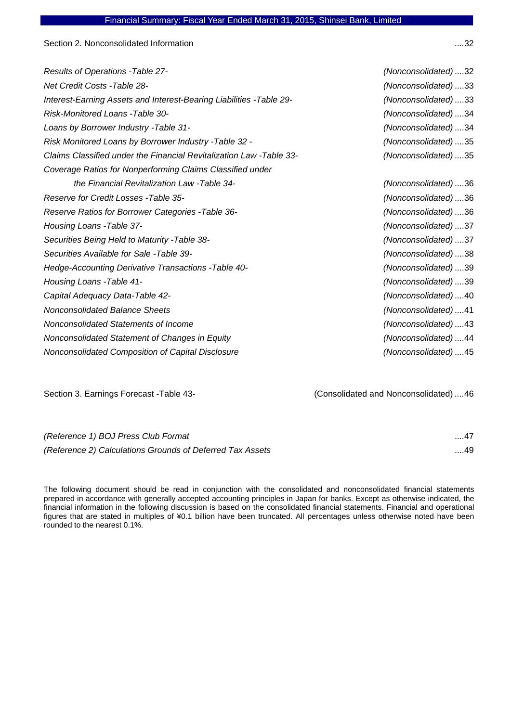Section 2. Nonconsolidated Information .... 32

| <b>Results of Operations - Table 27-</b>                            | (Nonconsolidated)32 |
|---------------------------------------------------------------------|---------------------|
| Net Credit Costs -Table 28-                                         | (Nonconsolidated)33 |
| Interest-Earning Assets and Interest-Bearing Liabilities -Table 29- | (Nonconsolidated)33 |
| Risk-Monitored Loans - Table 30-                                    | (Nonconsolidated)34 |
| Loans by Borrower Industry - Table 31-                              | (Nonconsolidated)34 |
| Risk Monitored Loans by Borrower Industry - Table 32 -              | (Nonconsolidated)35 |
| Claims Classified under the Financial Revitalization Law -Table 33- | (Nonconsolidated)35 |
| Coverage Ratios for Nonperforming Claims Classified under           |                     |
| the Financial Revitalization Law - Table 34-                        | (Nonconsolidated)36 |
| Reserve for Credit Losses - Table 35-                               | (Nonconsolidated)36 |
| Reserve Ratios for Borrower Categories - Table 36-                  | (Nonconsolidated)36 |
| Housing Loans - Table 37-                                           | (Nonconsolidated)37 |
| Securities Being Held to Maturity -Table 38-                        | (Nonconsolidated)37 |
| Securities Available for Sale -Table 39-                            | (Nonconsolidated)38 |
| Hedge-Accounting Derivative Transactions - Table 40-                | (Nonconsolidated)39 |
| Housing Loans - Table 41-                                           | (Nonconsolidated)39 |
| Capital Adequacy Data-Table 42-                                     | (Nonconsolidated)40 |
| <b>Nonconsolidated Balance Sheets</b>                               | (Nonconsolidated)41 |
| Nonconsolidated Statements of Income                                | (Nonconsolidated)43 |
| Nonconsolidated Statement of Changes in Equity                      | (Nonconsolidated)44 |
| Nonconsolidated Composition of Capital Disclosure                   | (Nonconsolidated)45 |
|                                                                     |                     |

Section 3. Earnings Forecast -Table 43- (Consolidated and Nonconsolidated) .... 46

| (Reference 1) BOJ Press Club Format                       | 47 |
|-----------------------------------------------------------|----|
| (Reference 2) Calculations Grounds of Deferred Tax Assets | 49 |

The following document should be read in conjunction with the consolidated and nonconsolidated financial statements prepared in accordance with generally accepted accounting principles in Japan for banks. Except as otherwise indicated, the financial information in the following discussion is based on the consolidated financial statements. Financial and operational figures that are stated in multiples of ¥0.1 billion have been truncated. All percentages unless otherwise noted have been rounded to the nearest 0.1%.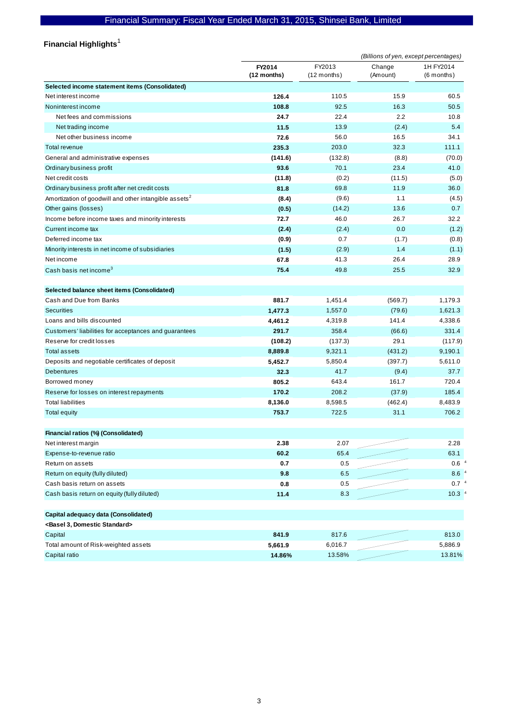#### **Financial Highlights**  1

|                                                                   |                       |                         | (Billions of yen, except percentages) |                           |
|-------------------------------------------------------------------|-----------------------|-------------------------|---------------------------------------|---------------------------|
|                                                                   | FY2014<br>(12 months) | FY2013<br>$(12$ months) | Change<br>(Amount)                    | 1H FY2014<br>$(6$ months) |
| Selected income statement items (Consolidated)                    |                       |                         |                                       |                           |
| Net interest income                                               | 126.4                 | 110.5                   | 15.9                                  | 60.5                      |
| Noninterest income                                                | 108.8                 | 92.5                    | 16.3                                  | 50.5                      |
| Net fees and commissions                                          | 24.7                  | 22.4                    | 2.2                                   | 10.8                      |
| Net trading income                                                | 11.5                  | 13.9                    | (2.4)                                 | 5.4                       |
| Net other business income                                         | 72.6                  | 56.0                    | 16.5                                  | 34.1                      |
| Total revenue                                                     | 235.3                 | 203.0                   | 32.3                                  | 111.1                     |
| General and administrative expenses                               | (141.6)               | (132.8)                 | (8.8)                                 | (70.0)                    |
| Ordinary business profit                                          | 93.6                  | 70.1                    | 23.4                                  | 41.0                      |
| Net credit costs                                                  | (11.8)                | (0.2)                   | (11.5)                                | (5.0)                     |
| Ordinary business profit after net credit costs                   | 81.8                  | 69.8                    | 11.9                                  | 36.0                      |
| Amortization of goodwill and other intangible assets <sup>2</sup> | (8.4)                 | (9.6)                   | 1.1                                   | (4.5)                     |
| Other gains (losses)                                              | (0.5)                 | (14.2)                  | 13.6                                  | 0.7                       |
| Income before income taxes and minority interests                 | 72.7                  | 46.0                    | 26.7                                  | 32.2                      |
| Current income tax                                                | (2.4)                 | (2.4)                   | 0.0                                   | (1.2)                     |
| Deferred income tax                                               | (0.9)                 | 0.7                     | (1.7)                                 | (0.8)                     |
| Minority interests in net income of subsidiaries                  | (1.5)                 | (2.9)                   | 1.4                                   | (1.1)                     |
| Net income                                                        | 67.8                  | 41.3                    | 26.4                                  | 28.9                      |
| Cash basis net income <sup>3</sup>                                | 75.4                  | 49.8                    | 25.5                                  | 32.9                      |
| Selected balance sheet items (Consolidated)                       |                       |                         |                                       |                           |
| Cash and Due from Banks                                           | 881.7                 | 1,451.4                 | (569.7)                               | 1,179.3                   |
| <b>Securities</b>                                                 | 1,477.3               | 1,557.0                 | (79.6)                                | 1,621.3                   |
| Loans and bills discounted                                        | 4,461.2               | 4,319.8                 | 141.4                                 | 4,338.6                   |
| Customers' liabilities for acceptances and guarantees             | 291.7                 | 358.4                   | (66.6)                                | 331.4                     |
| Reserve for credit losses                                         | (108.2)               | (137.3)                 | 29.1                                  | (117.9)                   |
| Total assets                                                      | 8,889.8               | 9,321.1                 | (431.2)                               | 9,190.1                   |
| Deposits and negotiable certificates of deposit                   | 5,452.7               | 5,850.4                 | (397.7)                               | 5,611.0                   |
| <b>Debentures</b>                                                 | 32.3                  | 41.7                    | (9.4)                                 | 37.7                      |
| Borrowed money                                                    | 805.2                 | 643.4                   | 161.7                                 | 720.4                     |
| Reserve for losses on interest repayments                         | 170.2                 | 208.2                   | (37.9)                                | 185.4                     |
| <b>Total liabilities</b>                                          | 8,136.0               | 8,598.5                 | (462.4)                               | 8,483.9                   |
| <b>Total equity</b>                                               | 753.7                 | 722.5                   | 31.1                                  | 706.2                     |
| Financial ratios (%) (Consolidated)                               |                       |                         |                                       |                           |
| Net interest margin                                               | 2.38                  | 2.07                    |                                       | 2.28                      |
| Expense-to-revenue ratio                                          | 60.2                  | 65.4                    |                                       | 63.1                      |
| Return on assets                                                  | 0.7                   | 0.5                     |                                       | 0.6                       |
| Return on equity (fully diluted)                                  | 9.8                   | 6.5                     |                                       | 8.6                       |
| Cash basis return on assets                                       | 0.8                   | 0.5                     |                                       | 0.7 <sup>o</sup>          |
| Cash basis return on equity (fully diluted)                       | 11.4                  | 8.3                     |                                       | 10.3                      |
| Capital adequacy data (Consolidated)                              |                       |                         |                                       |                           |
| <basel 3,="" domestic="" standard=""></basel>                     |                       |                         |                                       |                           |
| Capital                                                           | 841.9                 | 817.6                   |                                       | 813.0                     |
| Total amount of Risk-weighted assets                              | 5,661.9               | 6,016.7                 |                                       | 5,886.9                   |
| Capital ratio                                                     | 14.86%                | 13.58%                  |                                       | 13.81%                    |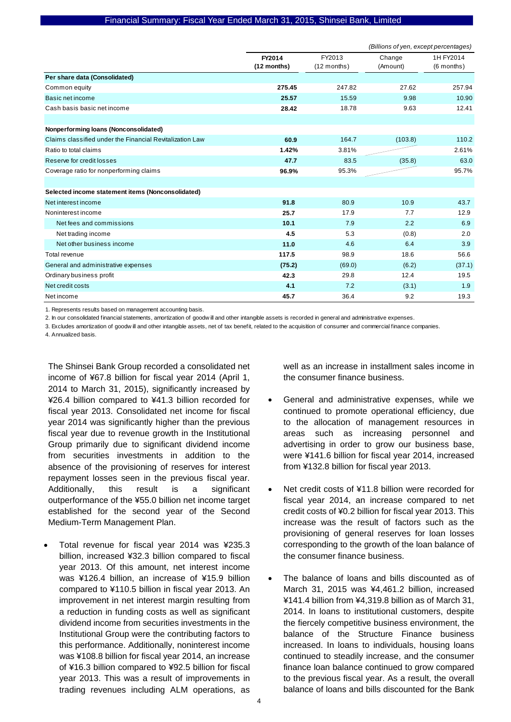|                                                          |                       |                         | (Billions of yen, except percentages) |                         |
|----------------------------------------------------------|-----------------------|-------------------------|---------------------------------------|-------------------------|
|                                                          | FY2014<br>(12 months) | FY2013<br>$(12$ months) | Change<br>(Amount)                    | 1H FY2014<br>(6 months) |
| Per share data (Consolidated)                            |                       |                         |                                       |                         |
| Common equity                                            | 275.45                | 247.82                  | 27.62                                 | 257.94                  |
| Basic net income                                         | 25.57                 | 15.59                   | 9.98                                  | 10.90                   |
| Cash basis basic net income                              | 28.42                 | 18.78                   | 9.63                                  | 12.41                   |
|                                                          |                       |                         |                                       |                         |
| Nonperforming loans (Nonconsolidated)                    |                       |                         |                                       |                         |
| Claims classified under the Financial Revitalization Law | 60.9                  | 164.7                   | (103.8)                               | 110.2                   |
| Ratio to total claims                                    | 1.42%                 | 3.81%                   |                                       | 2.61%                   |
| Reserve for credit losses                                | 47.7                  | 83.5                    | (35.8)                                | 63.0                    |
| Coverage ratio for nonperforming claims                  | 96.9%                 | 95.3%                   |                                       | 95.7%                   |
|                                                          |                       |                         |                                       |                         |
| Selected income statement items (Nonconsolidated)        |                       |                         |                                       |                         |
| Net interest income                                      | 91.8                  | 80.9                    | 10.9                                  | 43.7                    |
| Noninterest income                                       | 25.7                  | 17.9                    | 7.7                                   | 12.9                    |
| Net fees and commissions                                 | 10.1                  | 7.9                     | 2.2                                   | 6.9                     |
| Net trading income                                       | 4.5                   | 5.3                     | (0.8)                                 | 2.0                     |
| Net other business income                                | 11.0                  | 4.6                     | 6.4                                   | 3.9                     |
| Total revenue                                            | 117.5                 | 98.9                    | 18.6                                  | 56.6                    |
| General and administrative expenses                      | (75.2)                | (69.0)                  | (6.2)                                 | (37.1)                  |
| Ordinary business profit                                 | 42.3                  | 29.8                    | 12.4                                  | 19.5                    |
| Net credit costs                                         | 4.1                   | 7.2                     | (3.1)                                 | 1.9                     |
| Net income                                               | 45.7                  | 36.4                    | 9.2                                   | 19.3                    |

1. Represents results based on management accounting basis.

2. In our consolidated financial statements, amortization of goodw ill and other intangible assets is recorded in general and administrative expenses.

3. Excludes amortization of goodw ill and other intangible assets, net of tax benefit, related to the acquisition of consumer and commercial finance companies.

4. Annualized basis.

The Shinsei Bank Group recorded a consolidated net income of ¥67.8 billion for fiscal year 2014 (April 1, 2014 to March 31, 2015), significantly increased by ¥26.4 billion compared to ¥41.3 billion recorded for fiscal year 2013. Consolidated net income for fiscal year 2014 was significantly higher than the previous fiscal year due to revenue growth in the Institutional Group primarily due to significant dividend income from securities investments in addition to the absence of the provisioning of reserves for interest repayment losses seen in the previous fiscal year. Additionally, this result is a significant outperformance of the ¥55.0 billion net income target established for the second year of the Second Medium-Term Management Plan.

 Total revenue for fiscal year 2014 was ¥235.3 billion, increased ¥32.3 billion compared to fiscal year 2013. Of this amount, net interest income was ¥126.4 billion, an increase of ¥15.9 billion compared to ¥110.5 billion in fiscal year 2013. An improvement in net interest margin resulting from a reduction in funding costs as well as significant dividend income from securities investments in the Institutional Group were the contributing factors to this performance. Additionally, noninterest income was ¥108.8 billion for fiscal year 2014, an increase of ¥16.3 billion compared to ¥92.5 billion for fiscal year 2013. This was a result of improvements in trading revenues including ALM operations, as

well as an increase in installment sales income in the consumer finance business.

- General and administrative expenses, while we continued to promote operational efficiency, due to the allocation of management resources in areas such as increasing personnel and advertising in order to grow our business base, were ¥141.6 billion for fiscal year 2014, increased from ¥132.8 billion for fiscal year 2013.
- Net credit costs of ¥11.8 billion were recorded for fiscal year 2014, an increase compared to net credit costs of ¥0.2 billion for fiscal year 2013. This increase was the result of factors such as the provisioning of general reserves for loan losses corresponding to the growth of the loan balance of the consumer finance business.
- The balance of loans and bills discounted as of March 31, 2015 was ¥4,461.2 billion, increased ¥141.4 billion from ¥4,319.8 billion as of March 31, 2014. In loans to institutional customers, despite the fiercely competitive business environment, the balance of the Structure Finance business increased. In loans to individuals, housing loans continued to steadily increase, and the consumer finance loan balance continued to grow compared to the previous fiscal year. As a result, the overall balance of loans and bills discounted for the Bank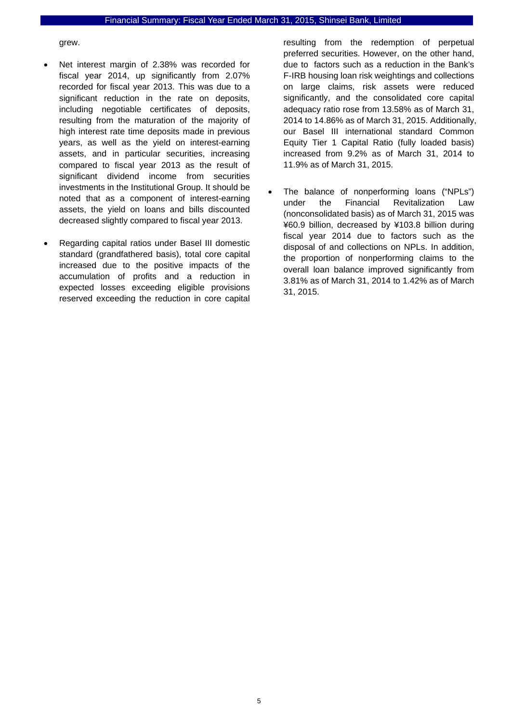grew.

- Net interest margin of 2.38% was recorded for fiscal year 2014, up significantly from 2.07% recorded for fiscal year 2013. This was due to a significant reduction in the rate on deposits, including negotiable certificates of deposits, resulting from the maturation of the majority of high interest rate time deposits made in previous years, as well as the yield on interest-earning assets, and in particular securities, increasing compared to fiscal year 2013 as the result of significant dividend income from securities investments in the Institutional Group. It should be noted that as a component of interest-earning assets, the yield on loans and bills discounted decreased slightly compared to fiscal year 2013.
- Regarding capital ratios under Basel III domestic standard (grandfathered basis), total core capital increased due to the positive impacts of the accumulation of profits and a reduction in expected losses exceeding eligible provisions reserved exceeding the reduction in core capital

resulting from the redemption of perpetual preferred securities. However, on the other hand, due to factors such as a reduction in the Bank's F-IRB housing loan risk weightings and collections on large claims, risk assets were reduced significantly, and the consolidated core capital adequacy ratio rose from 13.58% as of March 31, 2014 to 14.86% as of March 31, 2015. Additionally, our Basel III international standard Common Equity Tier 1 Capital Ratio (fully loaded basis) increased from 9.2% as of March 31, 2014 to 11.9% as of March 31, 2015.

 The balance of nonperforming loans ("NPLs") under the Financial Revitalization Law (nonconsolidated basis) as of March 31, 2015 was ¥60.9 billion, decreased by ¥103.8 billion during fiscal year 2014 due to factors such as the disposal of and collections on NPLs. In addition, the proportion of nonperforming claims to the overall loan balance improved significantly from 3.81% as of March 31, 2014 to 1.42% as of March 31, 2015.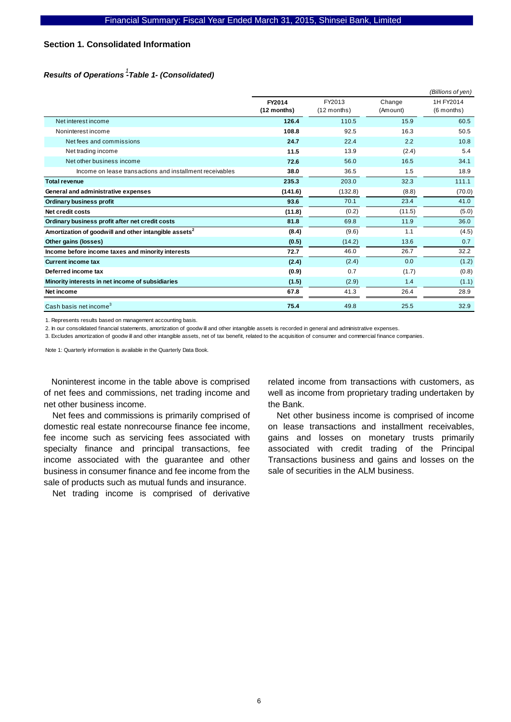## **Section 1. Consolidated Information**

## *Results of Operations -Table 1- (Consolidated) 1*

|                                                                   |                       |                         |                    | (Billions of yen)         |
|-------------------------------------------------------------------|-----------------------|-------------------------|--------------------|---------------------------|
|                                                                   | FY2014<br>(12 months) | FY2013<br>$(12$ months) | Change<br>(Amount) | 1H FY2014<br>$(6$ months) |
| Net interest income                                               | 126.4                 | 110.5                   | 15.9               | 60.5                      |
| Noninterest income                                                | 108.8                 | 92.5                    | 16.3               | 50.5                      |
| Net fees and commissions                                          | 24.7                  | 22.4                    | 2.2                | 10.8                      |
| Net trading income                                                | 11.5                  | 13.9                    | (2.4)              | 5.4                       |
| Net other business income                                         | 72.6                  | 56.0                    | 16.5               | 34.1                      |
| Income on lease transactions and installment receivables          | 38.0                  | 36.5                    | 1.5                | 18.9                      |
| <b>Total revenue</b>                                              | 235.3                 | 203.0                   | 32.3               | 111.1                     |
| General and administrative expenses                               | (141.6)               | (132.8)                 | (8.8)              | (70.0)                    |
| Ordinary business profit                                          | 93.6                  | 70.1                    | 23.4               | 41.0                      |
| Net credit costs                                                  | (11.8)                | (0.2)                   | (11.5)             | (5.0)                     |
| Ordinary business profit after net credit costs                   | 81.8                  | 69.8                    | 11.9               | 36.0                      |
| Amortization of goodwill and other intangible assets <sup>2</sup> | (8.4)                 | (9.6)                   | 1.1                | (4.5)                     |
| Other gains (losses)                                              | (0.5)                 | (14.2)                  | 13.6               | 0.7                       |
| Income before income taxes and minority interests                 | 72.7                  | 46.0                    | 26.7               | 32.2                      |
| <b>Current income tax</b>                                         | (2.4)                 | (2.4)                   | 0.0                | (1.2)                     |
| Deferred income tax                                               | (0.9)                 | 0.7                     | (1.7)              | (0.8)                     |
| Minority interests in net income of subsidiaries                  | (1.5)                 | (2.9)                   | 1.4                | (1.1)                     |
| Net income                                                        | 67.8                  | 41.3                    | 26.4               | 28.9                      |
| Cash basis net income <sup>3</sup>                                | 75.4                  | 49.8                    | 25.5               | 32.9                      |

1. Represents results based on management accounting basis.

2. In our consolidated financial statements, amortization of goodw ill and other intangible assets is recorded in general and administrative expenses.

3. Excludes amortization of goodw ill and other intangible assets, net of tax benefit, related to the acquisition of consumer and commercial finance companies.

Note 1: Quarterly information is available in the Quarterly Data Book.

Noninterest income in the table above is comprised of net fees and commissions, net trading income and net other business income.

Net fees and commissions is primarily comprised of domestic real estate nonrecourse finance fee income, fee income such as servicing fees associated with specialty finance and principal transactions, fee income associated with the guarantee and other business in consumer finance and fee income from the sale of products such as mutual funds and insurance.

Net trading income is comprised of derivative

related income from transactions with customers, as well as income from proprietary trading undertaken by the Bank.

Net other business income is comprised of income on lease transactions and installment receivables, gains and losses on monetary trusts primarily associated with credit trading of the Principal Transactions business and gains and losses on the sale of securities in the ALM business.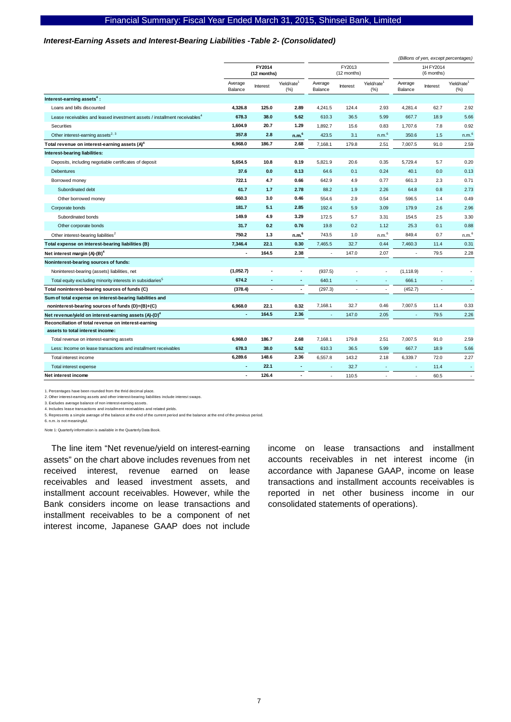#### *Interest-Earning Assets and Interest-Bearing Liabilities -Table 2- (Consolidated)*

|                                                                                       |                    |                       |                                 |                       |                          |                                 |                    |          | (Billions of yen, except percentages) |
|---------------------------------------------------------------------------------------|--------------------|-----------------------|---------------------------------|-----------------------|--------------------------|---------------------------------|--------------------|----------|---------------------------------------|
|                                                                                       |                    | FY2014<br>(12 months) |                                 | FY2013<br>(12 months) |                          | 1H FY2014<br>(6 months)         |                    |          |                                       |
|                                                                                       | Average<br>Balance | Interest              | Yield/rate <sup>1</sup><br>(% ) | Average<br>Balance    | Interest                 | Yield/rate <sup>1</sup><br>(% ) | Average<br>Balance | Interest | Yield/rate <sup>1</sup><br>(% )       |
| Interest-earning assets <sup>4</sup> :                                                |                    |                       |                                 |                       |                          |                                 |                    |          |                                       |
| Loans and bills discounted                                                            | 4,326.8            | 125.0                 | 2.89                            | 4,241.5               | 124.4                    | 2.93                            | 4,281.4            | 62.7     | 2.92                                  |
| Lease receivables and leased investment assets / installment receivables <sup>4</sup> | 678.3              | 38.0                  | 5.62                            | 610.3                 | 36.5                     | 5.99                            | 667.7              | 18.9     | 5.66                                  |
| Securities                                                                            | 1,604.9            | 20.7                  | 1.29                            | 1,892.7               | 15.6                     | 0.83                            | 1,707.6            | 7.8      | 0.92                                  |
| Other interest-earning assets <sup>2, 3</sup>                                         | 357.8              | 2.8                   | n.m. <sup>6</sup>               | 423.5                 | 3.1                      | n.m. <sup>6</sup>               | 350.6              | 1.5      | n.m. <sup>6</sup>                     |
| Total revenue on interest-earning assets (A) <sup>4</sup>                             | 6.968.0            | 186.7                 | 2.68                            | 7,168.1               | 179.8                    | 2.51                            | 7,007.5            | 91.0     | 2.59                                  |
| Interest-bearing liabilities:                                                         |                    |                       |                                 |                       |                          |                                 |                    |          |                                       |
| Deposits, including negotiable certificates of deposit                                | 5,654.5            | 10.8                  | 0.19                            | 5,821.9               | 20.6                     | 0.35                            | 5,729.4            | 5.7      | 0.20                                  |
| <b>Debentures</b>                                                                     | 37.6               | 0.0                   | 0.13                            | 64.6                  | 0.1                      | 0.24                            | 40.1               | 0.0      | 0.13                                  |
| Borrowed money                                                                        | 722.1              | 4.7                   | 0.66                            | 642.9                 | 4.9                      | 0.77                            | 661.3              | 2.3      | 0.71                                  |
| Subordinated debt                                                                     | 61.7               | 1.7                   | 2.78                            | 88.2                  | 1.9                      | 2.26                            | 64.8               | 0.8      | 2.73                                  |
| Other borrowed money                                                                  | 660.3              | 3.0                   | 0.46                            | 554.6                 | 2.9                      | 0.54                            | 596.5              | 1.4      | 0.49                                  |
| Corporate bonds                                                                       | 181.7              | 5.1                   | 2.85                            | 192.4                 | 5.9                      | 3.09                            | 179.9              | 2.6      | 2.96                                  |
| Subordinated bonds                                                                    | 149.9              | 4.9                   | 3.29                            | 172.5                 | 5.7                      | 3.31                            | 154.5              | 2.5      | 3.30                                  |
| Other corporate bonds                                                                 | 31.7               | 0.2                   | 0.76                            | 19.8                  | 0.2                      | 1.12                            | 25.3               | 0.1      | 0.88                                  |
| Other interest-bearing liabilities <sup>2</sup>                                       | 750.2              | 1.3                   | n.m. <sup>6</sup>               | 743.5                 | 1.0                      | n.m. <sup>6</sup>               | 849.4              | 0.7      | n.m. <sup>6</sup>                     |
| Total expense on interest-bearing liabilities (B)                                     | 7,346.4            | 22.1                  | 0.30                            | 7,465.5               | 32.7                     | 0.44                            | 7,460.3            | 11.4     | 0.31                                  |
| Net interest margin (A)-(B) <sup>4</sup>                                              | ÷                  | 164.5                 | 2.38                            | ٠                     | 147.0                    | 2.07                            | ÷.                 | 79.5     | 2.28                                  |
| Noninterest-bearing sources of funds:                                                 |                    |                       |                                 |                       |                          |                                 |                    |          |                                       |
| Noninterest-bearing (assets) liabilities, net                                         | (1,052.7)          |                       | $\ddot{\phantom{0}}$            | (937.5)               |                          | ×,                              | (1, 118.9)         |          |                                       |
| Total equity excluding minority interests in subsidiaries <sup>5</sup>                | 674.2              |                       | $\overline{a}$                  | 640.1                 |                          | ×,                              | 666.1              |          | ×                                     |
| Total noninterest-bearing sources of funds (C)                                        | (378.4)            | $\blacksquare$        | $\blacksquare$                  | (297.3)               | $\overline{\phantom{a}}$ | ×,                              | (452.7)            |          | $\sim$                                |
| Sum of total expense on interest-bearing liabilities and                              |                    |                       |                                 |                       |                          |                                 |                    |          |                                       |
| noninterest-bearing sources of funds (D)=(B)+(C)                                      | 6.968.0            | 22.1                  | 0.32                            | 7,168.1               | 32.7                     | 0.46                            | 7,007.5            | 11.4     | 0.33                                  |
| Net revenue/yield on interest-earning assets (A)-(D) <sup>4</sup>                     | ä,                 | 164.5                 | 2.36                            |                       | 147.0                    | 2.05                            |                    | 79.5     | 2.26                                  |
| Reconciliation of total revenue on interest-earning                                   |                    |                       |                                 |                       |                          |                                 |                    |          |                                       |
| assets to total interest income:                                                      |                    |                       |                                 |                       |                          |                                 |                    |          |                                       |
| Total revenue on interest-earning assets                                              | 6,968.0            | 186.7                 | 2.68                            | 7,168.1               | 179.8                    | 2.51                            | 7,007.5            | 91.0     | 2.59                                  |
| Less: Income on lease transactions and installment receivables                        | 678.3              | 38.0                  | 5.62                            | 610.3                 | 36.5                     | 5.99                            | 667.7              | 18.9     | 5.66                                  |
| Total interest income                                                                 | 6,289.6            | 148.6                 | 2.36                            | 6,557.8               | 143.2                    | 2.18                            | 6,339.7            | 72.0     | 2.27                                  |
| Total interest expense                                                                | $\blacksquare$     | 22.1                  | $\overline{\phantom{a}}$        | ä,                    | 32.7                     | ×,                              | ٠                  | 11.4     | ٠                                     |
| Net interest income                                                                   | $\blacksquare$     | 126.4                 | $\blacksquare$                  | J,                    | 110.5                    | ä,                              | ä,                 | 60.5     |                                       |

1. Percentages have been rounded from the thrid decimal place. 2. Other interest-earning assets and other interest-bearing liabilities include interest swaps.

3. Excludes average balance of non interest-earning assets. 4. Includes lease transactions and installment receivables and related yields.

5. Represents a simple average of the balance at the end of the current period and the balance at the end of the previous period.

6. n.m. is not meaningful.

Note 1: Quarterly information is available in the Quarterly Data Book.

The line item "Net revenue/yield on interest-earning assets" on the chart above includes revenues from net received interest, revenue earned on lease receivables and leased investment assets, and installment account receivables. However, while the Bank considers income on lease transactions and installment receivables to be a component of net interest income, Japanese GAAP does not include

income on lease transactions and installment accounts receivables in net interest income (in accordance with Japanese GAAP, income on lease transactions and installment accounts receivables is reported in net other business income in our consolidated statements of operations).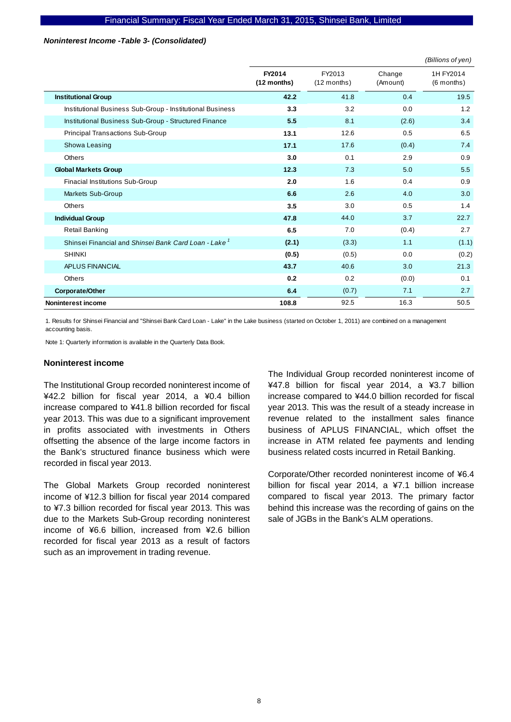#### *Noninterest Income -Table 3- (Consolidated)*

|                                                                  |                       |                         |                    | (Billions of yen)         |
|------------------------------------------------------------------|-----------------------|-------------------------|--------------------|---------------------------|
|                                                                  | FY2014<br>(12 months) | FY2013<br>$(12$ months) | Change<br>(Amount) | 1H FY2014<br>$(6$ months) |
| <b>Institutional Group</b>                                       | 42.2                  | 41.8                    | 0.4                | 19.5                      |
| Institutional Business Sub-Group - Institutional Business        | 3.3                   | 3.2                     | 0.0                | 1.2                       |
| Institutional Business Sub-Group - Structured Finance            | 5.5                   | 8.1                     | (2.6)              | 3.4                       |
| <b>Principal Transactions Sub-Group</b>                          | 13.1                  | 12.6                    | 0.5                | 6.5                       |
| Showa Leasing                                                    | 17.1                  | 17.6                    | (0.4)              | 7.4                       |
| <b>Others</b>                                                    | 3.0                   | 0.1                     | 2.9                | 0.9                       |
| <b>Global Markets Group</b>                                      | 12.3                  | 7.3                     | 5.0                | 5.5                       |
| Finacial Institutions Sub-Group                                  | 2.0                   | 1.6                     | 0.4                | 0.9                       |
| Markets Sub-Group                                                | 6.6                   | 2.6                     | 4.0                | 3.0                       |
| <b>Others</b>                                                    | 3.5                   | 3.0                     | 0.5                | 1.4                       |
| <b>Individual Group</b>                                          | 47.8                  | 44.0                    | 3.7                | 22.7                      |
| <b>Retail Banking</b>                                            | 6.5                   | 7.0                     | (0.4)              | 2.7                       |
| Shinsei Financial and Shinsei Bank Card Loan - Lake <sup>1</sup> | (2.1)                 | (3.3)                   | 1.1                | (1.1)                     |
| <b>SHINKI</b>                                                    | (0.5)                 | (0.5)                   | 0.0                | (0.2)                     |
| <b>APLUS FINANCIAL</b>                                           | 43.7                  | 40.6                    | 3.0                | 21.3                      |
| <b>Others</b>                                                    | 0.2                   | 0.2                     | (0.0)              | 0.1                       |
| Corporate/Other                                                  | 6.4                   | (0.7)                   | 7.1                | 2.7                       |
| Noninterest income                                               | 108.8                 | 92.5                    | 16.3               | 50.5                      |

1. Results for Shinsei Financial and "Shinsei Bank Card Loan - Lake" in the Lake business (started on October 1, 2011) are combined on a management accounting basis.

Note 1: Quarterly information is available in the Quarterly Data Book.

#### **Noninterest income**

The Institutional Group recorded noninterest income of ¥42.2 billion for fiscal year 2014, a ¥0.4 billion increase compared to ¥41.8 billion recorded for fiscal year 2013. This was due to a significant improvement in profits associated with investments in Others offsetting the absence of the large income factors in the Bank's structured finance business which were recorded in fiscal year 2013.

The Global Markets Group recorded noninterest income of ¥12.3 billion for fiscal year 2014 compared to ¥7.3 billion recorded for fiscal year 2013. This was due to the Markets Sub-Group recording noninterest income of ¥6.6 billion, increased from ¥2.6 billion recorded for fiscal year 2013 as a result of factors such as an improvement in trading revenue.

The Individual Group recorded noninterest income of ¥47.8 billion for fiscal year 2014, a ¥3.7 billion increase compared to ¥44.0 billion recorded for fiscal year 2013. This was the result of a steady increase in revenue related to the installment sales finance business of APLUS FINANCIAL, which offset the increase in ATM related fee payments and lending business related costs incurred in Retail Banking.

Corporate/Other recorded noninterest income of ¥6.4 billion for fiscal year 2014, a ¥7.1 billion increase compared to fiscal year 2013. The primary factor behind this increase was the recording of gains on the sale of JGBs in the Bank's ALM operations.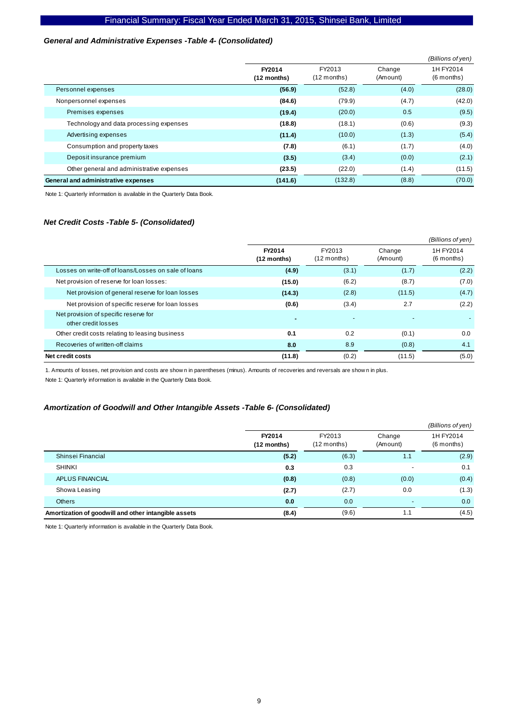#### *General and Administrative Expenses -Table 4- (Consolidated)*

|                                           |                         |                         |                    | (Billions of yen)         |
|-------------------------------------------|-------------------------|-------------------------|--------------------|---------------------------|
|                                           | FY2014<br>$(12$ months) | FY2013<br>$(12$ months) | Change<br>(Amount) | 1H FY2014<br>$(6$ months) |
| Personnel expenses                        | (56.9)                  | (52.8)                  | (4.0)              | (28.0)                    |
| Nonpersonnel expenses                     | (84.6)                  | (79.9)                  | (4.7)              | (42.0)                    |
| Premises expenses                         | (19.4)                  | (20.0)                  | 0.5                | (9.5)                     |
| Technology and data processing expenses   | (18.8)                  | (18.1)                  | (0.6)              | (9.3)                     |
| Advertising expenses                      | (11.4)                  | (10.0)                  | (1.3)              | (5.4)                     |
| Consumption and property taxes            | (7.8)                   | (6.1)                   | (1.7)              | (4.0)                     |
| Deposit insurance premium                 | (3.5)                   | (3.4)                   | (0.0)              | (2.1)                     |
| Other general and administrative expenses | (23.5)                  | (22.0)                  | (1.4)              | (11.5)                    |
| General and administrative expenses       | (141.6)                 | (132.8)                 | (8.8)              | (70.0)                    |

Note 1: Quarterly information is available in the Quarterly Data Book.

#### *Net Credit Costs -Table 5- (Consolidated)*

|                                                              |                          |                         |                    | (Billions of yen)         |
|--------------------------------------------------------------|--------------------------|-------------------------|--------------------|---------------------------|
|                                                              | FY2014<br>(12 months)    | FY2013<br>$(12$ months) | Change<br>(Amount) | 1H FY2014<br>$(6$ months) |
| Losses on write-off of loans/Losses on sale of loans         | (4.9)                    | (3.1)                   | (1.7)              | (2.2)                     |
| Net provision of reserve for loan losses:                    | (15.0)                   | (6.2)                   | (8.7)              | (7.0)                     |
| Net provision of general reserve for loan losses             | (14.3)                   | (2.8)                   | (11.5)             | (4.7)                     |
| Net provision of specific reserve for loan losses            | (0.6)                    | (3.4)                   | 2.7                | (2.2)                     |
| Net provision of specific reserve for<br>other credit losses | $\overline{\phantom{a}}$ |                         |                    |                           |
| Other credit costs relating to leasing business              | 0.1                      | 0.2                     | (0.1)              | 0.0                       |
| Recoveries of written-off claims                             | 8.0                      | 8.9                     | (0.8)              | 4.1                       |
| Net credit costs                                             | (11.8)                   | (0.2)                   | (11.5)             | (5.0)                     |

1. Amounts of losses, net provision and costs are show n in parentheses (minus). Amounts of recoveries and reversals are show n in plus.

Note 1: Quarterly information is available in the Quarterly Data Book.

#### *Amortization of Goodwill and Other Intangible Assets -Table 6- (Consolidated)*

|                                                      |                         |                         |                          | (Billions of yen)       |
|------------------------------------------------------|-------------------------|-------------------------|--------------------------|-------------------------|
|                                                      | FY2014<br>$(12$ months) | FY2013<br>$(12$ months) | Change<br>(Amount)       | 1H FY2014<br>(6 months) |
| Shinsei Financial                                    | (5.2)                   | (6.3)                   | 1.1                      | (2.9)                   |
| <b>SHINKI</b>                                        | 0.3                     | 0.3                     |                          | 0.1                     |
| APLUS FINANCIAL                                      | (0.8)                   | (0.8)                   | (0.0)                    | (0.4)                   |
| Showa Leasing                                        | (2.7)                   | (2.7)                   | 0.0                      | (1.3)                   |
| Others                                               | 0.0                     | 0.0                     | $\overline{\phantom{0}}$ | 0.0                     |
| Amortization of goodwill and other intangible assets | (8.4)                   | (9.6)                   | 1.1                      | (4.5)                   |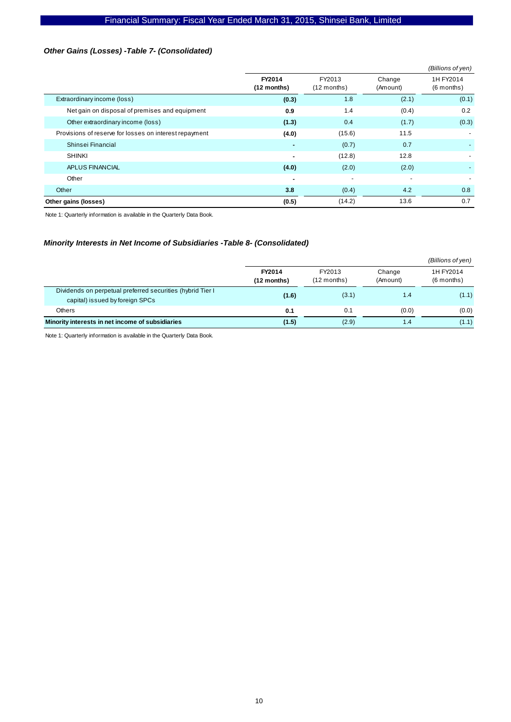## *Other Gains (Losses) -Table 7- (Consolidated)*

|                                                        |                       |                          |                          | (Billions of yen)         |
|--------------------------------------------------------|-----------------------|--------------------------|--------------------------|---------------------------|
|                                                        | FY2014<br>(12 months) | FY2013<br>$(12$ months)  | Change<br>(Amount)       | 1H FY2014<br>$(6$ months) |
| Extraordinary income (loss)                            | (0.3)                 | 1.8                      | (2.1)                    | (0.1)                     |
| Net gain on disposal of premises and equipment         | 0.9                   | 1.4                      | (0.4)                    | 0.2                       |
| Other extraordinary income (loss)                      | (1.3)                 | 0.4                      | (1.7)                    | (0.3)                     |
| Provisions of reserve for losses on interest repayment | (4.0)                 | (15.6)                   | 11.5                     |                           |
| Shinsei Financial                                      |                       | (0.7)                    | 0.7                      |                           |
| <b>SHINKI</b>                                          | $\blacksquare$        | (12.8)                   | 12.8                     |                           |
| APLUS FINANCIAL                                        | (4.0)                 | (2.0)                    | (2.0)                    |                           |
| Other                                                  | ٠                     | $\overline{\phantom{a}}$ | $\overline{\phantom{a}}$ |                           |
| Other                                                  | 3.8                   | (0.4)                    | 4.2                      | 0.8                       |
| Other gains (losses)                                   | (0.5)                 | (14.2)                   | 13.6                     | 0.7                       |

Note 1: Quarterly information is available in the Quarterly Data Book.

#### *Minority Interests in Net Income of Subsidiaries -Table 8- (Consolidated)*

|                                                                                                |                       |                         |                    | (Billions of yen)         |
|------------------------------------------------------------------------------------------------|-----------------------|-------------------------|--------------------|---------------------------|
|                                                                                                | FY2014<br>(12 months) | FY2013<br>$(12$ months) | Change<br>(Amount) | 1H FY2014<br>$(6$ months) |
| Dividends on perpetual preferred securities (hybrid Tier I)<br>capital) issued by foreign SPCs | (1.6)                 | (3.1)                   | 1.4                | (1.1)                     |
| Others                                                                                         | 0.1                   | 0.1                     | (0.0)              | (0.0)                     |
| Minority interests in net income of subsidiaries                                               | (1.5)                 | (2.9)                   | 1.4                | (1.1)                     |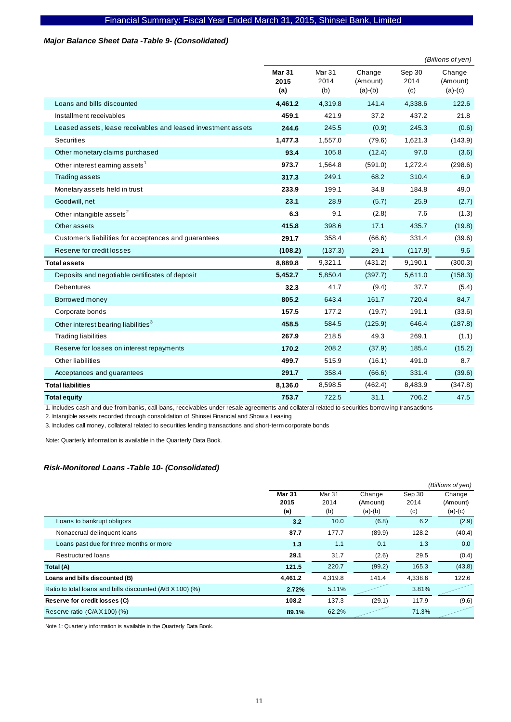#### *Major Balance Sheet Data -Table 9- (Consolidated)*

|                                                               |                              |                                  |                                 |                       | (Billions of yen)               |
|---------------------------------------------------------------|------------------------------|----------------------------------|---------------------------------|-----------------------|---------------------------------|
|                                                               | <b>Mar 31</b><br>2015<br>(a) | Mar <sub>31</sub><br>2014<br>(b) | Change<br>(Amount)<br>$(a)-(b)$ | Sep 30<br>2014<br>(c) | Change<br>(Amount)<br>$(a)-(c)$ |
| Loans and bills discounted                                    | 4,461.2                      | 4,319.8                          | 141.4                           | 4,338.6               | 122.6                           |
| Installment receivables                                       | 459.1                        | 421.9                            | 37.2                            | 437.2                 | 21.8                            |
| Leased assets, lease receivables and leased investment assets | 244.6                        | 245.5                            | (0.9)                           | 245.3                 | (0.6)                           |
| Securities                                                    | 1,477.3                      | 1,557.0                          | (79.6)                          | 1,621.3               | (143.9)                         |
| Other monetary claims purchased                               | 93.4                         | 105.8                            | (12.4)                          | 97.0                  | (3.6)                           |
| Other interest earning assets <sup>1</sup>                    | 973.7                        | 1,564.8                          | (591.0)                         | 1,272.4               | (298.6)                         |
| Trading assets                                                | 317.3                        | 249.1                            | 68.2                            | 310.4                 | 6.9                             |
| Monetary assets held in trust                                 | 233.9                        | 199.1                            | 34.8                            | 184.8                 | 49.0                            |
| Goodwill, net                                                 | 23.1                         | 28.9                             | (5.7)                           | 25.9                  | (2.7)                           |
| Other intangible assets <sup>2</sup>                          | 6.3                          | 9.1                              | (2.8)                           | 7.6                   | (1.3)                           |
| Other assets                                                  | 415.8                        | 398.6                            | 17.1                            | 435.7                 | (19.8)                          |
| Customer's liabilities for acceptances and guarantees         | 291.7                        | 358.4                            | (66.6)                          | 331.4                 | (39.6)                          |
| Reserve for credit losses                                     | (108.2)                      | (137.3)                          | 29.1                            | (117.9)               | 9.6                             |
| <b>Total assets</b>                                           | 8,889.8                      | 9,321.1                          | (431.2)                         | 9,190.1               | (300.3)                         |
| Deposits and negotiable certificates of deposit               | 5,452.7                      | 5,850.4                          | (397.7)                         | 5,611.0               | (158.3)                         |
| <b>Debentures</b>                                             | 32.3                         | 41.7                             | (9.4)                           | 37.7                  | (5.4)                           |
| Borrowed money                                                | 805.2                        | 643.4                            | 161.7                           | 720.4                 | 84.7                            |
| Corporate bonds                                               | 157.5                        | 177.2                            | (19.7)                          | 191.1                 | (33.6)                          |
| Other interest bearing liabilities <sup>3</sup>               | 458.5                        | 584.5                            | (125.9)                         | 646.4                 | (187.8)                         |
| <b>Trading liabilities</b>                                    | 267.9                        | 218.5                            | 49.3                            | 269.1                 | (1.1)                           |
| Reserve for losses on interest repayments                     | 170.2                        | 208.2                            | (37.9)                          | 185.4                 | (15.2)                          |
| Other liabilities                                             | 499.7                        | 515.9                            | (16.1)                          | 491.0                 | 8.7                             |
| Acceptances and guarantees                                    | 291.7                        | 358.4                            | (66.6)                          | 331.4                 | (39.6)                          |
| <b>Total liabilities</b>                                      | 8,136.0                      | 8,598.5                          | (462.4)                         | 8,483.9               | (347.8)                         |
| <b>Total equity</b>                                           | 753.7                        | 722.5                            | 31.1                            | 706.2                 | 47.5                            |

1. Includes cash and due from banks, call loans, receivables under resale agreements and collateral related to securities borrow ing transactions

2. Intangible assets recorded through consolidation of Shinsei Financial and Show a Leasing

3. Includes call money, collateral related to securities lending transactions and short-term corporate bonds

Note: Quarterly information is available in the Quarterly Data Book.

#### *Risk-Monitored Loans -Table 10- (Consolidated)*

|                                                           |               |         |           |         | (Billions of yen) |
|-----------------------------------------------------------|---------------|---------|-----------|---------|-------------------|
|                                                           | <b>Mar 31</b> | Mar 31  | Change    | Sep 30  | Change            |
|                                                           | 2015          | 2014    | (Amount)  | 2014    | (Amount)          |
|                                                           | (a)           | (b)     | $(a)-(b)$ | (c)     | $(a)-(c)$         |
| Loans to bankrupt obligors                                | 3.2           | 10.0    | (6.8)     | 6.2     | (2.9)             |
| Nonaccrual delinquent loans                               | 87.7          | 177.7   | (89.9)    | 128.2   | (40.4)            |
| Loans past due for three months or more                   | 1.3           | 1.1     | 0.1       | 1.3     | 0.0               |
| <b>Restructured loans</b>                                 | 29.1          | 31.7    | (2.6)     | 29.5    | (0.4)             |
| Total (A)                                                 | 121.5         | 220.7   | (99.2)    | 165.3   | (43.8)            |
| Loans and bills discounted (B)                            | 4.461.2       | 4.319.8 | 141.4     | 4,338.6 | 122.6             |
| Ratio to total loans and bills discounted (A/B X 100) (%) | 2.72%         | 5.11%   |           | 3.81%   |                   |
| Reserve for credit losses (C)                             | 108.2         | 137.3   | (29.1)    | 117.9   | (9.6)             |
| Reserve ratio $(C/A X 100)(%$                             | 89.1%         | 62.2%   |           | 71.3%   |                   |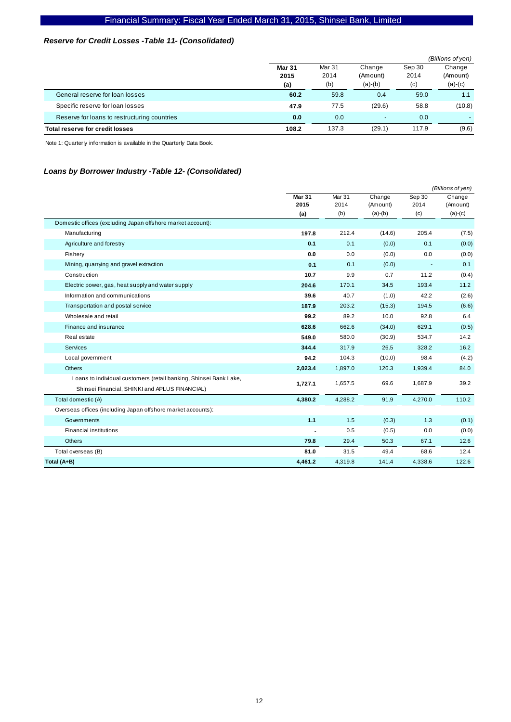## *Reserve for Credit Losses -Table 11- (Consolidated)*

|                                              |               |        |                          |        | (Billions of yen) |
|----------------------------------------------|---------------|--------|--------------------------|--------|-------------------|
|                                              | <b>Mar 31</b> | Mar 31 | Change                   | Sep 30 | Change            |
|                                              | 2015          | 2014   | (Amount)                 | 2014   | (Amount)          |
|                                              | (a)           | (b)    | $(a)-(b)$                | (c)    | $(a)-(c)$         |
| General reserve for loan losses              | 60.2          | 59.8   | 0.4                      | 59.0   | 1.1               |
| Specific reserve for loan losses             | 47.9          | 77.5   | (29.6)                   | 58.8   | (10.8)            |
| Reserve for loans to restructuring countries | 0.0           | 0.0    | $\overline{\phantom{a}}$ | 0.0    |                   |
| Total reserve for credit losses              | 108.2         | 137.3  | (29.1)                   | 117.9  | (9.6)             |

Note 1: Quarterly information is available in the Quarterly Data Book.

#### *Loans by Borrower Industry -Table 12- (Consolidated)*

|                                                                   | (Billions of yen)     |                |                    |                |                    |  |
|-------------------------------------------------------------------|-----------------------|----------------|--------------------|----------------|--------------------|--|
|                                                                   | <b>Mar 31</b><br>2015 | Mar 31<br>2014 | Change<br>(Amount) | Sep 30<br>2014 | Change<br>(Amount) |  |
|                                                                   | (a)                   | (b)            | $(a)-(b)$          | (c)            | $(a)-(c)$          |  |
| Domestic offices (excluding Japan offshore market account):       |                       |                |                    |                |                    |  |
| Manufacturing                                                     | 197.8                 | 212.4          | (14.6)             | 205.4          | (7.5)              |  |
| Agriculture and forestry                                          | 0.1                   | 0.1            | (0.0)              | 0.1            | (0.0)              |  |
| Fishery                                                           | 0.0                   | 0.0            | (0.0)              | 0.0            | (0.0)              |  |
| Mining, quarrying and gravel extraction                           | 0.1                   | 0.1            | (0.0)              |                | 0.1                |  |
| Construction                                                      | 10.7                  | 9.9            | 0.7                | 11.2           | (0.4)              |  |
| Electric power, gas, heat supply and water supply                 | 204.6                 | 170.1          | 34.5               | 193.4          | 11.2               |  |
| Information and communications                                    | 39.6                  | 40.7           | (1.0)              | 42.2           | (2.6)              |  |
| Transportation and postal service                                 | 187.9                 | 203.2          | (15.3)             | 194.5          | (6.6)              |  |
| Wholesale and retail                                              | 99.2                  | 89.2           | 10.0               | 92.8           | 6.4                |  |
| Finance and insurance                                             | 628.6                 | 662.6          | (34.0)             | 629.1          | (0.5)              |  |
| Real estate                                                       | 549.0                 | 580.0          | (30.9)             | 534.7          | 14.2               |  |
| <b>Services</b>                                                   | 344.4                 | 317.9          | 26.5               | 328.2          | 16.2               |  |
| Local government                                                  | 94.2                  | 104.3          | (10.0)             | 98.4           | (4.2)              |  |
| <b>Others</b>                                                     | 2,023.4               | 1,897.0        | 126.3              | 1,939.4        | 84.0               |  |
| Loans to individual customers (retail banking, Shinsei Bank Lake, | 1,727.1               | 1,657.5        | 69.6               | 1.687.9        | 39.2               |  |
| Shinsei Financial, SHINKI and APLUS FINANCIAL)                    |                       |                |                    |                |                    |  |
| Total domestic (A)                                                | 4,380.2               | 4,288.2        | 91.9               | 4,270.0        | 110.2              |  |
| Overseas offices (including Japan offshore market accounts):      |                       |                |                    |                |                    |  |
| Governments                                                       | 1.1                   | 1.5            | (0.3)              | 1.3            | (0.1)              |  |
| <b>Financial institutions</b>                                     |                       | 0.5            | (0.5)              | 0.0            | (0.0)              |  |
| <b>Others</b>                                                     | 79.8                  | 29.4           | 50.3               | 67.1           | 12.6               |  |
| Total overseas (B)                                                | 81.0                  | 31.5           | 49.4               | 68.6           | 12.4               |  |
| Total (A+B)                                                       | 4,461.2               | 4,319.8        | 141.4              | 4,338.6        | 122.6              |  |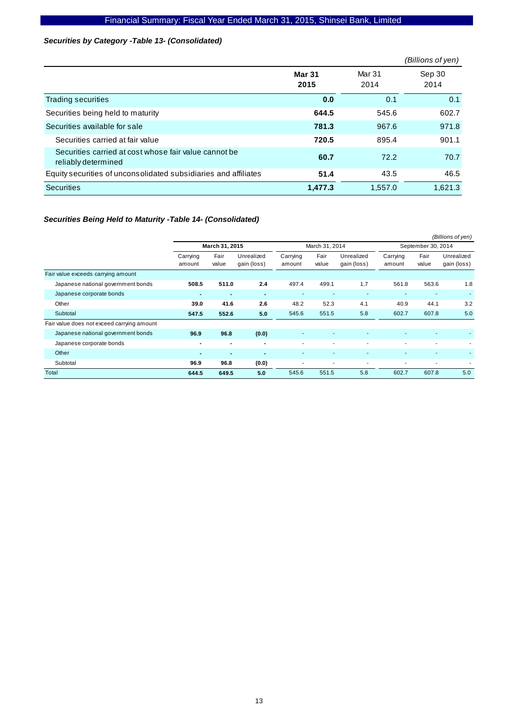### *Securities by Category -Table 13- (Consolidated)*

|                                                                              |                       |                | (Billions of yen) |
|------------------------------------------------------------------------------|-----------------------|----------------|-------------------|
|                                                                              | <b>Mar 31</b><br>2015 | Mar 31<br>2014 | Sep 30<br>2014    |
| Trading securities                                                           | 0.0                   | 0.1            | 0.1               |
| Securities being held to maturity                                            | 644.5                 | 545.6          | 602.7             |
| Securities available for sale                                                | 781.3                 | 967.6          | 971.8             |
| Securities carried at fair value                                             | 720.5                 | 895.4          | 901.1             |
| Securities carried at cost whose fair value cannot be<br>reliably determined | 60.7                  | 72.2           | 70.7              |
| Equity securities of unconsolidated subsidiaries and affiliates              | 51.4                  | 43.5           | 46.5              |
| Securities                                                                   | 1,477.3               | 1,557.0        | 1,621.3           |

## *Securities Being Held to Maturity -Table 14- (Consolidated)*

|                                            |                    |                |                           |                    |                          |                           |                          |                | (Billions of yen)         |
|--------------------------------------------|--------------------|----------------|---------------------------|--------------------|--------------------------|---------------------------|--------------------------|----------------|---------------------------|
|                                            |                    | March 31, 2015 |                           |                    | March 31, 2014           |                           | September 30, 2014       |                |                           |
|                                            | Carrying<br>amount | Fair<br>value  | Unrealized<br>gain (loss) | Carrying<br>amount | Fair<br>value            | Unrealized<br>gain (loss) | Carrying<br>amount       | Fair<br>value  | Unrealized<br>gain (loss) |
| Fair value exceeds carrying amount         |                    |                |                           |                    |                          |                           |                          |                |                           |
| Japanese national government bonds         | 508.5              | 511.0          | 2.4                       | 497.4              | 499.1                    | 1.7                       | 561.8                    | 563.6          | 1.8                       |
| Japanese corporate bonds                   | $\blacksquare$     | $\blacksquare$ | $\overline{\phantom{a}}$  | ۰                  |                          |                           |                          |                |                           |
| Other                                      | 39.0               | 41.6           | 2.6                       | 48.2               | 52.3                     | 4.1                       | 40.9                     | 44.1           | 3.2                       |
| Subtotal                                   | 547.5              | 552.6          | 5.0                       | 545.6              | 551.5                    | 5.8                       | 602.7                    | 607.8          | 5.0                       |
| Fair value does not exceed carrying amount |                    |                |                           |                    |                          |                           |                          |                |                           |
| Japanese national government bonds         | 96.9               | 96.8           | (0.0)                     |                    |                          |                           |                          |                |                           |
| Japanese corporate bonds                   | $\blacksquare$     | $\blacksquare$ | $\blacksquare$            | ٠                  | $\overline{\phantom{a}}$ | ٠                         | $\overline{\phantom{a}}$ | $\blacksquare$ | ۰                         |
| Other                                      | $\blacksquare$     | $\blacksquare$ | $\blacksquare$            |                    | $\overline{\phantom{a}}$ |                           |                          |                |                           |
| Subtotal                                   | 96.9               | 96.8           | (0.0)                     | ٠                  | $\blacksquare$           | ٠                         |                          | $\blacksquare$ |                           |
| Total                                      | 644.5              | 649.5          | 5.0                       | 545.6              | 551.5                    | 5.8                       | 602.7                    | 607.8          | 5.0                       |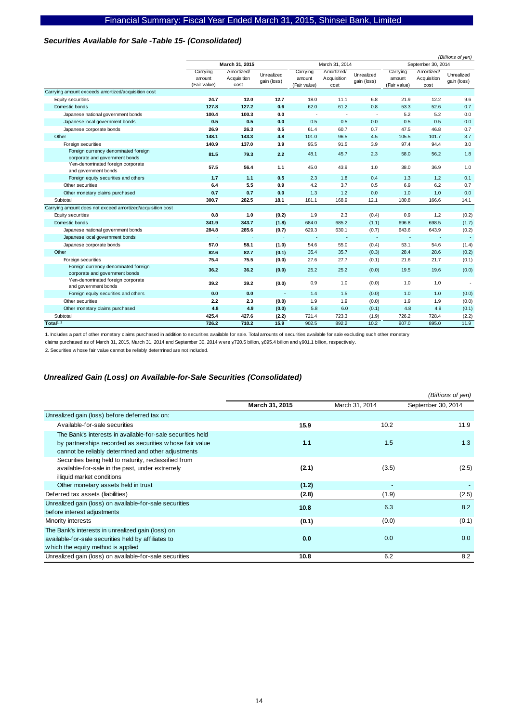#### *Securities Available for Sale -Table 15- (Consolidated)*

|                                                                        |                                    |                                   |                           |                                    |                                   |                           |                                    |                                   | (Billions of yen)         |
|------------------------------------------------------------------------|------------------------------------|-----------------------------------|---------------------------|------------------------------------|-----------------------------------|---------------------------|------------------------------------|-----------------------------------|---------------------------|
|                                                                        |                                    | March 31, 2015                    |                           |                                    | March 31, 2014                    |                           |                                    | September 30, 2014                |                           |
|                                                                        | Carrying<br>amount<br>(Fair value) | Amortized/<br>Acquisition<br>cost | Unrealized<br>gain (loss) | Carrying<br>amount<br>(Fair value) | Amortized/<br>Acquisition<br>cost | Unrealized<br>gain (loss) | Carrying<br>amount<br>(Fair value) | Amortized/<br>Acquisition<br>cost | Unrealized<br>gain (loss) |
| Carrying amount exceeds amortized/acquisition cost                     |                                    |                                   |                           |                                    |                                   |                           |                                    |                                   |                           |
| Equity securities                                                      | 24.7                               | 12.0                              | 12.7                      | 18.0                               | 11.1                              | 6.8                       | 21.9                               | 12.2                              | 9.6                       |
| Domestic bonds                                                         | 127.8                              | 127.2                             | 0.6                       | 62.0                               | 61.2                              | 0.8                       | 53.3                               | 52.6                              | 0.7                       |
| Japanese national government bonds                                     | 100.4                              | 100.3                             | 0.0                       | ÷,                                 | $\overline{\phantom{a}}$          | ÷,                        | 5.2                                | 5.2                               | 0.0                       |
| Japanese local government bonds                                        | 0.5                                | 0.5                               | 0.0                       | 0.5                                | 0.5                               | 0.0                       | 0.5                                | 0.5                               | 0.0                       |
| Japanese corporate bonds                                               | 26.9                               | 26.3                              | 0.5                       | 61.4                               | 60.7                              | 0.7                       | 47.5                               | 46.8                              | 0.7                       |
| Other                                                                  | 148.1                              | 143.3                             | 4.8                       | 101.0                              | 96.5                              | 4.5                       | 105.5                              | 101.7                             | 3.7                       |
| Foreign securities                                                     | 140.9                              | 137.0                             | 3.9                       | 95.5                               | 91.5                              | 3.9                       | 97.4                               | 94.4                              | 3.0                       |
| Foreign currency denominated foreign<br>corporate and government bonds | 81.5                               | 79.3                              | 2.2                       | 48.1                               | 45.7                              | 2.3                       | 58.0                               | 56.2                              | 1.8                       |
| Yen-denominated foreign corporate<br>and government bonds              | 57.5                               | 56.4                              | 1.1                       | 45.0                               | 43.9                              | 1.0                       | 38.0                               | 36.9                              | 1.0                       |
| Foreign equity securities and others                                   | 1.7                                | 1.1                               | 0.5                       | 2.3                                | 1.8                               | 0.4                       | 1.3                                | 1.2                               | 0.1                       |
| Other securities                                                       | 6.4                                | 5.5                               | 0.9                       | 4.2                                | 3.7                               | 0.5                       | 6.9                                | 6.2                               | 0.7                       |
| Other monetary claims purchased                                        | 0.7                                | 0.7                               | 0.0                       | 1.3                                | 1.2                               | 0.0                       | 1.0                                | 1.0                               | 0.0                       |
| Subtotal                                                               | 300.7                              | 282.5                             | 18.1                      | 181.1                              | 168.9                             | 12.1                      | 180.8                              | 166.6                             | 14.1                      |
| Carrying amount does not exceed amortized/acquisition cost             |                                    |                                   |                           |                                    |                                   |                           |                                    |                                   |                           |
| Equity securities                                                      | 0.8                                | 1.0                               | (0.2)                     | 1.9                                | 2.3                               | (0.4)                     | 0.9                                | 1.2                               | (0.2)                     |
| Domestic bonds                                                         | 341.9                              | 343.7                             | (1.8)                     | 684.0                              | 685.2                             | (1.1)                     | 696.8                              | 698.5                             | (1.7)                     |
| Japanese national government bonds                                     | 284.8                              | 285.6                             | (0.7)                     | 629.3                              | 630.1                             | (0.7)                     | 643.6                              | 643.9                             | (0.2)                     |
| Japanese local government bonds                                        |                                    |                                   | $\overline{\phantom{a}}$  | ٠.                                 | $\overline{\phantom{a}}$          | ٠.                        | ٠.                                 | $\sim$                            | $\sim$                    |
| Japanese corporate bonds                                               | 57.0                               | 58.1                              | (1.0)                     | 54.6                               | 55.0                              | (0.4)                     | 53.1                               | 54.6                              | (1.4)                     |
| Other                                                                  | 82.6                               | 82.7                              | (0.1)                     | 35.4                               | 35.7                              | (0.3)                     | 28.4                               | 28.6                              | (0.2)                     |
| Foreign securities                                                     | 75.4                               | 75.5                              | (0.0)                     | 27.6                               | 27.7                              | (0.1)                     | 21.6                               | 21.7                              | (0.1)                     |
| Foreign currency denominated foreign<br>corporate and government bonds | 36.2                               | 36.2                              | (0.0)                     | 25.2                               | 25.2                              | (0.0)                     | 19.5                               | 19.6                              | (0.0)                     |
| Yen-denominated foreign corporate<br>and government bonds              | 39.2                               | 39.2                              | (0.0)                     | 0.9                                | 1.0                               | (0.0)                     | 1.0                                | 1.0                               | $\sim$                    |
| Foreign equity securities and others                                   | 0.0                                | 0.0                               |                           | 1.4                                | 1.5                               | (0.0)                     | 1.0                                | 1.0                               | (0.0)                     |
| Other securities                                                       | 2.2                                | 2.3                               | (0.0)                     | 1.9                                | 1.9                               | (0.0)                     | 1.9                                | 1.9                               | (0.0)                     |
| Other monetary claims purchased                                        | 4.8                                | 4.9                               | (0.0)                     | 5.8                                | 6.0                               | (0.1)                     | 4.8                                | 4.9                               | (0.1)                     |
| Subtotal                                                               | 425.4                              | 427.6                             | (2.2)                     | 721.4                              | 723.3                             | (1.9)                     | 726.2                              | 728.4                             | (2.2)                     |
| Total <sup>1, 2</sup>                                                  | 726.2                              | 710.2                             | 15.9                      | 902.5                              | 892.2                             | 10.2                      | 907.0                              | 895.0                             | 11.9                      |

1. Includes a part of other monetary claims purchased in addition to securities available for sale. Total amounts of securities available for sale excluding such other monetary

claims purchased as of March 31, 2015, March 31, 2014 and September 30, 2014 w ere ¥720.5 billion,  $\frac{1}{8}$ 895.4 billion and ¥901.1 billion, respectively.

2. Securities w hose fair value cannot be reliably determined are not included.

#### *Unrealized Gain (Loss) on Available-for-Sale Securities (Consolidated)*

|                                                                                                                                                                              |                |                | (Billions of yen)  |
|------------------------------------------------------------------------------------------------------------------------------------------------------------------------------|----------------|----------------|--------------------|
|                                                                                                                                                                              | March 31, 2015 | March 31, 2014 | September 30, 2014 |
| Unrealized gain (loss) before deferred tax on:                                                                                                                               |                |                |                    |
| Available-for-sale securities                                                                                                                                                | 15.9           | 10.2           | 11.9               |
| The Bank's interests in available-for-sale securities held<br>by partnerships recorded as securities whose fair value<br>cannot be reliably determined and other adjustments | 1.1            | 1.5            | 1.3                |
| Securities being held to maturity, reclassified from<br>available-for-sale in the past, under extremely<br>illiquid market conditions                                        | (2.1)          | (3.5)          | (2.5)              |
| Other monetary assets held in trust                                                                                                                                          | (1.2)          |                |                    |
| Deferred tax assets (liabilities)                                                                                                                                            | (2.8)          | (1.9)          | (2.5)              |
| Unrealized gain (loss) on available-for-sale securities<br>before interest adjustments                                                                                       | 10.8           | 6.3            | 8.2                |
| Minority interests                                                                                                                                                           | (0.1)          | (0.0)          | (0.1)              |
| The Bank's interests in unrealized gain (loss) on<br>available-for-sale securities held by affiliates to<br>w hich the equity method is applied                              | 0.0            | 0.0            | 0.0                |
| Unrealized gain (loss) on available-for-sale securities                                                                                                                      | 10.8           | 6.2            | 8.2                |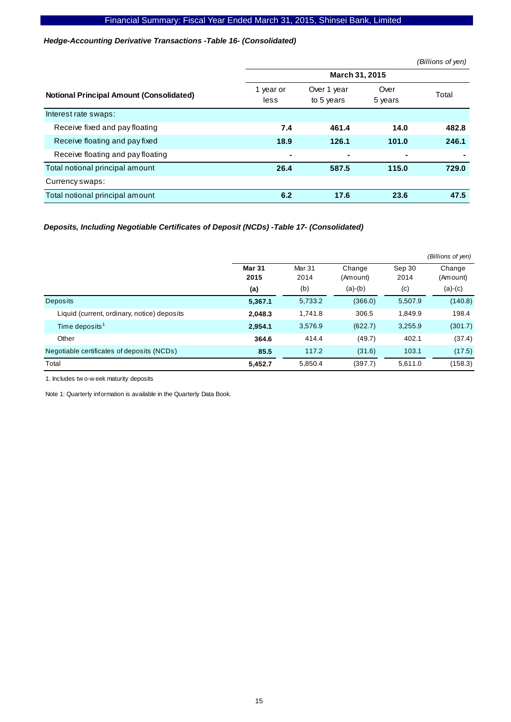#### *Hedge-Accounting Derivative Transactions -Table 16- (Consolidated)*

|                                                 |                   |                           |                 | (Billions of yen) |
|-------------------------------------------------|-------------------|---------------------------|-----------------|-------------------|
|                                                 |                   | March 31, 2015            |                 |                   |
| <b>Notional Principal Amount (Consolidated)</b> | 1 year or<br>less | Over 1 year<br>to 5 years | Over<br>5 years | Total             |
| Interest rate swaps:                            |                   |                           |                 |                   |
| Receive fixed and pay floating                  | 7.4               | 461.4                     | 14.0            | 482.8             |
| Receive floating and pay fixed                  | 18.9              | 126.1                     | 101.0           | 246.1             |
| Receive floating and pay floating               | $\blacksquare$    | ۰                         | $\blacksquare$  |                   |
| Total notional principal amount                 | 26.4              | 587.5                     | 115.0           | 729.0             |
| Currency swaps:                                 |                   |                           |                 |                   |
| Total notional principal amount                 | 6.2               | 17.6                      | 23.6            | 47.5              |

## *Deposits, Including Negotiable Certificates of Deposit (NCDs) -Table 17- (Consolidated)*

|                                             |                       |                |                    |                | (Billions of yen)  |
|---------------------------------------------|-----------------------|----------------|--------------------|----------------|--------------------|
|                                             | <b>Mar 31</b><br>2015 | Mar 31<br>2014 | Change<br>(Amount) | Sep 30<br>2014 | Change<br>(Amount) |
|                                             | (a)                   | (b)            | $(a)-(b)$          | (c)            | $(a)-(c)$          |
| <b>Deposits</b>                             | 5,367.1               | 5,733.2        | (366.0)            | 5,507.9        | (140.8)            |
| Liquid (current, ordinary, notice) deposits | 2,048.3               | 1,741.8        | 306.5              | 1,849.9        | 198.4              |
| Time deposits <sup>1</sup>                  | 2,954.1               | 3,576.9        | (622.7)            | 3,255.9        | (301.7)            |
| Other                                       | 364.6                 | 414.4          | (49.7)             | 402.1          | (37.4)             |
| Negotiable certificates of deposits (NCDs)  | 85.5                  | 117.2          | (31.6)             | 103.1          | (17.5)             |
| Total                                       | 5,452.7               | 5,850.4        | (397.7)            | 5,611.0        | (158.3)            |

1. Includes tw o-w eek maturity deposits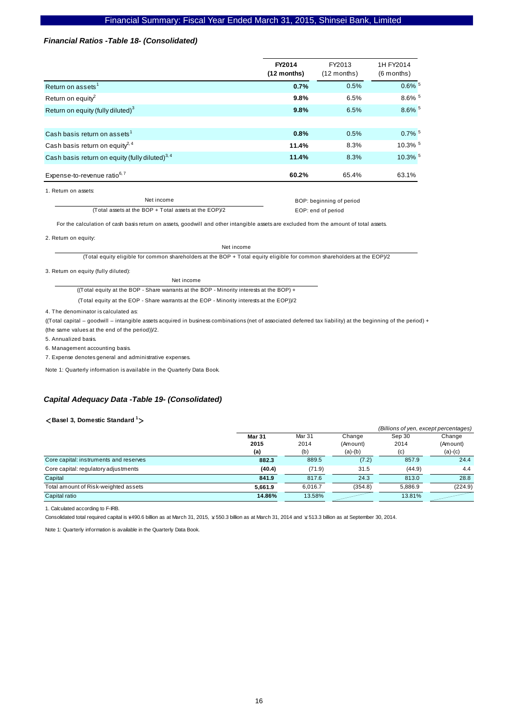#### *Financial Ratios -Table 18- (Consolidated)*

| FY2014<br>(12 months) | FY2013<br>$(12$ months) | 1H FY2014<br>$(6$ months) |
|-----------------------|-------------------------|---------------------------|
| 0.7%                  | 0.5%                    | $0.6\%$ <sup>5</sup>      |
| 9.8%                  | 6.5%                    | $8.6\%$ <sup>5</sup>      |
| 9.8%                  | 6.5%                    | 8.6% 5                    |
|                       |                         |                           |
| 0.8%                  | 0.5%                    | $0.7\%$ <sup>5</sup>      |
| 11.4%                 | 8.3%                    | 10.3% 5                   |
| 11.4%                 | 8.3%                    | 10.3% 5                   |
| 60.2%                 | 65.4%                   | 63.1%                     |
|                       |                         |                           |

1. Return on assets:

Net income (Total assets at the BOP + Total assets at the EOP)/2  BOP: beginning of period EOP: end of period

For the calculation of cash basis return on assets, goodwill and other intangible assets are excluded from the amount of total assets.

2. Return on equity:

Net income

(Total equity eligible for common shareholders at the BOP + Total equity eligible for common shareholders at the EOP)/2

3. Return on equity (fully diluted):

Net income ((Total equity at the BOP - Share warrants at the BOP - Minority interests at the BOP) +

(Total equity at the EOP - Share warrants at the EOP - Minority interests at the EOP))/2

4. The denominator is calculated as:

((Total capital – goodwill – intangible assets acquired in business combinations (net of associated deferred tax liability) at the beginning of the period) + (the same values at the end of the period))/2.

5. Annualized basis.

6. Management accounting basis.

7. Expense denotes general and administrative expenses.

Note 1: Quarterly information is available in the Quarterly Data Book.

#### *Capital Adequacy Data -Table 19- (Consolidated)*

#### <**Basel 3, Domestic Standard 1**>

|                                        |         |         |           | (Billions of yen, except percentages) |           |
|----------------------------------------|---------|---------|-----------|---------------------------------------|-----------|
|                                        | Mar 31  | Mar 31  | Change    | Sep 30                                | Change    |
|                                        | 2015    | 2014    | (Amount)  | 2014                                  | (Amount)  |
|                                        | (a)     | (b)     | $(a)-(b)$ | (c)                                   | $(a)-(c)$ |
| Core capital: instruments and reserves | 882.3   | 889.5   | (7.2)     | 857.9                                 | 24.4      |
| Core capital: regulatory adjustments   | (40.4)  | (71.9)  | 31.5      | (44.9)                                | 4.4       |
| Capital                                | 841.9   | 817.6   | 24.3      | 813.0                                 | 28.8      |
| Total amount of Risk-weighted assets   | 5.661.9 | 6,016.7 | (354.8)   | 5.886.9                               | (224.9)   |
| Capital ratio                          | 14.86%  | 13.58%  |           | 13.81%                                |           |

1. Calculated according to F-IRB.

Consolidated total required capital is ¥490.6 billion as at March 31, 2015, ¥550.3 billion as at March 31, 2014 and ¥513.3 billion as at September 30, 2014.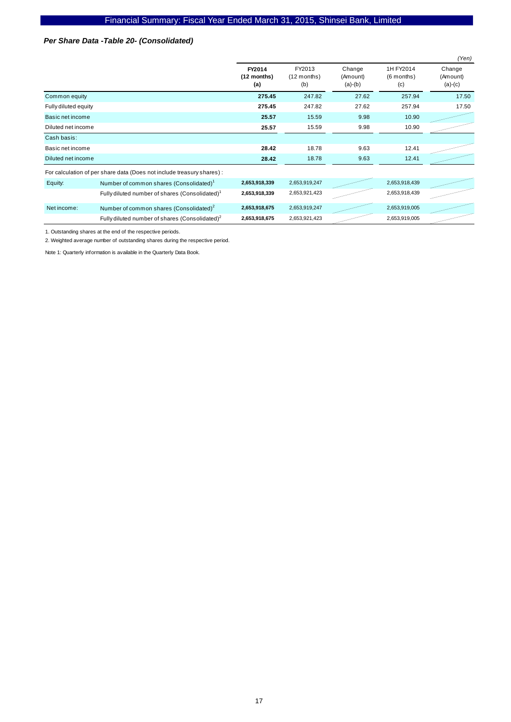#### *Per Share Data -Table 20- (Consolidated)*

|                      |                                                                        |                              |                                |                                 |                                  | (Yen)                           |
|----------------------|------------------------------------------------------------------------|------------------------------|--------------------------------|---------------------------------|----------------------------------|---------------------------------|
|                      |                                                                        | FY2014<br>(12 months)<br>(a) | FY2013<br>$(12$ months)<br>(b) | Change<br>(Amount)<br>$(a)-(b)$ | 1H FY2014<br>$(6$ months)<br>(c) | Change<br>(Amount)<br>$(a)-(c)$ |
| Common equity        |                                                                        | 275.45                       | 247.82                         | 27.62                           | 257.94                           | 17.50                           |
| Fully diluted equity |                                                                        | 275.45                       | 247.82                         | 27.62                           | 257.94                           | 17.50                           |
| Basic net income     |                                                                        | 25.57                        | 15.59                          | 9.98                            | 10.90                            |                                 |
| Diluted net income   |                                                                        | 25.57                        | 15.59                          | 9.98                            | 10.90                            |                                 |
| Cash basis:          |                                                                        |                              |                                |                                 |                                  |                                 |
| Basic net income     |                                                                        | 28.42                        | 18.78                          | 9.63                            | 12.41                            |                                 |
| Diluted net income   |                                                                        | 28.42                        | 18.78                          | 9.63                            | 12.41                            |                                 |
|                      | For calculation of per share data (Does not include treasury shares) : |                              |                                |                                 |                                  |                                 |
| Equity:              | Number of common shares (Consolidated) <sup>1</sup>                    | 2,653,918,339                | 2,653,919,247                  |                                 | 2,653,918,439                    |                                 |
|                      | Fully diluted number of shares (Consolidated) <sup>1</sup>             | 2,653,918,339                | 2,653,921,423                  |                                 | 2,653,918,439                    |                                 |
| Net income:          | Number of common shares (Consolidated) <sup>2</sup>                    | 2,653,918,675                | 2,653,919,247                  |                                 | 2,653,919,005                    |                                 |
|                      | Fully diluted number of shares (Consolidated) <sup>2</sup>             | 2,653,918,675                | 2,653,921,423                  |                                 | 2,653,919,005                    |                                 |

1. Outstanding shares at the end of the respective periods.

2. Weighted average number of outstanding shares during the respective period.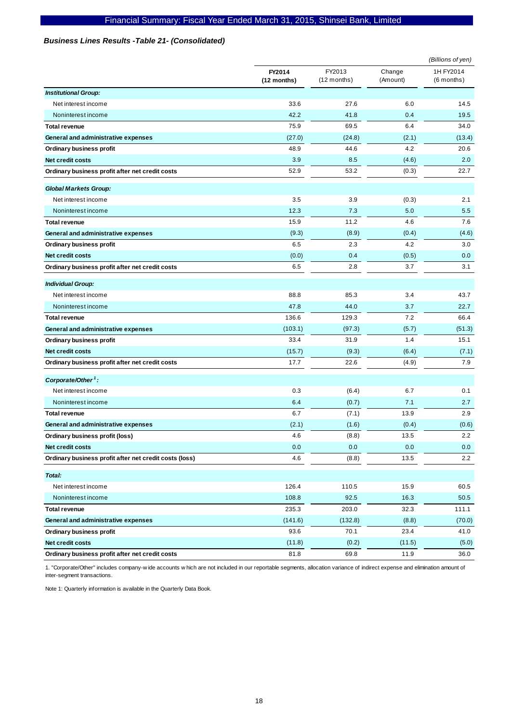#### *Business Lines Results -Table 21- (Consolidated)*

|                                                        |                         |                         |                    | (Billions of yen)         |
|--------------------------------------------------------|-------------------------|-------------------------|--------------------|---------------------------|
|                                                        | FY2014<br>$(12$ months) | FY2013<br>$(12$ months) | Change<br>(Amount) | 1H FY2014<br>$(6$ months) |
| <b>Institutional Group:</b>                            |                         |                         |                    |                           |
| Net interest income                                    | 33.6                    | 27.6                    | 6.0                | 14.5                      |
| Noninterest income                                     | 42.2                    | 41.8                    | 0.4                | 19.5                      |
| <b>Total revenue</b>                                   | 75.9                    | 69.5                    | 6.4                | 34.0                      |
| General and administrative expenses                    | (27.0)                  | (24.8)                  | (2.1)              | (13.4)                    |
| Ordinary business profit                               | 48.9                    | 44.6                    | 4.2                | 20.6                      |
| Net credit costs                                       | 3.9                     | 8.5                     | (4.6)              | 2.0                       |
| Ordinary business profit after net credit costs        | 52.9                    | 53.2                    | (0.3)              | 22.7                      |
| <b>Global Markets Group:</b>                           |                         |                         |                    |                           |
| Net interest income                                    | 3.5                     | 3.9                     | (0.3)              | 2.1                       |
| Noninterest income                                     | 12.3                    | 7.3                     | 5.0                | 5.5                       |
| <b>Total revenue</b>                                   | 15.9                    | 11.2                    | 4.6                | 7.6                       |
| General and administrative expenses                    | (9.3)                   | (8.9)                   | (0.4)              | (4.6)                     |
| <b>Ordinary business profit</b>                        | 6.5                     | 2.3                     | 4.2                | 3.0                       |
| Net credit costs                                       | (0.0)                   | 0.4                     | (0.5)              | 0.0                       |
| Ordinary business profit after net credit costs        | 6.5                     | 2.8                     | 3.7                | 3.1                       |
| <b>Individual Group:</b>                               |                         |                         |                    |                           |
| Net interest income                                    | 88.8                    | 85.3                    | 3.4                | 43.7                      |
| Noninterest income                                     | 47.8                    | 44.0                    | 3.7                | 22.7                      |
| <b>Total revenue</b>                                   | 136.6                   | 129.3                   | 7.2                | 66.4                      |
| General and administrative expenses                    | (103.1)                 | (97.3)                  | (5.7)              | (51.3)                    |
| Ordinary business profit                               | 33.4                    | 31.9                    | 1.4                | 15.1                      |
| Net credit costs                                       | (15.7)                  | (9.3)                   | (6.4)              | (7.1)                     |
| Ordinary business profit after net credit costs        | 17.7                    | 22.6                    | (4.9)              | 7.9                       |
| Corporate/Other <sup>1</sup> :                         |                         |                         |                    |                           |
| Net interest income                                    | 0.3                     | (6.4)                   | 6.7                | 0.1                       |
| Noninterest income                                     | 6.4                     | (0.7)                   | 7.1                | 2.7                       |
| <b>Total revenue</b>                                   | 6.7                     | (7.1)                   | 13.9               | 2.9                       |
| General and administrative expenses                    | (2.1)                   | (1.6)                   | (0.4)              | (0.6)                     |
| Ordinary business profit (loss)                        | 4.6                     | (8.8)                   | 13.5               | 2.2                       |
| <b>Net credit costs</b>                                | 0.0                     | $0.0\,$                 | 0.0                | 0.0                       |
| Ordinary business profit after net credit costs (loss) | 4.6                     | (8.8)                   | 13.5               | 2.2                       |
| Total:                                                 |                         |                         |                    |                           |
| Net interest income                                    | 126.4                   | 110.5                   | 15.9               | 60.5                      |
| Noninterest income                                     | 108.8                   | 92.5                    | 16.3               | 50.5                      |
| <b>Total revenue</b>                                   | 235.3                   | 203.0                   | 32.3               | 111.1                     |
| General and administrative expenses                    | (141.6)                 | (132.8)                 | (8.8)              | (70.0)                    |
| Ordinary business profit                               | 93.6                    | 70.1                    | 23.4               | 41.0                      |
| Net credit costs                                       | (11.8)                  | (0.2)                   | (11.5)             | (5.0)                     |
| Ordinary business profit after net credit costs        | 81.8                    | 69.8                    | 11.9               | 36.0                      |

1. "Corporate/Other" includes company-w ide accounts w hich are not included in our reportable segments, allocation variance of indirect expense and elimination amount of inter-segment transactions.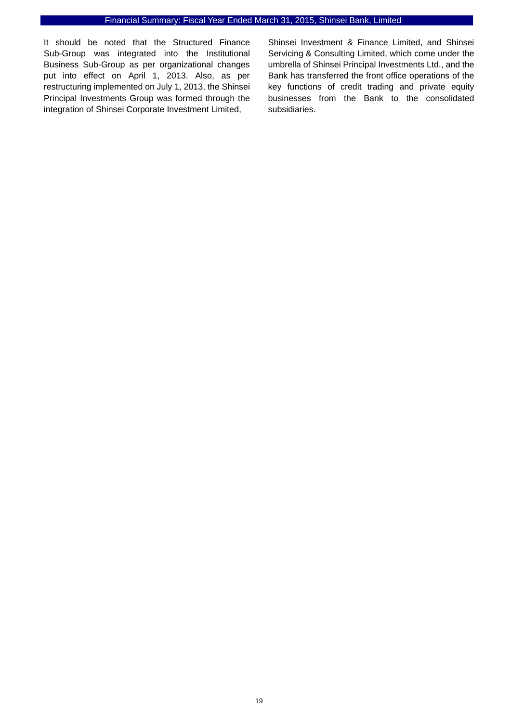It should be noted that the Structured Finance Sub-Group was integrated into the Institutional Business Sub-Group as per organizational changes put into effect on April 1, 2013. Also, as per restructuring implemented on July 1, 2013, the Shinsei Principal Investments Group was formed through the integration of Shinsei Corporate Investment Limited,

Shinsei Investment & Finance Limited, and Shinsei Servicing & Consulting Limited, which come under the umbrella of Shinsei Principal Investments Ltd., and the Bank has transferred the front office operations of the key functions of credit trading and private equity businesses from the Bank to the consolidated subsidiaries.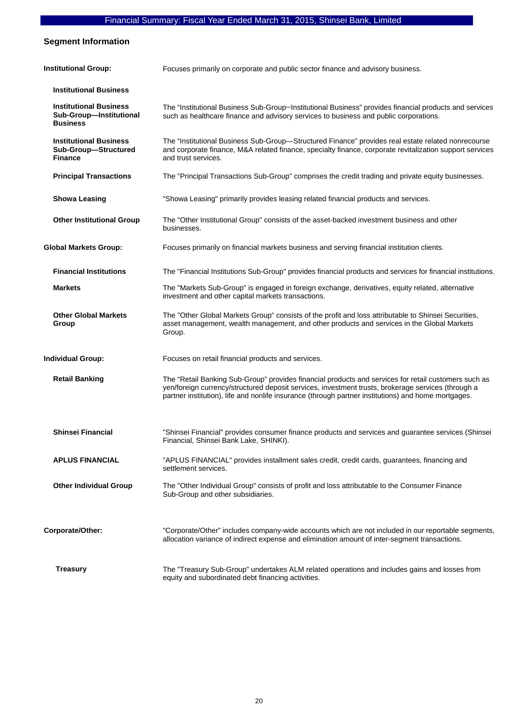#### **Segment Information**

| <b>Institutional Group:</b>                                                 | Focuses primarily on corporate and public sector finance and advisory business.                                                                                                                                                                                                                                   |
|-----------------------------------------------------------------------------|-------------------------------------------------------------------------------------------------------------------------------------------------------------------------------------------------------------------------------------------------------------------------------------------------------------------|
| <b>Institutional Business</b>                                               |                                                                                                                                                                                                                                                                                                                   |
| <b>Institutional Business</b><br>Sub-Group-Institutional<br><b>Business</b> | The "Institutional Business Sub-Group-Institutional Business" provides financial products and services<br>such as healthcare finance and advisory services to business and public corporations.                                                                                                                   |
| <b>Institutional Business</b><br>Sub-Group-Structured<br><b>Finance</b>     | The "Institutional Business Sub-Group—Structured Finance" provides real estate related nonrecourse<br>and corporate finance, M&A related finance, specialty finance, corporate revitalization support services<br>and trust services.                                                                             |
| <b>Principal Transactions</b>                                               | The "Principal Transactions Sub-Group" comprises the credit trading and private equity businesses.                                                                                                                                                                                                                |
| <b>Showa Leasing</b>                                                        | "Showa Leasing" primarily provides leasing related financial products and services.                                                                                                                                                                                                                               |
| <b>Other Institutional Group</b>                                            | The "Other Institutional Group" consists of the asset-backed investment business and other<br>businesses.                                                                                                                                                                                                         |
| <b>Global Markets Group:</b>                                                | Focuses primarily on financial markets business and serving financial institution clients.                                                                                                                                                                                                                        |
| <b>Financial Institutions</b>                                               | The "Financial Institutions Sub-Group" provides financial products and services for financial institutions.                                                                                                                                                                                                       |
| <b>Markets</b>                                                              | The "Markets Sub-Group" is engaged in foreign exchange, derivatives, equity related, alternative<br>investment and other capital markets transactions.                                                                                                                                                            |
| <b>Other Global Markets</b><br>Group                                        | The "Other Global Markets Group" consists of the profit and loss attributable to Shinsei Securities,<br>asset management, wealth management, and other products and services in the Global Markets<br>Group.                                                                                                      |
| <b>Individual Group:</b>                                                    | Focuses on retail financial products and services.                                                                                                                                                                                                                                                                |
| <b>Retail Banking</b>                                                       | The "Retail Banking Sub-Group" provides financial products and services for retail customers such as<br>yen/foreign currency/structured deposit services, investment trusts, brokerage services (through a<br>partner institution), life and nonlife insurance (through partner institutions) and home mortgages. |
| <b>Shinsei Financial</b>                                                    | "Shinsei Financial" provides consumer finance products and services and guarantee services (Shinsei<br>Financial, Shinsei Bank Lake, SHINKI).                                                                                                                                                                     |
| <b>APLUS FINANCIAL</b>                                                      | "APLUS FINANCIAL" provides installment sales credit, credit cards, guarantees, financing and<br>settlement services.                                                                                                                                                                                              |
| <b>Other Individual Group</b>                                               | The "Other Individual Group" consists of profit and loss attributable to the Consumer Finance<br>Sub-Group and other subsidiaries.                                                                                                                                                                                |
| Corporate/Other:                                                            | "Corporate/Other" includes company-wide accounts which are not included in our reportable segments,<br>allocation variance of indirect expense and elimination amount of inter-segment transactions.                                                                                                              |
| <b>Treasury</b>                                                             | The "Treasury Sub-Group" undertakes ALM related operations and includes gains and losses from<br>equity and subordinated debt financing activities.                                                                                                                                                               |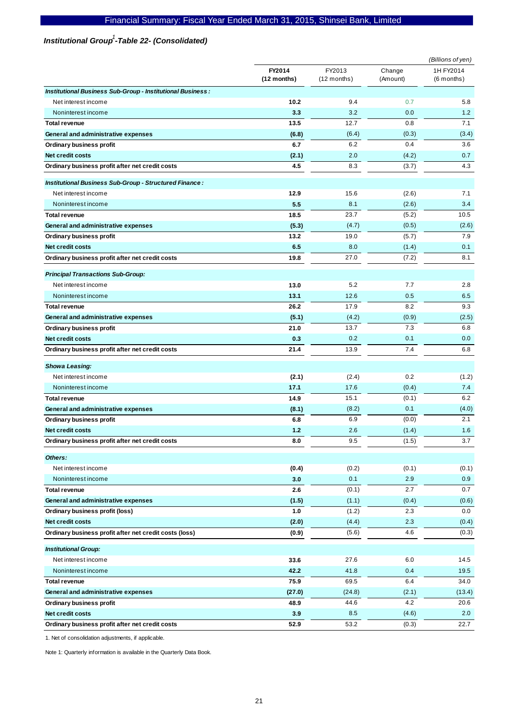## Institutional Group<sup>1</sup>-Table 22- (Consolidated)

|                                                            |                       |                         | (Billions of yen)  |                           |
|------------------------------------------------------------|-----------------------|-------------------------|--------------------|---------------------------|
|                                                            | FY2014<br>(12 months) | FY2013<br>$(12$ months) | Change<br>(Amount) | 1H FY2014<br>$(6$ months) |
| Institutional Business Sub-Group - Institutional Business: |                       |                         |                    |                           |
| Net interest income                                        | 10.2                  | 9.4                     | 0.7                | 5.8                       |
| Noninterest income                                         | 3.3                   | 3.2                     | 0.0                | 1.2                       |
| <b>Total revenue</b>                                       | 13.5                  | 12.7                    | 0.8                | 7.1                       |
| General and administrative expenses                        | (6.8)                 | (6.4)                   | (0.3)              | (3.4)                     |
| <b>Ordinary business profit</b>                            | 6.7                   | 6.2                     | 0.4                | 3.6                       |
| Net credit costs                                           | (2.1)                 | 2.0                     | (4.2)              | 0.7                       |
| Ordinary business profit after net credit costs            | 4.5                   | 8.3                     | (3.7)              | 4.3                       |
| Institutional Business Sub-Group - Structured Finance:     |                       |                         |                    |                           |
| Net interest income                                        | 12.9                  | 15.6                    | (2.6)              | 7.1                       |
| Noninterest income                                         | 5.5                   | 8.1                     | (2.6)              | 3.4                       |
| <b>Total revenue</b>                                       | 18.5                  | 23.7                    | (5.2)              | 10.5                      |
| General and administrative expenses                        | (5.3)                 | (4.7)                   | (0.5)              | (2.6)                     |
| Ordinary business profit                                   | 13.2                  | 19.0                    | (5.7)              | 7.9                       |
| <b>Net credit costs</b>                                    | 6.5                   | 8.0                     | (1.4)              | 0.1                       |
| Ordinary business profit after net credit costs            | 19.8                  | 27.0                    | (7.2)              | 8.1                       |
| <b>Principal Transactions Sub-Group:</b>                   |                       |                         |                    |                           |
| Net interest income                                        | 13.0                  | 5.2                     | 7.7                | 2.8                       |
| Noninterest income                                         | 13.1                  | 12.6                    | 0.5                | 6.5                       |
| <b>Total revenue</b>                                       | 26.2                  | 17.9                    | 8.2                | 9.3                       |
| General and administrative expenses                        | (5.1)                 | (4.2)                   | (0.9)              | (2.5)                     |
| Ordinary business profit                                   | 21.0                  | 13.7                    | 7.3                | 6.8                       |
| <b>Net credit costs</b>                                    | 0.3                   | 0.2                     | 0.1                | 0.0                       |
| Ordinary business profit after net credit costs            | 21.4                  | 13.9                    | 7.4                | 6.8                       |
| <b>Showa Leasing:</b>                                      |                       |                         |                    |                           |
| Net interest income                                        | (2.1)                 | (2.4)                   | 0.2                | (1.2)                     |
| Noninterest income                                         | 17.1                  | 17.6                    | (0.4)              | 7.4                       |
| <b>Total revenue</b>                                       | 14.9                  | 15.1                    | (0.1)              | 6.2                       |
| General and administrative expenses                        | (8.1)                 | (8.2)                   | 0.1                | (4.0)                     |
| <b>Ordinary business profit</b>                            | 6.8                   | 6.9                     | (0.0)              | 2.1                       |
| <b>Net credit costs</b>                                    | 1.2                   | 2.6                     | (1.4)              | 1.6                       |
| Ordinary business profit after net credit costs            | 8.0                   | $9.5\,$                 | (1.5)              | 3.7                       |
| Others:                                                    |                       |                         |                    |                           |
| Net interest income                                        | (0.4)                 | (0.2)                   | (0.1)              | (0.1)                     |
| Noninterest income                                         | 3.0                   | 0.1                     | 2.9                | 0.9                       |
| <b>Total revenue</b>                                       | 2.6                   | (0.1)                   | 2.7                | 0.7                       |
| General and administrative expenses                        | (1.5)                 | (1.1)                   | (0.4)              | (0.6)                     |
| Ordinary business profit (loss)                            | 1.0                   | (1.2)                   | 2.3                | 0.0                       |
| Net credit costs                                           | (2.0)                 | (4.4)                   | 2.3                | (0.4)                     |
| Ordinary business profit after net credit costs (loss)     | (0.9)                 | (5.6)                   | 4.6                | (0.3)                     |
| <b>Institutional Group:</b>                                |                       |                         |                    |                           |
| Net interest income                                        | 33.6                  | 27.6                    | 6.0                | 14.5                      |
| Noninterest income                                         | 42.2                  | 41.8                    | 0.4                | 19.5                      |
| <b>Total revenue</b>                                       | 75.9                  | 69.5                    | 6.4                | 34.0                      |
| General and administrative expenses                        | (27.0)                | (24.8)                  | (2.1)              | (13.4)                    |
| Ordinary business profit                                   | 48.9                  | 44.6                    | 4.2                | 20.6                      |
| Net credit costs                                           | 3.9                   | 8.5                     | (4.6)              | 2.0                       |
| Ordinary business profit after net credit costs            | 52.9                  | 53.2                    | (0.3)              | 22.7                      |

1. Net of consolidation adjustments, if applicable.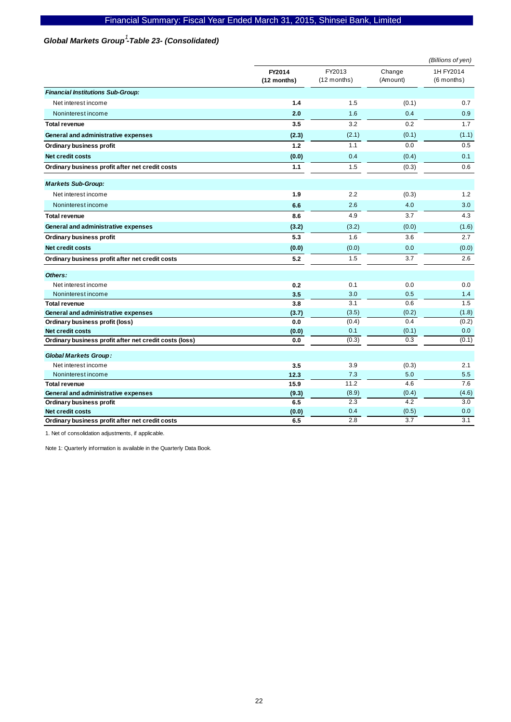## Global Markets Group<sup>1</sup>-Table 23- (Consolidated)

|                                                                            |                       |                         |                    | (Billions of yen)         |
|----------------------------------------------------------------------------|-----------------------|-------------------------|--------------------|---------------------------|
|                                                                            | FY2014<br>(12 months) | FY2013<br>$(12$ months) | Change<br>(Amount) | 1H FY2014<br>$(6$ months) |
| <b>Financial Institutions Sub-Group:</b>                                   |                       |                         |                    |                           |
| Net interest income                                                        | 1.4                   | 1.5                     | (0.1)              | 0.7                       |
| Noninterest income                                                         | 2.0                   | 1.6                     | 0.4                | 0.9                       |
| <b>Total revenue</b>                                                       | 3.5                   | 3.2                     | 0.2                | 1.7                       |
| General and administrative expenses                                        | (2.3)                 | (2.1)                   | (0.1)              | (1.1)                     |
| Ordinary business profit                                                   | 1.2                   | 1.1                     | 0.0                | 0.5                       |
| <b>Net credit costs</b>                                                    | (0.0)                 | 0.4                     | (0.4)              | 0.1                       |
| Ordinary business profit after net credit costs                            | 1.1                   | 1.5                     | (0.3)              | 0.6                       |
| <b>Markets Sub-Group:</b>                                                  |                       |                         |                    |                           |
| Net interest income                                                        | 1.9                   | 2.2                     | (0.3)              | 1.2                       |
| Noninterest income                                                         | 6.6                   | 2.6                     | 4.0                | 3.0                       |
| <b>Total revenue</b>                                                       | 8.6                   | 4.9                     | 3.7                | 4.3                       |
| General and administrative expenses                                        | (3.2)                 | (3.2)                   | (0.0)              | (1.6)                     |
| Ordinary business profit                                                   | 5.3                   | 1.6                     | 3.6                | 2.7                       |
| Net credit costs                                                           | (0.0)                 | (0.0)                   | 0.0                | (0.0)                     |
| Ordinary business profit after net credit costs                            | 5.2                   | 1.5                     | 3.7                | 2.6                       |
| Others:                                                                    |                       |                         |                    |                           |
| Net interest income                                                        | 0.2                   | 0.1                     | 0.0                | 0.0                       |
| Noninterest income                                                         | 3.5                   | 3.0                     | 0.5                | $1.4$                     |
| <b>Total revenue</b>                                                       | 3.8                   | 3.1                     | 0.6                | 1.5                       |
| General and administrative expenses                                        | (3.7)                 | (3.5)                   | (0.2)              | (1.8)                     |
| Ordinary business profit (loss)                                            | 0.0                   | (0.4)                   | 0.4                | (0.2)                     |
| Net credit costs<br>Ordinary business profit after net credit costs (loss) | (0.0)<br>0.0          | 0.1<br>(0.3)            | (0.1)<br>0.3       | 0.0<br>(0.1)              |
|                                                                            |                       |                         |                    |                           |
| <b>Global Markets Group:</b>                                               |                       |                         |                    |                           |
| Net interest income                                                        | 3.5                   | 3.9                     | (0.3)              | 2.1                       |
| Noninterest income                                                         | 12.3                  | 7.3                     | 5.0                | 5.5                       |
| <b>Total revenue</b>                                                       | 15.9                  | 11.2                    | 4.6                | 7.6                       |
| General and administrative expenses                                        | (9.3)                 | (8.9)                   | (0.4)              | (4.6)                     |
| Ordinary business profit                                                   | 6.5                   | 2.3                     | 4.2                | 3.0                       |
| Net credit costs                                                           | (0.0)                 | 0.4                     | (0.5)              | 0.0                       |
| Ordinary business profit after net credit costs                            | 6.5                   | 2.8                     | 3.7                | 3.1                       |

1. Net of consolidation adjustments, if applicable.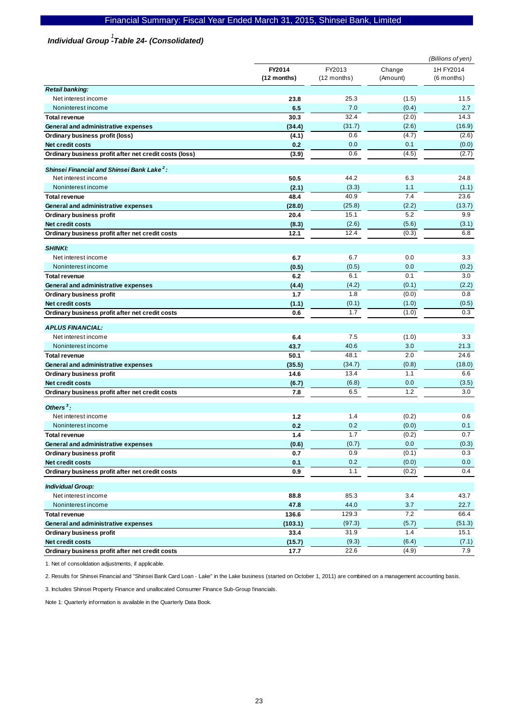# *Individual Group -Table 24- (Consolidated) 1*

|                                                        |                       |                         |                    | (Billions of yen)         |
|--------------------------------------------------------|-----------------------|-------------------------|--------------------|---------------------------|
|                                                        | FY2014<br>(12 months) | FY2013<br>$(12$ months) | Change<br>(Amount) | 1H FY2014<br>$(6$ months) |
| <b>Retail banking:</b>                                 |                       |                         |                    |                           |
| Net interest income                                    | 23.8                  | 25.3                    | (1.5)              | 11.5                      |
| Noninterest income                                     | 6.5                   | 7.0                     | (0.4)              | 2.7                       |
| <b>Total revenue</b>                                   | 30.3                  | 32.4                    | (2.0)              | 14.3                      |
| General and administrative expenses                    | (34.4)                | (31.7)                  | (2.6)              | (16.9)                    |
| Ordinary business profit (loss)                        | (4.1)                 | 0.6                     | (4.7)              | (2.6)                     |
| Net credit costs                                       | 0.2                   | 0.0                     | 0.1                | (0.0)                     |
| Ordinary business profit after net credit costs (loss) | (3.9)                 | 0.6                     | (4.5)              | (2.7)                     |
| Shinsei Financial and Shinsei Bank Lake <sup>2</sup> : |                       |                         |                    |                           |
| Net interest income                                    | 50.5                  | 44.2                    | 6.3                | 24.8                      |
| Noninterest income                                     | (2.1)                 | (3.3)                   | 1.1                | (1.1)                     |
| <b>Total revenue</b>                                   | 48.4                  | 40.9                    | 7.4                | 23.6                      |
| General and administrative expenses                    | (28.0)                | (25.8)                  | (2.2)              | (13.7)                    |
| Ordinary business profit                               | 20.4                  | 15.1                    | 5.2                | 9.9                       |
| <b>Net credit costs</b>                                | (8.3)                 | (2.6)                   | (5.6)              | (3.1)                     |
| Ordinary business profit after net credit costs        | 12.1                  | 12.4                    | (0.3)              | 6.8                       |
| <b>SHINKI:</b>                                         |                       |                         |                    |                           |
| Net interest income                                    | 6.7                   | 6.7                     | 0.0                | 3.3                       |
| Noninterest income                                     | (0.5)                 | (0.5)                   | 0.0                | (0.2)                     |
| <b>Total revenue</b>                                   | 6.2                   | 6.1                     | 0.1                | 3.0                       |
| General and administrative expenses                    | (4.4)                 | (4.2)                   | (0.1)              | (2.2)                     |
| Ordinary business profit                               | 1.7                   | 1.8                     | (0.0)              | 0.8                       |
| Net credit costs                                       | (1.1)                 | (0.1)                   | (1.0)              | (0.5)                     |
| Ordinary business profit after net credit costs        | 0.6                   | 1.7                     | (1.0)              | 0.3                       |
|                                                        |                       |                         |                    |                           |
| <b>APLUS FINANCIAL:</b>                                |                       |                         |                    |                           |
| Net interest income                                    | 6.4                   | 7.5                     | (1.0)              | 3.3                       |
| Noninterest income                                     | 43.7                  | 40.6                    | 3.0                | 21.3                      |
| <b>Total revenue</b>                                   | 50.1                  | 48.1                    | 2.0                | 24.6                      |
| General and administrative expenses                    | (35.5)                | (34.7)                  | (0.8)              | (18.0)                    |
| <b>Ordinary business profit</b>                        | 14.6                  | 13.4                    | 1.1                | 6.6                       |
| <b>Net credit costs</b>                                | (6.7)                 | (6.8)                   | 0.0                | (3.5)                     |
| Ordinary business profit after net credit costs        | 7.8                   | 6.5                     | 1.2                | 3.0                       |
| Others $3$ :                                           |                       |                         |                    |                           |
| Net interest income                                    | 1.2                   | 1.4                     | (0.2)              | 0.6                       |
| Noninterest income                                     | 0.2                   | 0.2                     | (0.0)              | 0.1                       |
| <b>Total revenue</b>                                   | 1.4                   | 1.7                     | (0.2)              | 0.7                       |
| General and administrative expenses                    | (0.6)                 | (0.7)                   | 0.0                | (0.3)                     |
| Ordinary business profit                               | 0.7                   | 0.9                     | (0.1)              | 0.3                       |
| Net credit costs                                       | 0.1                   | 0.2                     | (0.0)              | 0.0                       |
| Ordinary business profit after net credit costs        | 0.9                   | 1.1                     | (0.2)              | 0.4                       |
| <b>Individual Group:</b>                               |                       |                         |                    |                           |
| Net interest income                                    | 88.8                  | 85.3                    | 3.4                | 43.7                      |
| Noninterest income                                     | 47.8                  | 44.0                    | 3.7                | 22.7                      |
| <b>Total revenue</b>                                   | 136.6                 | 129.3                   | 7.2                | 66.4                      |
| General and administrative expenses                    | (103.1)               | (97.3)                  | (5.7)              | (51.3)                    |
| Ordinary business profit                               | 33.4                  | 31.9                    | 1.4                | 15.1                      |
| Net credit costs                                       | (15.7)                | (9.3)                   | (6.4)              | (7.1)                     |
| Ordinary business profit after net credit costs        | 17.7                  | 22.6                    | (4.9)              | 7.9                       |

1. Net of consolidation adjustments, if applicable.

2. Results for Shinsei Financial and "Shinsei Bank Card Loan - Lake" in the Lake business (started on October 1, 2011) are combined on a management accounting basis.

3. Includes Shinsei Property Finance and unallocated Consumer Finance Sub-Group financials.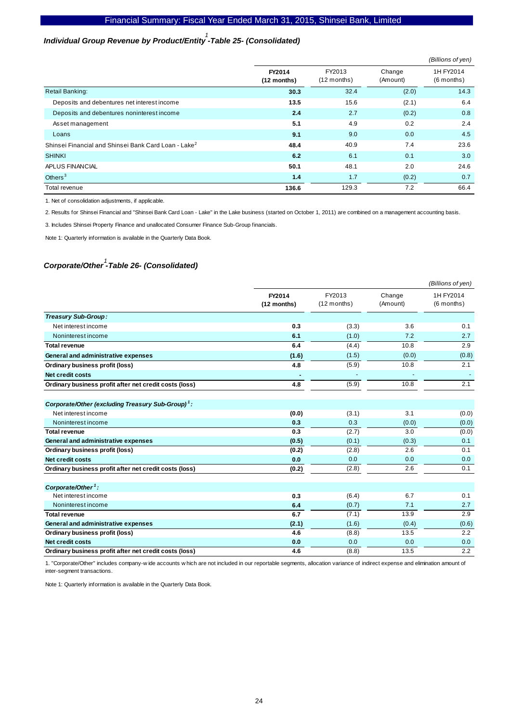# *Individual Group Revenue by Product/Entity -Table 25- (Consolidated) 1*

|                                                                  |                         |                         |                    | (Billions of yen)         |
|------------------------------------------------------------------|-------------------------|-------------------------|--------------------|---------------------------|
|                                                                  | FY2014<br>$(12$ months) | FY2013<br>$(12$ months) | Change<br>(Amount) | 1H FY2014<br>$(6$ months) |
| <b>Retail Banking:</b>                                           | 30.3                    | 32.4                    | (2.0)              | 14.3                      |
| Deposits and debentures net interest income                      | 13.5                    | 15.6                    | (2.1)              | 6.4                       |
| Deposits and debentures noninterest income                       | 2.4                     | 2.7                     | (0.2)              | 0.8                       |
| Asset management                                                 | 5.1                     | 4.9                     | 0.2                | 2.4                       |
| Loans                                                            | 9.1                     | 9.0                     | 0.0                | 4.5                       |
| Shinsei Financial and Shinsei Bank Card Loan - Lake <sup>2</sup> | 48.4                    | 40.9                    | 7.4                | 23.6                      |
| <b>SHINKI</b>                                                    | 6.2                     | 6.1                     | 0.1                | 3.0                       |
| APLUS FINANCIAL                                                  | 50.1                    | 48.1                    | 2.0                | 24.6                      |
| Others $3$                                                       | 1.4                     | 1.7                     | (0.2)              | 0.7                       |
| Total revenue                                                    | 136.6                   | 129.3                   | 7.2                | 66.4                      |

1. Net of consolidation adjustments, if applicable.

2. Results for Shinsei Financial and "Shinsei Bank Card Loan - Lake" in the Lake business (started on October 1, 2011) are combined on a management accounting basis.

3. Includes Shinsei Property Finance and unallocated Consumer Finance Sub-Group financials.

Note 1: Quarterly information is available in the Quarterly Data Book.

# *Corporate/Other -Table 26- (Consolidated) 1*

|                                                               |                       |                         |                    | (Billions of yen)       |
|---------------------------------------------------------------|-----------------------|-------------------------|--------------------|-------------------------|
|                                                               | FY2014<br>(12 months) | FY2013<br>$(12$ months) | Change<br>(Amount) | 1H FY2014<br>(6 months) |
| Treasury Sub-Group:                                           |                       |                         |                    |                         |
| Net interest income                                           | 0.3                   | (3.3)                   | 3.6                | 0.1                     |
| Noninterest income                                            | 6.1                   | (1.0)                   | 7.2                | 2.7                     |
| <b>Total revenue</b>                                          | 6.4                   | (4.4)                   | 10.8               | 2.9                     |
| General and administrative expenses                           | (1.6)                 | (1.5)                   | (0.0)              | (0.8)                   |
| Ordinary business profit (loss)                               | 4.8                   | (5.9)                   | 10.8               | 2.1                     |
| Net credit costs                                              | ٠                     | ٠                       |                    |                         |
| Ordinary business profit after net credit costs (loss)        | 4.8                   | (5.9)                   | 10.8               | 2.1                     |
| Corporate/Other (excluding Treasury Sub-Group) <sup>1</sup> : |                       |                         |                    |                         |
| Net interest income                                           | (0.0)                 | (3.1)                   | 3.1                | (0.0)                   |
| Noninterest income                                            | 0.3                   | 0.3                     | (0.0)              | (0.0)                   |
| <b>Total revenue</b>                                          | 0.3                   | (2.7)                   | 3.0                | (0.0)                   |
| General and administrative expenses                           | (0.5)                 | (0.1)                   | (0.3)              | 0.1                     |
| Ordinary business profit (loss)                               | (0.2)                 | (2.8)                   | 2.6                | 0.1                     |
| <b>Net credit costs</b>                                       | 0.0                   | 0.0                     | 0.0                | 0.0                     |
| Ordinary business profit after net credit costs (loss)        | (0.2)                 | (2.8)                   | 2.6                | 0.1                     |
| Corporate/Other <sup>1</sup> :                                |                       |                         |                    |                         |
| Net interest income                                           | 0.3                   | (6.4)                   | 6.7                | 0.1                     |
| Noninterest income                                            | 6.4                   | (0.7)                   | 7.1                | 2.7                     |
| <b>Total revenue</b>                                          | 6.7                   | (7.1)                   | 13.9               | 2.9                     |
| General and administrative expenses                           | (2.1)                 | (1.6)                   | (0.4)              | (0.6)                   |
| Ordinary business profit (loss)                               | 4.6                   | (8.8)                   | 13.5               | 2.2                     |
| <b>Net credit costs</b>                                       | 0.0                   | 0.0                     | 0.0                | 0.0                     |
| Ordinary business profit after net credit costs (loss)        | 4.6                   | (8.8)                   | 13.5               | 2.2                     |

1. "Corporate/Other" includes company-w ide accounts w hich are not included in our reportable segments, allocation variance of indirect expense and elimination amount of inter-segment transactions.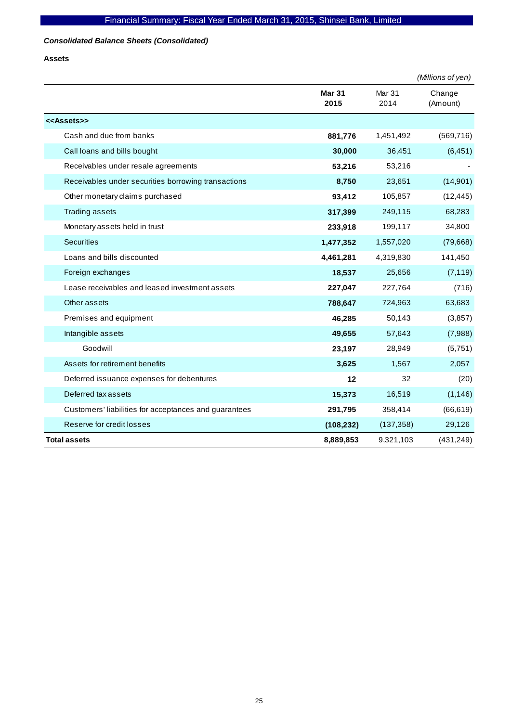## *Consolidated Balance Sheets (Consolidated)*

**Assets** 

|                                                       |                       |                | (Millions of yen)  |
|-------------------------------------------------------|-----------------------|----------------|--------------------|
|                                                       | <b>Mar 31</b><br>2015 | Mar 31<br>2014 | Change<br>(Amount) |
| < <assets>&gt;</assets>                               |                       |                |                    |
| Cash and due from banks                               | 881,776               | 1,451,492      | (569, 716)         |
| Call loans and bills bought                           | 30,000                | 36,451         | (6, 451)           |
| Receivables under resale agreements                   | 53,216                | 53,216         |                    |
| Receivables under securities borrowing transactions   | 8,750                 | 23,651         | (14, 901)          |
| Other monetary claims purchased                       | 93,412                | 105,857        | (12, 445)          |
| <b>Trading assets</b>                                 | 317,399               | 249,115        | 68,283             |
| Monetary assets held in trust                         | 233,918               | 199,117        | 34,800             |
| <b>Securities</b>                                     | 1,477,352             | 1,557,020      | (79,668)           |
| Loans and bills discounted                            | 4,461,281             | 4,319,830      | 141,450            |
| Foreign exchanges                                     | 18,537                | 25,656         | (7, 119)           |
| Lease receivables and leased investment assets        | 227,047               | 227,764        | (716)              |
| Other assets                                          | 788,647               | 724,963        | 63,683             |
| Premises and equipment                                | 46,285                | 50,143         | (3,857)            |
| Intangible assets                                     | 49,655                | 57,643         | (7,988)            |
| Goodwill                                              | 23,197                | 28,949         | (5,751)            |
| Assets for retirement benefits                        | 3,625                 | 1,567          | 2,057              |
| Deferred issuance expenses for debentures             | 12                    | 32             | (20)               |
| Deferred tax assets                                   | 15,373                | 16,519         | (1, 146)           |
| Customers' liabilities for acceptances and guarantees | 291,795               | 358,414        | (66, 619)          |
| Reserve for credit losses                             | (108, 232)            | (137, 358)     | 29,126             |
| <b>Total assets</b>                                   | 8,889,853             | 9,321,103      | (431, 249)         |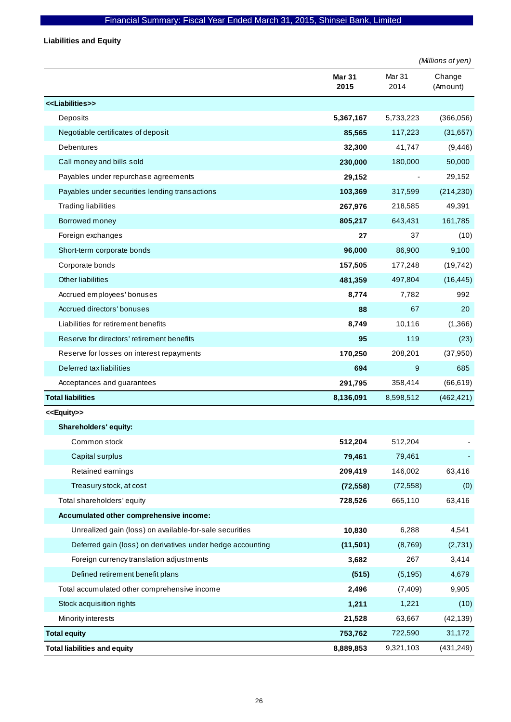**Liabilities and Equity** 

|                                                            |                       |                           | (Millions of yen)  |
|------------------------------------------------------------|-----------------------|---------------------------|--------------------|
|                                                            | <b>Mar 31</b><br>2015 | Mar <sub>31</sub><br>2014 | Change<br>(Amount) |
| < <liabilities>&gt;</liabilities>                          |                       |                           |                    |
| Deposits                                                   | 5,367,167             | 5,733,223                 | (366, 056)         |
| Negotiable certificates of deposit                         | 85,565                | 117,223                   | (31, 657)          |
| <b>Debentures</b>                                          | 32,300                | 41,747                    | (9, 446)           |
| Call money and bills sold                                  | 230,000               | 180,000                   | 50,000             |
| Payables under repurchase agreements                       | 29,152                |                           | 29,152             |
| Payables under securities lending transactions             | 103,369               | 317,599                   | (214, 230)         |
| <b>Trading liabilities</b>                                 | 267,976               | 218,585                   | 49,391             |
| Borrowed money                                             | 805,217               | 643,431                   | 161,785            |
| Foreign exchanges                                          | 27                    | 37                        | (10)               |
| Short-term corporate bonds                                 | 96,000                | 86,900                    | 9,100              |
| Corporate bonds                                            | 157,505               | 177,248                   | (19, 742)          |
| <b>Other liabilities</b>                                   | 481,359               | 497,804                   | (16, 445)          |
| Accrued employees' bonuses                                 | 8,774                 | 7,782                     | 992                |
| Accrued directors' bonuses                                 | 88                    | 67                        | 20                 |
| Liabilities for retirement benefits                        | 8,749                 | 10,116                    | (1,366)            |
| Reserve for directors' retirement benefits                 | 95                    | 119                       | (23)               |
| Reserve for losses on interest repayments                  | 170,250               | 208,201                   | (37, 950)          |
| Deferred tax liabilities                                   | 694                   | 9                         | 685                |
| Acceptances and guarantees                                 | 291,795               | 358,414                   | (66, 619)          |
| <b>Total liabilities</b>                                   | 8,136,091             | 8,598,512                 | (462, 421)         |
| < <equity>&gt;</equity>                                    |                       |                           |                    |
| Shareholders' equity:                                      |                       |                           |                    |
| Common stock                                               | 512,204               | 512,204                   |                    |
| Capital surplus                                            | 79,461                | 79,461                    |                    |
| Retained earnings                                          | 209,419               | 146,002                   | 63,416             |
| Treasury stock, at cost                                    | (72, 558)             | (72, 558)                 | (0)                |
| Total shareholders' equity                                 | 728,526               | 665,110                   | 63,416             |
| Accumulated other comprehensive income:                    |                       |                           |                    |
| Unrealized gain (loss) on available-for-sale securities    | 10,830                | 6,288                     | 4,541              |
| Deferred gain (loss) on derivatives under hedge accounting | (11,501)              | (8,769)                   | (2,731)            |
| Foreign currency translation adjustments                   | 3,682                 | 267                       | 3,414              |
| Defined retirement benefit plans                           | (515)                 | (5, 195)                  | 4,679              |
| Total accumulated other comprehensive income               | 2,496                 | (7, 409)                  | 9,905              |
| Stock acquisition rights                                   | 1,211                 | 1,221                     | (10)               |
| Minority interests                                         | 21,528                | 63,667                    | (42, 139)          |
| <b>Total equity</b>                                        | 753,762               | 722,590                   | 31,172             |
| <b>Total liabilities and equity</b>                        | 8,889,853             | 9,321,103                 | (431, 249)         |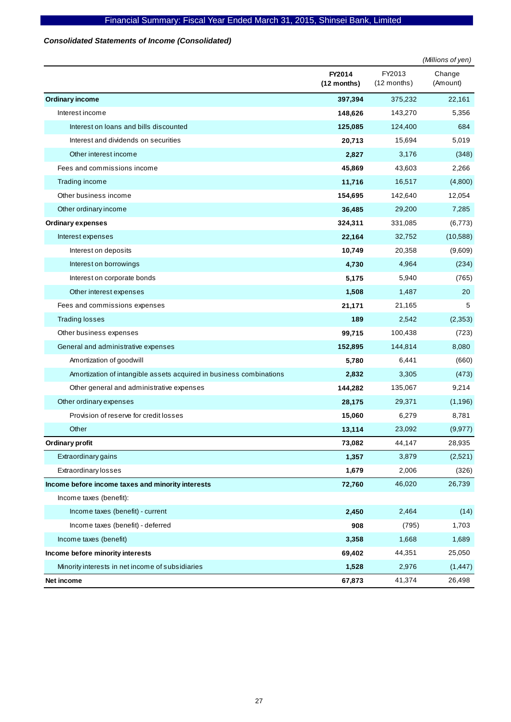## *Consolidated Statements of Income (Consolidated)*

|                                                                     |                         |                         | (Millions of yen)  |
|---------------------------------------------------------------------|-------------------------|-------------------------|--------------------|
|                                                                     | FY2014<br>$(12$ months) | FY2013<br>$(12$ months) | Change<br>(Amount) |
| <b>Ordinary income</b>                                              | 397,394                 | 375,232                 | 22,161             |
| Interest income                                                     | 148,626                 | 143,270                 | 5,356              |
| Interest on loans and bills discounted                              | 125,085                 | 124,400                 | 684                |
| Interest and dividends on securities                                | 20,713                  | 15,694                  | 5,019              |
| Other interest income                                               | 2,827                   | 3,176                   | (348)              |
| Fees and commissions income                                         | 45,869                  | 43,603                  | 2,266              |
| Trading income                                                      | 11,716                  | 16,517                  | (4,800)            |
| Other business income                                               | 154,695                 | 142,640                 | 12,054             |
| Other ordinary income                                               | 36,485                  | 29,200                  | 7,285              |
| <b>Ordinary expenses</b>                                            | 324,311                 | 331,085                 | (6,773)            |
| Interest expenses                                                   | 22,164                  | 32,752                  | (10, 588)          |
| Interest on deposits                                                | 10,749                  | 20,358                  | (9,609)            |
| Interest on borrowings                                              | 4,730                   | 4,964                   | (234)              |
| Interest on corporate bonds                                         | 5,175                   | 5,940                   | (765)              |
| Other interest expenses                                             | 1,508                   | 1,487                   | 20                 |
| Fees and commissions expenses                                       | 21,171                  | 21,165                  | 5                  |
| <b>Trading losses</b>                                               | 189                     | 2,542                   | (2,353)            |
| Other business expenses                                             | 99,715                  | 100,438                 | (723)              |
| General and administrative expenses                                 | 152,895                 | 144,814                 | 8,080              |
| Amortization of goodwill                                            | 5,780                   | 6,441                   | (660)              |
| Amortization of intangible assets acquired in business combinations | 2,832                   | 3,305                   | (473)              |
| Other general and administrative expenses                           | 144,282                 | 135,067                 | 9,214              |
| Other ordinary expenses                                             | 28,175                  | 29,371                  | (1, 196)           |
| Provision of reserve for credit losses                              | 15,060                  | 6,279                   | 8,781              |
| Other                                                               | 13,114                  | 23,092                  | (9, 977)           |
| Ordinary profit                                                     | 73,082                  | 44,147                  | 28,935             |
| Extraordinary gains                                                 | 1,357                   | 3,879                   | (2,521)            |
| Extraordinary losses                                                | 1,679                   | 2,006                   | (326)              |
| Income before income taxes and minority interests                   | 72,760                  | 46,020                  | 26,739             |
| Income taxes (benefit):                                             |                         |                         |                    |
| Income taxes (benefit) - current                                    | 2,450                   | 2,464                   | (14)               |
| Income taxes (benefit) - deferred                                   | 908                     | (795)                   | 1,703              |
| Income taxes (benefit)                                              | 3,358                   | 1,668                   | 1,689              |
| Income before minority interests                                    | 69,402                  | 44,351                  | 25,050             |
| Minority interests in net income of subsidiaries                    | 1,528                   | 2,976                   | (1, 447)           |
| Net income                                                          | 67,873                  | 41,374                  | 26,498             |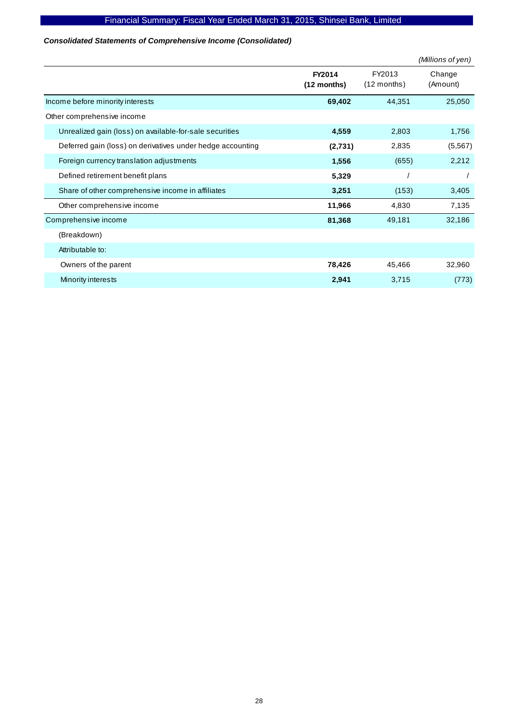## *Consolidated Statements of Comprehensive Income (Consolidated)*

|                                                            |                         |                         | (Millions of yen)  |
|------------------------------------------------------------|-------------------------|-------------------------|--------------------|
|                                                            | FY2014<br>$(12$ months) | FY2013<br>$(12$ months) | Change<br>(Amount) |
| Income before minority interests                           | 69,402                  | 44,351                  | 25,050             |
| Other comprehensive income                                 |                         |                         |                    |
| Unrealized gain (loss) on available-for-sale securities    | 4,559                   | 2,803                   | 1,756              |
| Deferred gain (loss) on derivatives under hedge accounting | (2,731)                 | 2,835                   | (5, 567)           |
| Foreign currency translation adjustments                   | 1,556                   | (655)                   | 2,212              |
| Defined retirement benefit plans                           | 5,329                   |                         |                    |
| Share of other comprehensive income in affiliates          | 3,251                   | (153)                   | 3,405              |
| Other comprehensive income                                 | 11,966                  | 4,830                   | 7,135              |
| Comprehensive income                                       | 81,368                  | 49,181                  | 32,186             |
| (Breakdown)                                                |                         |                         |                    |
| Attributable to:                                           |                         |                         |                    |
| Owners of the parent                                       | 78,426                  | 45,466                  | 32,960             |
| Minority interests                                         | 2,941                   | 3,715                   | (773)              |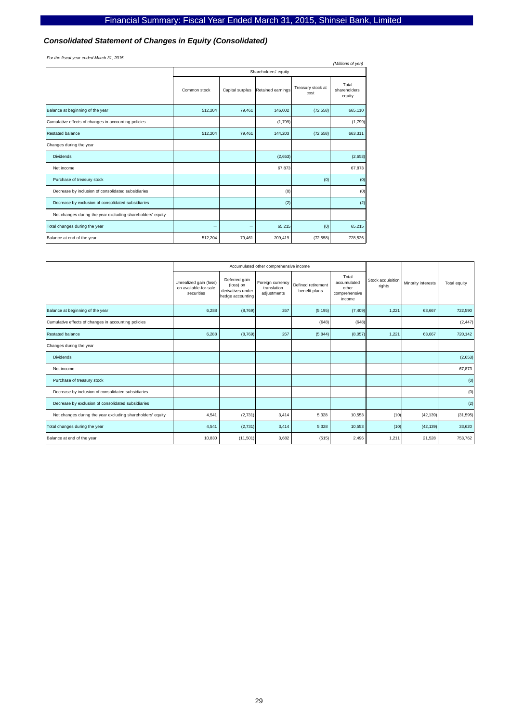#### *Consolidated Statement of Changes in Equity (Consolidated)*

*For the fiscal year ended March 31, 2015*

| For the fiscal year ended march 31, 2013<br>(Millions of yen) |              |                 |                      |                           |                                  |  |  |  |
|---------------------------------------------------------------|--------------|-----------------|----------------------|---------------------------|----------------------------------|--|--|--|
|                                                               |              |                 | Shareholders' equity |                           |                                  |  |  |  |
|                                                               | Common stock | Capital surplus | Retained earnings    | Treasury stock at<br>cost | Total<br>shareholders'<br>equity |  |  |  |
| Balance at beginning of the year                              | 512,204      | 79,461          | 146,002              | (72, 558)                 | 665,110                          |  |  |  |
| Cumulative effects of changes in accounting policies          |              |                 | (1,799)              |                           | (1,799)                          |  |  |  |
| <b>Restated balance</b>                                       | 512,204      | 79,461          | 144,203              | (72, 558)                 | 663,311                          |  |  |  |
| Changes during the year                                       |              |                 |                      |                           |                                  |  |  |  |
| <b>Dividends</b>                                              |              |                 | (2,653)              |                           | (2,653)                          |  |  |  |
| Net income                                                    |              |                 | 67,873               |                           | 67,873                           |  |  |  |
| Purchase of treasury stock                                    |              |                 |                      | (0)                       | (0)                              |  |  |  |
| Decrease by inclusion of consolidated subsidiaries            |              |                 | (0)                  |                           | (0)                              |  |  |  |
| Decrease by exclusion of consolidated subsidiaries            |              |                 | (2)                  |                           | (2)                              |  |  |  |
| Net changes during the year excluding shareholders' equity    |              |                 |                      |                           |                                  |  |  |  |
| Total changes during the year                                 |              |                 | 65,215               | (0)                       | 65,215                           |  |  |  |
| Balance at end of the year                                    | 512,204      | 79,461          | 209,419              | (72, 558)                 | 728,526                          |  |  |  |

|                                                            |                                                               | Accumulated other comprehensive income                              |                                                |                                     |                                                          |                             |                    |              |
|------------------------------------------------------------|---------------------------------------------------------------|---------------------------------------------------------------------|------------------------------------------------|-------------------------------------|----------------------------------------------------------|-----------------------------|--------------------|--------------|
|                                                            | Unrealized gain (loss)<br>on available-for-sale<br>securities | Deferred gain<br>(loss) on<br>derivatives under<br>hedge accounting | Foreign currency<br>translation<br>adjustments | Defined retirement<br>benefit plans | Total<br>accumulated<br>other<br>comprehensive<br>income | Stock acquisition<br>rights | Minority interests | Total equity |
| Balance at beginning of the year                           | 6,288                                                         | (8,769)                                                             | 267                                            | (5, 195)                            | (7, 409)                                                 | 1,221                       | 63,667             | 722,590      |
| Cumulative effects of changes in accounting policies       |                                                               |                                                                     |                                                | (648)                               | (648)                                                    |                             |                    | (2, 447)     |
| Restated balance                                           | 6,288                                                         | (8,769)                                                             | 267                                            | (5, 844)                            | (8,057)                                                  | 1,221                       | 63,667             | 720,142      |
| Changes during the year                                    |                                                               |                                                                     |                                                |                                     |                                                          |                             |                    |              |
| <b>Dividends</b>                                           |                                                               |                                                                     |                                                |                                     |                                                          |                             |                    | (2,653)      |
| Net income                                                 |                                                               |                                                                     |                                                |                                     |                                                          |                             |                    | 67,873       |
| Purchase of treasury stock                                 |                                                               |                                                                     |                                                |                                     |                                                          |                             |                    | (0)          |
| Decrease by inclusion of consolidated subsidiaries         |                                                               |                                                                     |                                                |                                     |                                                          |                             |                    | (0)          |
| Decrease by exclusion of consolidated subsidiaries         |                                                               |                                                                     |                                                |                                     |                                                          |                             |                    | (2)          |
| Net changes during the year excluding shareholders' equity | 4,541                                                         | (2,731)                                                             | 3,414                                          | 5,328                               | 10,553                                                   | (10)                        | (42, 139)          | (31, 595)    |
| Total changes during the year                              | 4,541                                                         | (2,731)                                                             | 3,414                                          | 5,328                               | 10,553                                                   | (10)                        | (42, 139)          | 33,620       |
| Balance at end of the year                                 | 10,830                                                        | (11, 501)                                                           | 3,682                                          | (515)                               | 2,496                                                    | 1,211                       | 21,528             | 753,762      |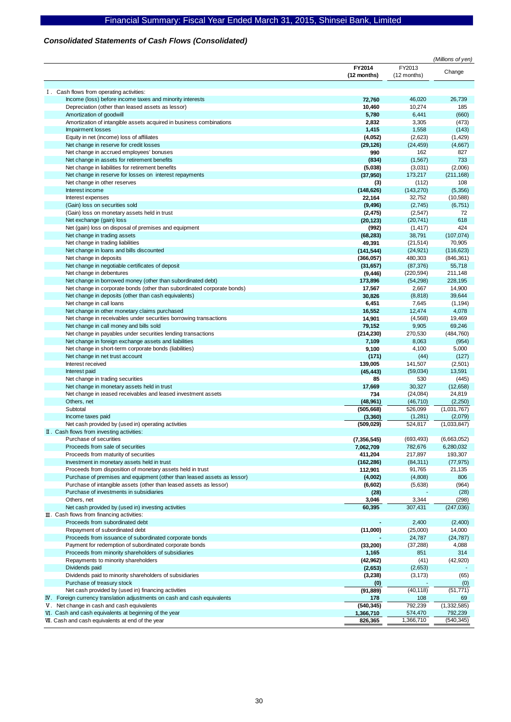#### *Consolidated Statements of Cash Flows (Consolidated)*

|                                                                           |               |             | (Millions of yen) |
|---------------------------------------------------------------------------|---------------|-------------|-------------------|
|                                                                           | FY2014        | FY2013      | Change            |
|                                                                           | (12 months)   | (12 months) |                   |
|                                                                           |               |             |                   |
| I. Cash flows from operating activities:                                  |               |             |                   |
| Income (loss) before income taxes and minority interests                  | 72,760        | 46,020      | 26,739            |
| Depreciation (other than leased assets as lessor)                         | 10,460        | 10,274      | 185               |
| Amortization of goodwill                                                  | 5,780         | 6,441       | (660)             |
| Amortization of intangible assets acquired in business combinations       | 2,832         | 3,305       | (473)             |
| <b>Impairment losses</b>                                                  | 1,415         | 1,558       | (143)             |
| Equity in net (income) loss of affiliates                                 | (4,052)       | (2,623)     | (1,429)           |
| Net change in reserve for credit losses                                   | (29, 126)     | (24, 459)   | (4,667)           |
| Net change in accrued employees' bonuses                                  | 990           | 162         | 827               |
| Net change in assets for retirement benefits                              | (834)         | (1, 567)    | 733               |
| Net change in liabilities for retirement benefits                         | (5,038)       | (3,031)     | (2,006)           |
| Net change in reserve for losses on interest repayments                   | (37, 950)     | 173,217     | (211, 168)        |
| Net change in other reserves                                              | (3)           | (112)       | 108               |
| Interest income                                                           | (148, 626)    | (143, 270)  | (5,356)           |
| Interest expenses                                                         | 22,164        | 32,752      | (10, 588)         |
| (Gain) loss on securities sold                                            | (9, 496)      | (2,745)     | (6, 751)          |
| (Gain) loss on monetary assets held in trust                              | (2, 475)      | (2, 547)    | 72                |
| Net exchange (gain) loss                                                  | (20, 123)     | (20, 741)   | 618               |
| Net (gain) loss on disposal of premises and equipment                     | (992)         | (1, 417)    | 424               |
| Net change in trading assets                                              | (68, 283)     | 38,791      | (107, 074)        |
| Net change in trading liabilities                                         | 49,391        | (21, 514)   | 70,905            |
| Net change in loans and bills discounted                                  | (141, 544)    | (24, 921)   | (116, 623)        |
| Net change in deposits                                                    | (366, 057)    | 480,303     | (846, 361)        |
| Net change in negotiable certificates of deposit                          | (31, 657)     | (87, 376)   | 55,718            |
| Net change in debentures                                                  | (9, 446)      | (220, 594)  | 211,148           |
| Net change in borrowed money (other than subordinated debt)               | 173,896       | (54, 298)   | 228,195           |
| Net change in corporate bonds (other than subordinated corporate bonds)   | 17,567        | 2,667       | 14,900            |
| Net change in deposits (other than cash equivalents)                      | 30,826        | (8, 818)    | 39,644            |
| Net change in call loans                                                  | 6,451         | 7,645       | (1, 194)          |
| Net change in other monetary claims purchased                             | 16,552        | 12,474      | 4,078             |
| Net change in receivables under securities borrowing transactions         | 14,901        | (4, 568)    | 19,469            |
| Net change in call money and bills sold                                   | 79,152        | 9,905       | 69,246            |
| Net change in payables under securities lending transactions              | (214, 230)    | 270,530     | (484, 760)        |
| Net change in foreign exchange assets and liabilities                     | 7,109         | 8,063       | (954)             |
| Net change in short-term corporate bonds (liabilities)                    | 9,100         | 4,100       | 5,000             |
| Net change in net trust account                                           | (171)         | (44)        | (127)             |
| Interest received                                                         | 139,005       | 141,507     | (2,501)           |
| Interest paid                                                             | (45, 443)     | (59,034)    | 13,591            |
| Net change in trading securities                                          | 85            | 530         | (445)             |
| Net change in monetary assets held in trust                               | 17,669        | 30,327      | (12,658)          |
| Net change in Jeased receivables and leased investment assets             | 734           | (24,084)    | 24,819            |
| Others, net                                                               | (48, 961)     | (46, 710)   | (2,250)           |
| Subtotal                                                                  | (505, 668)    | 526,099     | (1,031,767)       |
| Income taxes paid                                                         | (3, 360)      | (1,281)     | (2,079)           |
| Net cash provided by (used in) operating activities                       | (509, 029)    | 524,817     | (1,033,847)       |
| II. Cash flows from investing activities:                                 |               |             |                   |
| Purchase of securities                                                    | (7, 356, 545) | (693, 493)  | (6,663,052)       |
| Proceeds from sale of securities                                          | 7,062,709     | 782,676     | 6,280,032         |
| Proceeds from maturity of securities                                      | 411,204       | 217,897     | 193,307           |
| Investment in monetary assets held in trust                               | (162, 286)    | (84, 311)   | (77, 975)         |
| Proceeds from disposition of monetary assets held in trust                | 112,901       | 91,765      | 21,135            |
| Purchase of premises and equipment (other than leased assets as lessor)   | (4,002)       | (4,808)     | 806               |
| Purchase of intangible assets (other than leased assets as lessor)        | (6,602)       | (5,638)     | (964)             |
| Purchase of investments in subsidiaries                                   | (28)          |             | (28)              |
| Others, net                                                               | 3,046         | 3,344       | (298)             |
| Net cash provided by (used in) investing activities                       | 60,395        | 307,431     | (247, 036)        |
| $\mathbb{II}$ . Cash flows from financing activities:                     |               |             |                   |
| Proceeds from subordinated debt                                           |               | 2,400       | (2,400)           |
| Repayment of subordinated debt                                            | (11,000)      | (25,000)    | 14,000            |
| Proceeds from issuance of subordinated corporate bonds                    |               | 24,787      | (24, 787)         |
| Payment for redemption of subordinated corporate bonds                    | (33, 200)     | (37, 288)   | 4,088             |
| Proceeds from minority shareholders of subsidiaries                       | 1,165         | 851         | 314               |
| Repayments to minority shareholders                                       | (42, 962)     | (41)        | (42, 920)         |
| Dividends paid                                                            | (2,653)       | (2,653)     |                   |
| Dividends paid to minority shareholders of subsidiaries                   | (3,238)       | (3, 173)    | (65)              |
| Purchase of treasury stock                                                | (0)           |             | (0)               |
| Net cash provided by (used in) financing activities                       | (91, 889)     | (40, 118)   | (51, 771)         |
| IV. Foreign currency translation adjustments on cash and cash equivalents | 178           | 108         | 69                |
| V. Net change in cash and cash equivalents                                | (540, 345)    | 792,239     | (1, 332, 585)     |
| VI. Cash and cash equivalents at beginning of the year                    | 1,366,710     | 574,470     | 792,239           |
| VII. Cash and cash equivalents at end of the year                         | 826,365       | 1,366,710   | (540, 345)        |
|                                                                           |               |             |                   |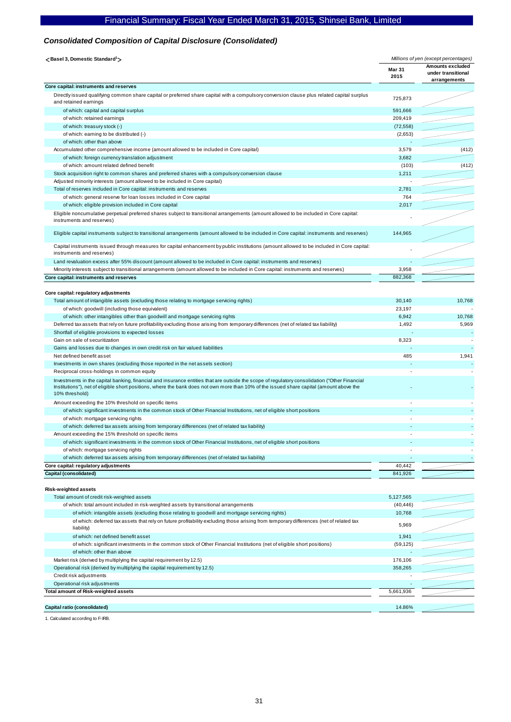## *Consolidated Composition of Capital Disclosure (Consolidated)*

| <basel 3,="" domestic="" standard<sup="">1</basel>                                                                                                                                                                                                                                                          | Millions of yen (except percentages) |                                                        |  |
|-------------------------------------------------------------------------------------------------------------------------------------------------------------------------------------------------------------------------------------------------------------------------------------------------------------|--------------------------------------|--------------------------------------------------------|--|
|                                                                                                                                                                                                                                                                                                             | <b>Mar 31</b><br>2015                | Amounts excluded<br>under transitional<br>arrangements |  |
| Core capital: instruments and reserves                                                                                                                                                                                                                                                                      |                                      |                                                        |  |
| Directly issued qualifying common share capital or preferred share capital with a compulsory conversion clause plus related capital surplus<br>and retained earnings                                                                                                                                        | 725,873                              |                                                        |  |
| of which: capital and capital surplus                                                                                                                                                                                                                                                                       | 591,666                              |                                                        |  |
| of which: retained earnings                                                                                                                                                                                                                                                                                 | 209,419                              |                                                        |  |
| of which: treasury stock (-)                                                                                                                                                                                                                                                                                | (72, 558)                            |                                                        |  |
| of which: earning to be distributed (-)                                                                                                                                                                                                                                                                     | (2,653)                              |                                                        |  |
| of which: other than above                                                                                                                                                                                                                                                                                  |                                      |                                                        |  |
| Accumulated other comprehensive income (amount allowed to be included in Core capital)                                                                                                                                                                                                                      | 3,579                                | (412)                                                  |  |
| of which: foreign currency translation adjustment                                                                                                                                                                                                                                                           | 3,682                                |                                                        |  |
| of which: amount related defined benefit                                                                                                                                                                                                                                                                    | (103)                                | (412)                                                  |  |
| Stock acquisition right to common shares and preferred shares with a compulsory conversion clause                                                                                                                                                                                                           | 1,211                                |                                                        |  |
| Adjusted minority interests (amount allowed to be included in Core capital)                                                                                                                                                                                                                                 |                                      |                                                        |  |
| Total of reserves included in Core capital: instruments and reserves                                                                                                                                                                                                                                        | 2,781                                |                                                        |  |
| of which: general reserve for loan losses included in Core capital                                                                                                                                                                                                                                          | 764                                  |                                                        |  |
| of which: eligible provision included in Core capital                                                                                                                                                                                                                                                       | 2,017                                |                                                        |  |
| Eligible noncumulative perpetual preferred shares subject to transitional arrangements (amount allowed to be included in Core capital:<br>instruments and reserves)                                                                                                                                         |                                      |                                                        |  |
| Eligible capital instruments subject to transitional arrangements (amount allowed to be included in Core capital: instruments and reserves)                                                                                                                                                                 | 144,965                              |                                                        |  |
| Capital instruments issued through measures for capital enhancement by public institutions (amount allowed to be included in Core capital:<br>instruments and reserves)                                                                                                                                     |                                      |                                                        |  |
| Land revaluation excess after 55% discount (amount allowed to be included in Core capital: instruments and reserves)                                                                                                                                                                                        |                                      |                                                        |  |
| Minority interests subject to transitional arrangements (amount allowed to be included in Core capital: instruments and reserves)                                                                                                                                                                           | 3,958                                |                                                        |  |
| Core capital: instruments and reserves                                                                                                                                                                                                                                                                      | 882,368                              |                                                        |  |
| Core capital: regulatory adjustments                                                                                                                                                                                                                                                                        |                                      |                                                        |  |
| Total amount of intangible assets (excluding those relating to mortgage servicing rights)                                                                                                                                                                                                                   | 30,140                               | 10,768                                                 |  |
| of which: goodwill (including those equivalent)                                                                                                                                                                                                                                                             | 23,197                               |                                                        |  |
| of which: other intangibles other than goodwill and mortgage servicing rights                                                                                                                                                                                                                               | 6,942                                | 10,768                                                 |  |
| Deferred tax assets that rely on future profitability excluding those arising from temporary differences (net of related tax liability)                                                                                                                                                                     | 1,492                                | 5,969                                                  |  |
| Shortfall of eligible provisions to expected losses                                                                                                                                                                                                                                                         |                                      |                                                        |  |
| Gain on sale of securitization                                                                                                                                                                                                                                                                              | 8,323                                |                                                        |  |
| Gains and losses due to changes in own credit risk on fair valued liabilities                                                                                                                                                                                                                               |                                      |                                                        |  |
| Net defined benefit asset                                                                                                                                                                                                                                                                                   | 485                                  | 1,941                                                  |  |
| Investments in own shares (excluding those reported in the net assets section)                                                                                                                                                                                                                              |                                      |                                                        |  |
| Reciprocal cross-holdings in common equity                                                                                                                                                                                                                                                                  |                                      |                                                        |  |
| Investments in the capital banking, financial and insurance entities that are outside the scope of regulatory consolidation ("Other Financial<br>Institutions"), net of eligible short positions, where the bank does not own more than 10% of the issued share capital (amount above the<br>10% threshold) |                                      |                                                        |  |
| Amount exceeding the 10% threshold on specific items                                                                                                                                                                                                                                                        |                                      |                                                        |  |
| of which: significant investments in the common stock of Other Financial Institutions, net of eligible short positions                                                                                                                                                                                      |                                      |                                                        |  |
| of which: mortgage servicing rights                                                                                                                                                                                                                                                                         |                                      |                                                        |  |
| of which: deferred tax assets arising from temporary differences (net of related tax liability)                                                                                                                                                                                                             |                                      |                                                        |  |
| Amount exceeding the 15% threshold on specific items                                                                                                                                                                                                                                                        |                                      |                                                        |  |
| of which: significant investments in the common stock of Other Financial Institutions, net of eligible short positions                                                                                                                                                                                      |                                      |                                                        |  |
| of which: mortgage servicing rights                                                                                                                                                                                                                                                                         |                                      |                                                        |  |
| of which: deferred tax assets arising from temporary differences (net of related tax liability)                                                                                                                                                                                                             |                                      |                                                        |  |
| Core capital: regulatory adjustments                                                                                                                                                                                                                                                                        | 40,442                               |                                                        |  |
| Capital (consolidated)                                                                                                                                                                                                                                                                                      | 841,926                              |                                                        |  |
|                                                                                                                                                                                                                                                                                                             |                                      |                                                        |  |
| Risk-weighted assets<br>Total amount of credit risk-weighted assets                                                                                                                                                                                                                                         | 5,127,565                            |                                                        |  |
| of which: total amount included in risk-weighted assets by transitional arrangements                                                                                                                                                                                                                        | (40, 446)                            |                                                        |  |
|                                                                                                                                                                                                                                                                                                             | 10,768                               |                                                        |  |
| of which: intangible assets (excluding those relating to goodwill and mortgage servicing rights)<br>of which: deferred tax assets that rely on future profitability excluding those arising from temporary differences (net of related tax                                                                  |                                      |                                                        |  |
| liability)                                                                                                                                                                                                                                                                                                  | 5,969                                |                                                        |  |
| of which: net defined benefit asset                                                                                                                                                                                                                                                                         | 1,941                                |                                                        |  |
| of which: significant investments in the common stock of Other Financial Institutions (net of eligible short positions)                                                                                                                                                                                     | (59, 125)                            |                                                        |  |
|                                                                                                                                                                                                                                                                                                             |                                      |                                                        |  |
| of which: other than above                                                                                                                                                                                                                                                                                  |                                      |                                                        |  |
| Market risk (derived by multiplying the capital requirement by 12.5)                                                                                                                                                                                                                                        | 176,106                              |                                                        |  |
| Operational risk (derived by multiplying the capital requirement by 12.5)                                                                                                                                                                                                                                   | 358,265                              |                                                        |  |
| Credit risk adjustments                                                                                                                                                                                                                                                                                     |                                      |                                                        |  |
| Operational risk adjustments<br>Total amount of Risk-weighted assets                                                                                                                                                                                                                                        | 5,661,936                            |                                                        |  |

**Capital ratio (consolidated)** 14.86%

1. Calculated according to F-IRB.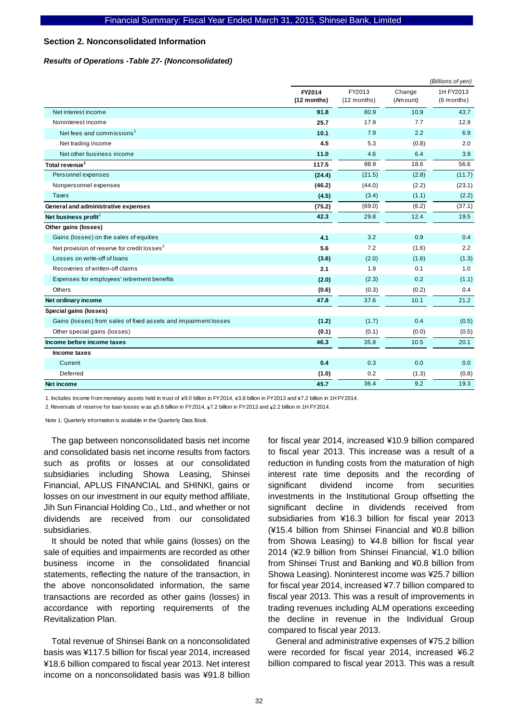#### **Section 2. Nonconsolidated Information**

#### *Results of Operations -Table 27- (Nonconsolidated)*

|                                                                 |                       | (Billions of yen)       |                    |                         |
|-----------------------------------------------------------------|-----------------------|-------------------------|--------------------|-------------------------|
|                                                                 | FY2014<br>(12 months) | FY2013<br>$(12$ months) | Change<br>(Amount) | 1H FY2013<br>(6 months) |
| Net interest income                                             | 91.8                  | 80.9                    | 10.9               | 43.7                    |
| Noninterest income                                              | 25.7                  | 17.9                    | 7.7                | 12.9                    |
| Net fees and commissions <sup>1</sup>                           | 10.1                  | 7.9                     | 2.2                | 6.9                     |
| Net trading income                                              | 4.5                   | 5.3                     | (0.8)              | 2.0                     |
| Net other business income                                       | 11.0                  | 4.6                     | 6.4                | 3.9                     |
| Total revenue <sup>1</sup>                                      | 117.5                 | 98.9                    | 18.6               | 56.6                    |
| Personnel expenses                                              | (24.4)                | (21.5)                  | (2.8)              | (11.7)                  |
| Nonpersonnel expenses                                           | (46.2)                | (44.0)                  | (2.2)              | (23.1)                  |
| <b>Taxes</b>                                                    | (4.5)                 | (3.4)                   | (1.1)              | (2.2)                   |
| General and administrative expenses                             | (75.2)                | (69.0)                  | (6.2)              | (37.1)                  |
| Net business profit <sup>1</sup>                                | 42.3                  | 29.8                    | 12.4               | 19.5                    |
| Other gains (losses)                                            |                       |                         |                    |                         |
| Gains (losses) on the sales of equities                         | 4.1                   | 3.2                     | 0.9                | 0.4                     |
| Net provision of reserve for credit losses <sup>2</sup>         | 5.6                   | 7.2                     | (1.6)              | 2.2                     |
| Losses on write-off of loans                                    | (3.6)                 | (2.0)                   | (1.6)              | (1.3)                   |
| Recoveries of written-off claims                                | 2.1                   | 1.9                     | 0.1                | 1.0                     |
| Expenses for employees' retirement benefits                     | (2.0)                 | (2.3)                   | 0.2                | (1.1)                   |
| Others                                                          | (0.6)                 | (0.3)                   | (0.2)              | 0.4                     |
| Net ordinary income                                             | 47.8                  | 37.6                    | 10.1               | 21.2                    |
| Special gains (losses)                                          |                       |                         |                    |                         |
| Gains (losses) from sales of fixed assets and impairment losses | (1.2)                 | (1.7)                   | 0.4                | (0.5)                   |
| Other special gains (losses)                                    | (0.1)                 | (0.1)                   | (0.0)              | (0.5)                   |
| Income before income taxes                                      | 46.3                  | 35.8                    | 10.5               | 20.1                    |
| Income taxes                                                    |                       |                         |                    |                         |
| Current                                                         | 0.4                   | 0.3                     | 0.0                | 0.0                     |
| Deferred                                                        | (1.0)                 | 0.2                     | (1.3)              | (0.8)                   |
| <b>Net income</b>                                               | 45.7                  | 36.4                    | 9.2                | 19.3                    |

1. Includes income from monetary assets held in trust of \9.0 billion in FY2014, \3.8 billion in FY2013 and \7.2 billion in 1H FY2014.

2. Reversals of reserve for loan losses w as \5.6 billion in FY2014, \7.2 billion in FY2013 and \2.2 billion in 1H FY2014.

Note 1: Quarterly information is available in the Quarterly Data Book.

The gap between nonconsolidated basis net income and consolidated basis net income results from factors such as profits or losses at our consolidated subsidiaries including Showa Leasing, Shinsei Financial, APLUS FINANCIAL and SHINKI, gains or losses on our investment in our equity method affiliate, Jih Sun Financial Holding Co., Ltd., and whether or not dividends are received from our consolidated subsidiaries.

It should be noted that while gains (losses) on the sale of equities and impairments are recorded as other business income in the consolidated financial statements, reflecting the nature of the transaction, in the above nonconsolidated information, the same transactions are recorded as other gains (losses) in accordance with reporting requirements of the Revitalization Plan.

Total revenue of Shinsei Bank on a nonconsolidated basis was ¥117.5 billion for fiscal year 2014, increased ¥18.6 billion compared to fiscal year 2013. Net interest income on a nonconsolidated basis was ¥91.8 billion

for fiscal year 2014, increased ¥10.9 billion compared to fiscal year 2013. This increase was a result of a reduction in funding costs from the maturation of high interest rate time deposits and the recording of significant dividend income from securities investments in the Institutional Group offsetting the significant decline in dividends received from subsidiaries from ¥16.3 billion for fiscal year 2013 (¥15.4 billion from Shinsei Financial and ¥0.8 billion from Showa Leasing) to ¥4.8 billion for fiscal year 2014 (¥2.9 billion from Shinsei Financial, ¥1.0 billion from Shinsei Trust and Banking and ¥0.8 billion from Showa Leasing). Noninterest income was ¥25.7 billion for fiscal year 2014, increased ¥7.7 billion compared to fiscal year 2013. This was a result of improvements in trading revenues including ALM operations exceeding the decline in revenue in the Individual Group compared to fiscal year 2013.

General and administrative expenses of ¥75.2 billion were recorded for fiscal year 2014, increased ¥6.2 billion compared to fiscal year 2013. This was a result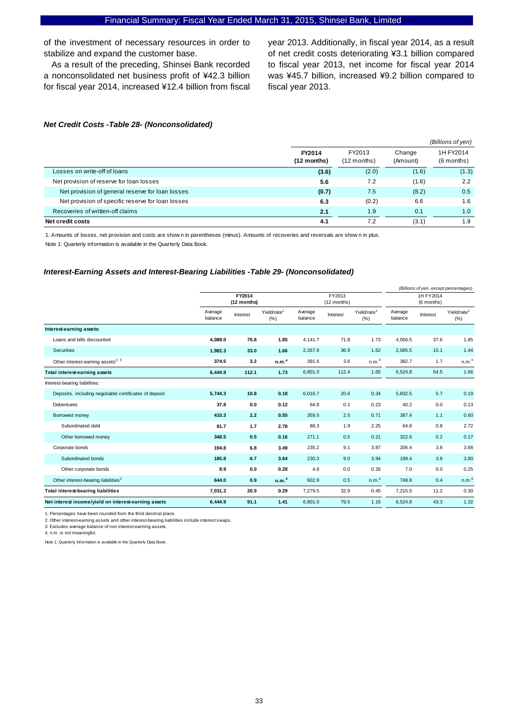of the investment of necessary resources in order to stabilize and expand the customer base.

As a result of the preceding, Shinsei Bank recorded a nonconsolidated net business profit of ¥42.3 billion for fiscal year 2014, increased ¥12.4 billion from fiscal

year 2013. Additionally, in fiscal year 2014, as a result of net credit costs deteriorating ¥3.1 billion compared to fiscal year 2013, net income for fiscal year 2014 was ¥45.7 billion, increased ¥9.2 billion compared to fiscal year 2013.

#### *Net Credit Costs -Table 28- (Nonconsolidated)*

|                                                   |                       |                         |                    | (Billions of yen)       |
|---------------------------------------------------|-----------------------|-------------------------|--------------------|-------------------------|
|                                                   | FY2014<br>(12 months) | FY2013<br>$(12$ months) | Change<br>(Amount) | 1H FY2014<br>(6 months) |
| Losses on write-off of loans                      | (3.6)                 | (2.0)                   | (1.6)              | (1.3)                   |
| Net provision of reserve for loan losses          | 5.6                   | 7.2                     | (1.6)              | 2.2                     |
| Net provision of general reserve for loan losses  | (0.7)                 | 7.5                     | (8.2)              | 0.5                     |
| Net provision of specific reserve for loan losses | 6.3                   | (0.2)                   | 6.6                | 1.6                     |
| Recoveries of written-off claims                  | 2.1                   | 1.9                     | 0.1                | 1.0                     |
| Net credit costs                                  | 4.1                   | 7.2                     | (3.1)              | 1.9                     |

1. Amounts of losses, net provision and costs are show n in parentheses (minus). Amounts of recoveries and reversals are show n in plus.

Note 1: Quarterly information is available in the Quarterly Data Book.

#### *Interest-Earning Assets and Interest-Bearing Liabilities -Table 29- (Nonconsolidated)*

|                                                        |                       |          |                                |                       |          |                                 |                         | (Billions of yen, except percentages) |                                |
|--------------------------------------------------------|-----------------------|----------|--------------------------------|-----------------------|----------|---------------------------------|-------------------------|---------------------------------------|--------------------------------|
|                                                        | FY2014<br>(12 months) |          |                                | FY2013<br>(12 months) |          |                                 | 1H FY2014<br>(6 months) |                                       |                                |
|                                                        | Average<br>balance    | Interest | Yield/rate <sup>1</sup><br>(%) | Average<br>balance    | Interest | Yield/rate <sup>1</sup><br>(% ) | Average<br>balance      | Interest                              | Yield/rate <sup>1</sup><br>(%) |
| Interest-earning assets:                               |                       |          |                                |                       |          |                                 |                         |                                       |                                |
| Loans and bills discounted                             | 4.088.0               | 75.8     | 1.85                           | 4.141.7               | 71.8     | 1.73                            | 4.056.5                 | 37.6                                  | 1.85                           |
| Securities                                             | 1,982.3               | 33.0     | 1.66                           | 2,267.6               | 36.9     | 1.62                            | 2,085.5                 | 15.1                                  | 1.44                           |
| Other interest-earning assets <sup>2, 3</sup>          | 374.5                 | 3.2      | n.m. <sup>4</sup>              | 391.6                 | 3.6      | n.m. <sup>4</sup>               | 382.7                   | 1.7                                   | n.m. <sup>4</sup>              |
| Total interest-earning assets                          | 6,444.9               | 112.1    | 1.73                           | 6,801.0               | 112.4    | 1.65                            | 6,524.8                 | 54.5                                  | 1.66                           |
| Interest-bearing liabilities:                          |                       |          |                                |                       |          |                                 |                         |                                       |                                |
| Deposits, including negotiable certificates of deposit | 5,744.3               | 10.8     | 0.18                           | 6,016.7               | 20.6     | 0.34                            | 5,832.5                 | 5.7                                   | 0.19                           |
| Debentures                                             | 37.8                  | 0.0      | 0.12                           | 64.8                  | 0.1      | 0.23                            | 40.2                    | 0.0                                   | 0.13                           |
| Borrowed money                                         | 410.3                 | 2.2      | 0.55                           | 359.5                 | 2.5      | 0.71                            | 387.4                   | 1.1                                   | 0.60                           |
| Subordinated debt                                      | 61.7                  | 1.7      | 2.78                           | 88.3                  | 1.9      | 2.25                            | 64.8                    | 0.8                                   | 2.72                           |
| Other borrowed money                                   | 348.5                 | 0.5      | 0.16                           | 271.1                 | 0.5      | 0.21                            | 322.6                   | 0.2                                   | 0.17                           |
| Corporate bonds                                        | 194.8                 | 6.8      | 3.49                           | 235.2                 | 9.1      | 3.87                            | 206.4                   | 3.8                                   | 3.68                           |
| Subordinated bonds                                     | 185.8                 | 6.7      | 3.64                           | 230.3                 | 9.0      | 3.94                            | 199.4                   | 3.8                                   | 3.80                           |
| Other corporate bonds                                  | 8.9                   | 0.0      | 0.28                           | 4.8                   | 0.0      | 0.26                            | 7.0                     | 0.0                                   | 0.25                           |
| Other interest-bearing liabilities <sup>2</sup>        | 644.0                 | 0.9      | n.m. <sup>4</sup>              | 602.9                 | 0.5      | n.m. <sup>4</sup>               | 748.8                   | 0.4                                   | n.m. <sup>4</sup>              |
| <b>Total interest-bearing liabilities</b>              | 7,031.3               | 20.9     | 0.29                           | 7,279.5               | 32.9     | 0.45                            | 7,215.5                 | 11.2                                  | 0.30                           |
| Net interest income/yield on interest-earning assets   | 6,444.9               | 91.1     | 1.41                           | 6,801.0               | 79.5     | 1.16                            | 6,524.8                 | 43.3                                  | 1.32                           |

1. Percentages have been rounded from the thrid decimal place.

2. Other interest-earning assets and other interest-bearing liabilities include interest swaps.

3. Excludes average balance of non interest-earning assets. 4. n.m. is not meaningful.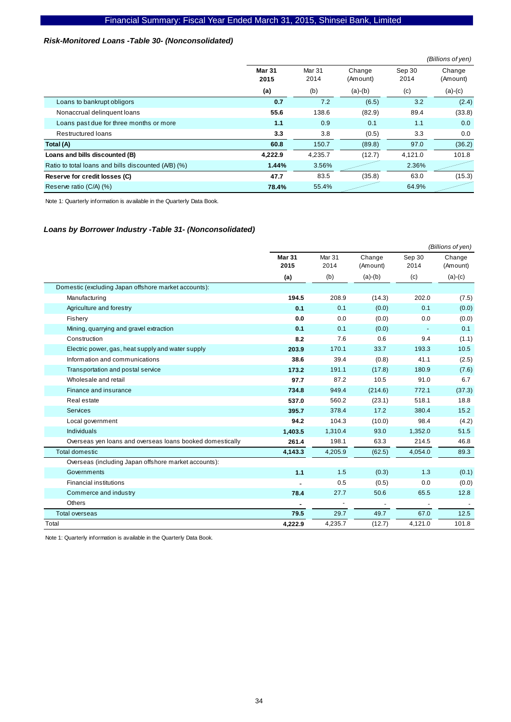#### *Risk-Monitored Loans -Table 30- (Nonconsolidated)*

|                                                     |                       |                |                    |                | (Billions of yen)  |
|-----------------------------------------------------|-----------------------|----------------|--------------------|----------------|--------------------|
|                                                     | <b>Mar 31</b><br>2015 | Mar 31<br>2014 | Change<br>(Amount) | Sep 30<br>2014 | Change<br>(Amount) |
|                                                     | (a)                   | (b)            | $(a)-(b)$          | (c)            | $(a)-(c)$          |
| Loans to bankrupt obligors                          | 0.7                   | 7.2            | (6.5)              | 3.2            | (2.4)              |
| Nonaccrual delinquent loans                         | 55.6                  | 138.6          | (82.9)             | 89.4           | (33.8)             |
| Loans past due for three months or more             | 1.1                   | 0.9            | 0.1                | 1.1            | 0.0                |
| <b>Restructured loans</b>                           | 3.3                   | 3.8            | (0.5)              | 3.3            | 0.0                |
| Total (A)                                           | 60.8                  | 150.7          | (89.8)             | 97.0           | (36.2)             |
| Loans and bills discounted (B)                      | 4,222.9               | 4.235.7        | (12.7)             | 4,121.0        | 101.8              |
| Ratio to total loans and bills discounted (A/B) (%) | 1.44%                 | 3.56%          |                    | 2.36%          |                    |
| Reserve for credit losses (C)                       | 47.7                  | 83.5           | (35.8)             | 63.0           | (15.3)             |
| Reserve ratio (C/A) (%)                             | 78.4%                 | 55.4%          |                    | 64.9%          |                    |

Note 1: Quarterly information is available in the Quarterly Data Book.

#### *Loans by Borrower Industry -Table 31- (Nonconsolidated)*

|                                                           |                       |                           |                    |                | (Billions of yen)  |
|-----------------------------------------------------------|-----------------------|---------------------------|--------------------|----------------|--------------------|
|                                                           | <b>Mar 31</b><br>2015 | Mar <sub>31</sub><br>2014 | Change<br>(Amount) | Sep 30<br>2014 | Change<br>(Amount) |
|                                                           | (a)                   | (b)                       | $(a)-(b)$          | (c)            | $(a)-(c)$          |
| Domestic (excluding Japan offshore market accounts):      |                       |                           |                    |                |                    |
| Manufacturing                                             | 194.5                 | 208.9                     | (14.3)             | 202.0          | (7.5)              |
| Agriculture and forestry                                  | 0.1                   | 0.1                       | (0.0)              | 0.1            | (0.0)              |
| Fishery                                                   | 0.0                   | 0.0                       | (0.0)              | 0.0            | (0.0)              |
| Mining, quarrying and gravel extraction                   | 0.1                   | 0.1                       | (0.0)              |                | 0.1                |
| Construction                                              | 8.2                   | 7.6                       | 0.6                | 9.4            | (1.1)              |
| Electric power, gas, heat supply and water supply         | 203.9                 | 170.1                     | 33.7               | 193.3          | 10.5               |
| Information and communications                            | 38.6                  | 39.4                      | (0.8)              | 41.1           | (2.5)              |
| Transportation and postal service                         | 173.2                 | 191.1                     | (17.8)             | 180.9          | (7.6)              |
| Wholesale and retail                                      | 97.7                  | 87.2                      | 10.5               | 91.0           | 6.7                |
| Finance and insurance                                     | 734.8                 | 949.4                     | (214.6)            | 772.1          | (37.3)             |
| Real estate                                               | 537.0                 | 560.2                     | (23.1)             | 518.1          | 18.8               |
| <b>Services</b>                                           | 395.7                 | 378.4                     | 17.2               | 380.4          | 15.2               |
| Local government                                          | 94.2                  | 104.3                     | (10.0)             | 98.4           | (4.2)              |
| <b>Individuals</b>                                        | 1,403.5               | 1,310.4                   | 93.0               | 1,352.0        | 51.5               |
| Overseas yen loans and overseas loans booked domestically | 261.4                 | 198.1                     | 63.3               | 214.5          | 46.8               |
| <b>Total domestic</b>                                     | 4,143.3               | 4,205.9                   | (62.5)             | 4,054.0        | 89.3               |
| Overseas (including Japan offshore market accounts):      |                       |                           |                    |                |                    |
| Governments                                               | 1.1                   | 1.5                       | (0.3)              | 1.3            | (0.1)              |
| <b>Financial institutions</b>                             |                       | 0.5                       | (0.5)              | 0.0            | (0.0)              |
| Commerce and industry                                     | 78.4                  | 27.7                      | 50.6               | 65.5           | 12.8               |
| <b>Others</b>                                             |                       |                           |                    |                |                    |
| <b>Total overseas</b>                                     | 79.5                  | 29.7                      | 49.7               | 67.0           | 12.5               |
| Total                                                     | 4,222.9               | 4,235.7                   | (12.7)             | 4,121.0        | 101.8              |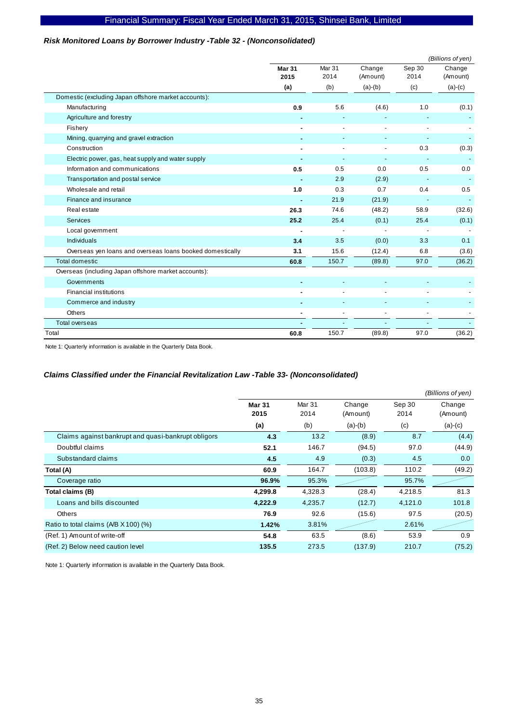#### *Risk Monitored Loans by Borrower Industry -Table 32 - (Nonconsolidated)*

|                                                           |                       |                |                          |                          | (Billions of yen)  |
|-----------------------------------------------------------|-----------------------|----------------|--------------------------|--------------------------|--------------------|
|                                                           | <b>Mar 31</b><br>2015 | Mar 31<br>2014 | Change<br>(Amount)       | Sep 30<br>2014           | Change<br>(Amount) |
|                                                           | (a)                   | (b)            | $(a)-(b)$                | (c)                      | $(a)-(c)$          |
| Domestic (excluding Japan offshore market accounts):      |                       |                |                          |                          |                    |
| Manufacturing                                             | 0.9                   | 5.6            | (4.6)                    | 1.0                      | (0.1)              |
| Agriculture and forestry                                  |                       |                |                          |                          |                    |
| Fishery                                                   |                       |                |                          |                          |                    |
| Mining, quarrying and gravel extraction                   |                       |                |                          |                          |                    |
| Construction                                              |                       |                |                          | 0.3                      | (0.3)              |
| Electric power, gas, heat supply and water supply         | ٠                     |                | $\overline{\phantom{a}}$ | $\overline{\phantom{a}}$ |                    |
| Information and communications                            | 0.5                   | 0.5            | 0.0                      | 0.5                      | 0.0                |
| Transportation and postal service                         |                       | 2.9            | (2.9)                    |                          |                    |
| Wholesale and retail                                      | 1.0                   | 0.3            | 0.7                      | 0.4                      | 0.5                |
| Finance and insurance                                     |                       | 21.9           | (21.9)                   |                          |                    |
| Real estate                                               | 26.3                  | 74.6           | (48.2)                   | 58.9                     | (32.6)             |
| Services                                                  | 25.2                  | 25.4           | (0.1)                    | 25.4                     | (0.1)              |
| Local government                                          |                       |                |                          | $\overline{\phantom{a}}$ |                    |
| Individuals                                               | 3.4                   | 3.5            | (0.0)                    | 3.3                      | 0.1                |
| Overseas yen loans and overseas loans booked domestically | 3.1                   | 15.6           | (12.4)                   | 6.8                      | (3.6)              |
| <b>Total domestic</b>                                     | 60.8                  | 150.7          | (89.8)                   | 97.0                     | (36.2)             |
| Overseas (including Japan offshore market accounts):      |                       |                |                          |                          |                    |
| Governments                                               |                       |                |                          |                          |                    |
| <b>Financial institutions</b>                             |                       |                |                          |                          |                    |
| Commerce and industry                                     |                       |                |                          |                          |                    |
| Others                                                    |                       |                | ÷,                       | ÷,                       |                    |
| <b>Total overseas</b>                                     |                       |                |                          |                          |                    |
| Total                                                     | 60.8                  | 150.7          | (89.8)                   | 97.0                     | (36.2)             |

Note 1: Quarterly information is available in the Quarterly Data Book.

#### *Claims Classified under the Financial Revitalization Law -Table 33- (Nonconsolidated)*

|                                                     |                       |                           |                    |                | (Billions of yen)  |
|-----------------------------------------------------|-----------------------|---------------------------|--------------------|----------------|--------------------|
|                                                     | <b>Mar 31</b><br>2015 | Mar <sub>31</sub><br>2014 | Change<br>(Amount) | Sep 30<br>2014 | Change<br>(Amount) |
|                                                     | (a)                   | (b)                       | $(a)-(b)$          | (c)            | $(a)-(c)$          |
| Claims against bankrupt and quasi-bankrupt obligors | 4.3                   | 13.2                      | (8.9)              | 8.7            | (4.4)              |
| Doubtful claims                                     | 52.1                  | 146.7                     | (94.5)             | 97.0           | (44.9)             |
| Substandard claims                                  | 4.5                   | 4.9                       | (0.3)              | 4.5            | 0.0                |
| Total (A)                                           | 60.9                  | 164.7                     | (103.8)            | 110.2          | (49.2)             |
| Coverage ratio                                      | 96.9%                 | 95.3%                     |                    | 95.7%          |                    |
| Total claims (B)                                    | 4,299.8               | 4,328.3                   | (28.4)             | 4,218.5        | 81.3               |
| Loans and bills discounted                          | 4,222.9               | 4,235.7                   | (12.7)             | 4,121.0        | 101.8              |
| <b>Others</b>                                       | 76.9                  | 92.6                      | (15.6)             | 97.5           | (20.5)             |
| Ratio to total claims (A/B X 100) (%)               | 1.42%                 | 3.81%                     |                    | 2.61%          |                    |
| (Ref. 1) Amount of write-off                        | 54.8                  | 63.5                      | (8.6)              | 53.9           | 0.9                |
| (Ref. 2) Below need caution level                   | 135.5                 | 273.5                     | (137.9)            | 210.7          | (75.2)             |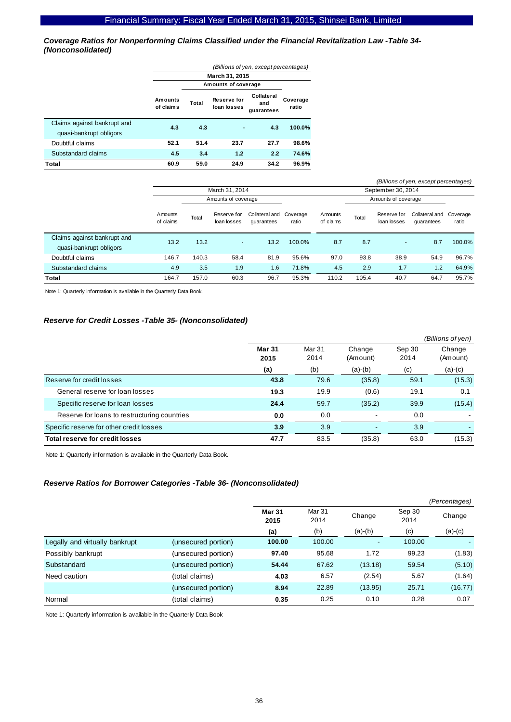*Coverage Ratios for Nonperforming Claims Classified under the Financial Revitalization Law -Table 34- (Nonconsolidated)* 

|                                                        | (Billions of yen, except percentages) |                     |                                   |                                 |                   |  |  |  |  |
|--------------------------------------------------------|---------------------------------------|---------------------|-----------------------------------|---------------------------------|-------------------|--|--|--|--|
|                                                        | March 31, 2015                        |                     |                                   |                                 |                   |  |  |  |  |
|                                                        |                                       | Amounts of coverage |                                   |                                 |                   |  |  |  |  |
|                                                        | Amounts<br>of claims                  | Total               | <b>Reserve for</b><br>loan losses | Collateral<br>and<br>guarantees | Coverage<br>ratio |  |  |  |  |
| Claims against bankrupt and<br>quasi-bankrupt obligors | 4.3                                   | 4.3                 |                                   | 4.3                             | $100.0\%$         |  |  |  |  |
| Doubtful claims                                        | 52.1                                  | 51.4                | 23.7                              | 27.7                            | 98.6%             |  |  |  |  |
| Substandard claims                                     | 4.5                                   | 3.4                 | 1.2                               | 2.2                             | 74.6%             |  |  |  |  |
| Total                                                  | 60.9                                  | 59.0                | 24.9                              | 34.2                            | 96.9%             |  |  |  |  |

|                                                        |                      |       |                            |                                       |        |                      |       |                            | (Billions of yen, except percentages) |                   |
|--------------------------------------------------------|----------------------|-------|----------------------------|---------------------------------------|--------|----------------------|-------|----------------------------|---------------------------------------|-------------------|
|                                                        |                      |       | March 31, 2014             |                                       |        |                      |       | September 30, 2014         |                                       |                   |
|                                                        |                      |       | Amounts of coverage        |                                       |        |                      |       | Amounts of coverage        |                                       |                   |
|                                                        | Amounts<br>of claims | Total | Reserve for<br>loan losses | Collateral and Coverage<br>quarantees | ratio  | Amounts<br>of claims | Total | Reserve for<br>loan losses | Collateral and<br>quarantees          | Coverage<br>ratio |
| Claims against bankrupt and<br>quasi-bankrupt obligors | 13.2                 | 13.2  | $\sim$                     | 13.2                                  | 100.0% | 8.7                  | 8.7   | $\sim$                     | 8.7                                   | 100.0%            |
| Doubtful claims                                        | 146.7                | 140.3 | 58.4                       | 81.9                                  | 95.6%  | 97.0                 | 93.8  | 38.9                       | 54.9                                  | 96.7%             |
| Substandard claims                                     | 4.9                  | 3.5   | 1.9                        | 1.6                                   | 71.8%  | 4.5                  | 2.9   | 1.7                        | 1.2                                   | 64.9%             |
| Total                                                  | 164.7                | 157.0 | 60.3                       | 96.7                                  | 95.3%  | 110.2                | 105.4 | 40.7                       | 64.7                                  | 95.7%             |

Note 1: Quarterly information is available in the Quarterly Data Book.

#### *Reserve for Credit Losses -Table 35- (Nonconsolidated)*

|                                              |                       |                |                    |                | (Billions of yen)  |
|----------------------------------------------|-----------------------|----------------|--------------------|----------------|--------------------|
|                                              | <b>Mar 31</b><br>2015 | Mar 31<br>2014 | Change<br>(Amount) | Sep 30<br>2014 | Change<br>(Amount) |
|                                              | (a)                   | (b)            | $(a)-(b)$          | (c)            | $(a)-(c)$          |
| Reserve for credit losses                    | 43.8                  | 79.6           | (35.8)             | 59.1           | (15.3)             |
| General reserve for loan losses              | 19.3                  | 19.9           | (0.6)              | 19.1           | 0.1                |
| Specific reserve for loan losses             | 24.4                  | 59.7           | (35.2)             | 39.9           | (15.4)             |
| Reserve for loans to restructuring countries | 0.0                   | 0.0            | ۰                  | 0.0            |                    |
| Specific reserve for other credit losses     | 3.9                   | 3.9            |                    | 3.9            |                    |
| Total reserve for credit losses              | 47.7                  | 83.5           | (35.8)             | 63.0           | (15.3)             |

Note 1: Quarterly information is available in the Quarterly Data Book.

#### *Reserve Ratios for Borrower Categories -Table 36- (Nonconsolidated)*

|                                |                     |                       |                |           |                | (Percentages) |
|--------------------------------|---------------------|-----------------------|----------------|-----------|----------------|---------------|
|                                |                     | <b>Mar 31</b><br>2015 | Mar 31<br>2014 | Change    | Sep 30<br>2014 | Change        |
|                                |                     | (a)                   | (b)            | $(a)-(b)$ | (c)            | $(a)-(c)$     |
| Legally and virtually bankrupt | (unsecured portion) | 100.00                | 100.00         | ٠         | 100.00         |               |
| Possibly bankrupt              | (unsecured portion) | 97.40                 | 95.68          | 1.72      | 99.23          | (1.83)        |
| Substandard                    | (unsecured portion) | 54.44                 | 67.62          | (13.18)   | 59.54          | (5.10)        |
| Need caution                   | (total claims)      | 4.03                  | 6.57           | (2.54)    | 5.67           | (1.64)        |
|                                | (unsecured portion) | 8.94                  | 22.89          | (13.95)   | 25.71          | (16.77)       |
| Normal                         | (total claims)      | 0.35                  | 0.25           | 0.10      | 0.28           | 0.07          |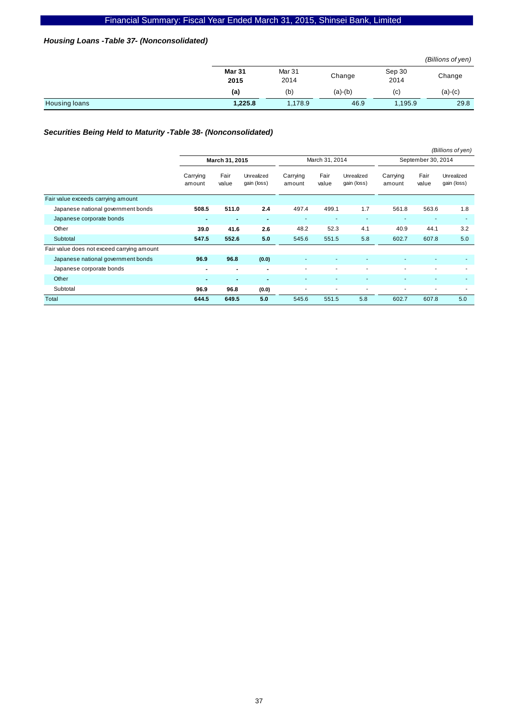### *Housing Loans -Table 37- (Nonconsolidated)*

|                      |                       |                |           |                | (Billions of yen) |
|----------------------|-----------------------|----------------|-----------|----------------|-------------------|
|                      | <b>Mar 31</b><br>2015 | Mar 31<br>2014 | Change    | Sep 30<br>2014 | Change            |
|                      | (a)                   | (b)            | $(a)-(b)$ | (c)            | $(a)-(c)$         |
| <b>Housing loans</b> | 1,225.8               | 1,178.9        | 46.9      | 1,195.9        | 29.8              |

## *Securities Being Held to Maturity -Table 38- (Nonconsolidated)*

|                                            |                    |                          |                           |                    |               |                           |                    |               | (Billions of yen)         |
|--------------------------------------------|--------------------|--------------------------|---------------------------|--------------------|---------------|---------------------------|--------------------|---------------|---------------------------|
|                                            | March 31, 2015     |                          | March 31, 2014            |                    |               | September 30, 2014        |                    |               |                           |
|                                            | Carrying<br>amount | Fair<br>value            | Unrealized<br>gain (loss) | Carrying<br>amount | Fair<br>value | Unrealized<br>gain (loss) | Carrying<br>amount | Fair<br>value | Unrealized<br>gain (loss) |
| Fair value exceeds carrying amount         |                    |                          |                           |                    |               |                           |                    |               |                           |
| Japanese national government bonds         | 508.5              | 511.0                    | 2.4                       | 497.4              | 499.1         | 1.7                       | 561.8              | 563.6         | 1.8                       |
| Japanese corporate bonds                   | $\blacksquare$     | $\blacksquare$           | $\blacksquare$            | ٠                  |               |                           |                    |               | ٠                         |
| Other                                      | 39.0               | 41.6                     | 2.6                       | 48.2               | 52.3          | 4.1                       | 40.9               | 44.1          | 3.2                       |
| Subtotal                                   | 547.5              | 552.6                    | 5.0                       | 545.6              | 551.5         | 5.8                       | 602.7              | 607.8         | 5.0                       |
| Fair value does not exceed carrying amount |                    |                          |                           |                    |               |                           |                    |               |                           |
| Japanese national government bonds         | 96.9               | 96.8                     | (0.0)                     |                    |               |                           |                    |               | ٠                         |
| Japanese corporate bonds                   | $\blacksquare$     | $\blacksquare$           | $\blacksquare$            | ٠                  |               |                           |                    |               | ۰                         |
| Other                                      | $\blacksquare$     | $\overline{\phantom{a}}$ | $\blacksquare$            | ٠                  |               |                           |                    |               | ٠                         |
| Subtotal                                   | 96.9               | 96.8                     | (0.0)                     | ٠                  |               |                           |                    |               | ٠                         |
| Total                                      | 644.5              | 649.5                    | 5.0                       | 545.6              | 551.5         | 5.8                       | 602.7              | 607.8         | 5.0                       |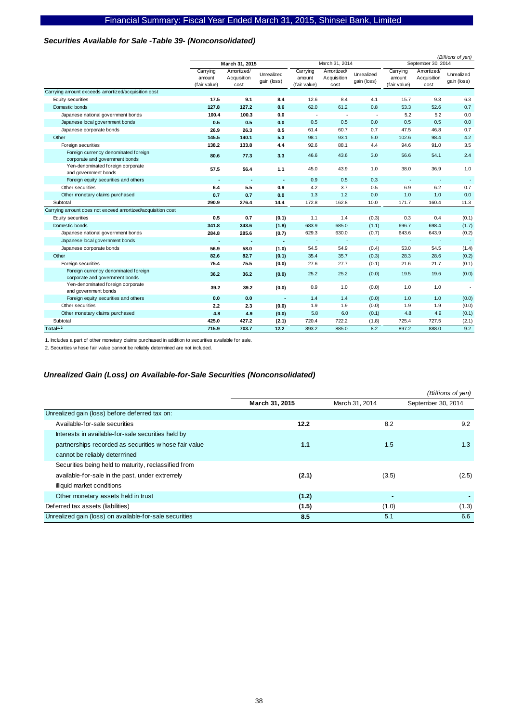## *Securities Available for Sale -Table 39- (Nonconsolidated)*

|                                                                        |                                    |                                   |                           |                                    |                                   |                           | (Billions of yen)                  |                                   |                           |  |
|------------------------------------------------------------------------|------------------------------------|-----------------------------------|---------------------------|------------------------------------|-----------------------------------|---------------------------|------------------------------------|-----------------------------------|---------------------------|--|
|                                                                        | March 31, 2015                     |                                   |                           |                                    | March 31, 2014                    |                           |                                    | September 30, 2014                |                           |  |
|                                                                        | Carrying<br>amount<br>(fair value) | Amortized/<br>Acquisition<br>cost | Unrealized<br>gain (loss) | Carrying<br>amount<br>(fair value) | Amortized/<br>Acquisition<br>cost | Unrealized<br>gain (loss) | Carrying<br>amount<br>(fair value) | Amortized/<br>Acquisition<br>cost | Unrealized<br>gain (loss) |  |
| Carrying amount exceeds amortized/acquisition cost                     |                                    |                                   |                           |                                    |                                   |                           |                                    |                                   |                           |  |
| Equity securities                                                      | 17.5                               | 9.1                               | 8.4                       | 12.6                               | 8.4                               | 4.1                       | 15.7                               | 9.3                               | 6.3                       |  |
| Domestic bonds                                                         | 127.8                              | 127.2                             | 0.6                       | 62.0                               | 61.2                              | 0.8                       | 53.3                               | 52.6                              | 0.7                       |  |
| Japanese national government bonds                                     | 100.4                              | 100.3                             | 0.0                       | $\blacksquare$                     | $\overline{\phantom{a}}$          | $\overline{\phantom{a}}$  | 5.2                                | 5.2                               | 0.0                       |  |
| Japanese local government bonds                                        | 0.5                                | 0.5                               | 0.0                       | 0.5                                | 0.5                               | 0.0                       | 0.5                                | 0.5                               | 0.0                       |  |
| Japanese corporate bonds                                               | 26.9                               | 26.3                              | 0.5                       | 61.4                               | 60.7                              | 0.7                       | 47.5                               | 46.8                              | 0.7                       |  |
| Other                                                                  | 145.5                              | 140.1                             | 5.3                       | 98.1                               | 93.1                              | 5.0                       | 102.6                              | 98.4                              | 4.2                       |  |
| Foreign securities                                                     | 138.2                              | 133.8                             | 4.4                       | 92.6                               | 88.1                              | 4.4                       | 94.6                               | 91.0                              | 3.5                       |  |
| Foreign currency denominated foreign<br>corporate and government bonds | 80.6                               | 77.3                              | 3.3                       | 46.6                               | 43.6                              | 3.0                       | 56.6                               | 54.1                              | 2.4                       |  |
| Yen-denominated foreign corporate<br>and government bonds              | 57.5                               | 56.4                              | 1.1                       | 45.0                               | 43.9                              | 1.0                       | 38.0                               | 36.9                              | 1.0                       |  |
| Foreign equity securities and others                                   | ٠                                  | $\overline{\phantom{a}}$          |                           | 0.9                                | 0.5                               | 0.3                       |                                    | $\overline{\phantom{a}}$          | $\overline{\phantom{a}}$  |  |
| Other securities                                                       | 6.4                                | 5.5                               | 0.9                       | 4.2                                | 3.7                               | 0.5                       | 6.9                                | 6.2                               | 0.7                       |  |
| Other monetary claims purchased                                        | 0.7                                | 0.7                               | 0.0                       | 1.3                                | 1.2                               | 0.0                       | 1.0                                | 1.0                               | 0.0                       |  |
| Subtotal                                                               | 290.9                              | 276.4                             | 14.4                      | 172.8                              | 162.8                             | 10.0                      | 171.7                              | 160.4                             | 11.3                      |  |
| Carrying amount does not exceed amortized/acquisition cost             |                                    |                                   |                           |                                    |                                   |                           |                                    |                                   |                           |  |
| Equity securities                                                      | 0.5                                | 0.7                               | (0.1)                     | 1.1                                | 1.4                               | (0.3)                     | 0.3                                | 0.4                               | (0.1)                     |  |
| Domestic bonds                                                         | 341.8                              | 343.6                             | (1.8)                     | 683.9                              | 685.0                             | (1.1)                     | 696.7                              | 698.4                             | (1.7)                     |  |
| Japanese national government bonds                                     | 284.8                              | 285.6                             | (0.7)                     | 629.3                              | 630.0                             | (0.7)                     | 643.6                              | 643.9                             | (0.2)                     |  |
| Japanese local government bonds                                        | ٠                                  |                                   | $\overline{\phantom{a}}$  | $\sim$                             | $\sim$                            | $\overline{\phantom{a}}$  | <b>.</b>                           | $\overline{\phantom{a}}$          | $\overline{\phantom{a}}$  |  |
| Japanese corporate bonds                                               | 56.9                               | 58.0                              | (1.0)                     | 54.5                               | 54.9                              | (0.4)                     | 53.0                               | 54.5                              | (1.4)                     |  |
| Other                                                                  | 82.6                               | 82.7                              | (0.1)                     | 35.4                               | 35.7                              | (0.3)                     | 28.3                               | 28.6                              | (0.2)                     |  |
| Foreign securities                                                     | 75.4                               | 75.5                              | (0.0)                     | 27.6                               | 27.7                              | (0.1)                     | 21.6                               | 21.7                              | (0.1)                     |  |
| Foreign currency denominated foreign<br>corporate and government bonds | 36.2                               | 36.2                              | (0.0)                     | 25.2                               | 25.2                              | (0.0)                     | 19.5                               | 19.6                              | (0.0)                     |  |
| Yen-denominated foreign corporate<br>and government bonds              | 39.2                               | 39.2                              | (0.0)                     | 0.9                                | 1.0                               | (0.0)                     | 1.0                                | 1.0                               | $\blacksquare$            |  |
| Foreign equity securities and others                                   | 0.0                                | 0.0                               |                           | 1.4                                | 1.4                               | (0.0)                     | 1.0                                | 1.0                               | (0.0)                     |  |
| Other securities                                                       | 2.2                                | 2.3                               | (0.0)                     | 1.9                                | 1.9                               | (0.0)                     | 1.9                                | 1.9                               | (0.0)                     |  |
| Other monetary claims purchased                                        | 4.8                                | 4.9                               | (0.0)                     | 5.8                                | 6.0                               | (0.1)                     | 4.8                                | 4.9                               | (0.1)                     |  |
| Subtotal                                                               | 425.0                              | 427.2                             | (2.1)                     | 720.4                              | 722.2                             | (1.8)                     | 725.4                              | 727.5                             | (2.1)                     |  |
| Total <sup>1, 2</sup>                                                  | 715.9                              | 703.7                             | 12.2                      | 893.2                              | 885.0                             | 8.2                       | 897.2                              | 888.0                             | 9.2                       |  |

1. Includes a part of other monetary claims purchased in addition to securities available for sale.

2. Securities w hose fair value cannot be reliably determined are not included.

#### *Unrealized Gain (Loss) on Available-for-Sale Securities (Nonconsolidated)*

|                                                         |                |                          | (Billions of yen)  |
|---------------------------------------------------------|----------------|--------------------------|--------------------|
|                                                         | March 31, 2015 | March 31, 2014           | September 30, 2014 |
| Unrealized gain (loss) before deferred tax on:          |                |                          |                    |
| Available-for-sale securities                           | 12.2           | 8.2                      | 9.2                |
| Interests in available-for-sale securities held by      |                |                          |                    |
| partnerships recorded as securities whose fair value    | 1.1            | 1.5                      | 1.3                |
| cannot be reliably determined                           |                |                          |                    |
| Securities being held to maturity, reclassified from    |                |                          |                    |
| available-for-sale in the past, under extremely         | (2.1)          | (3.5)                    | (2.5)              |
| illiquid market conditions                              |                |                          |                    |
| Other monetary assets held in trust                     | (1.2)          | $\overline{\phantom{a}}$ |                    |
| Deferred tax assets (liabilities)                       | (1.5)          | (1.0)                    | (1.3)              |
| Unrealized gain (loss) on available-for-sale securities | 8.5            | 5.1                      | 6.6                |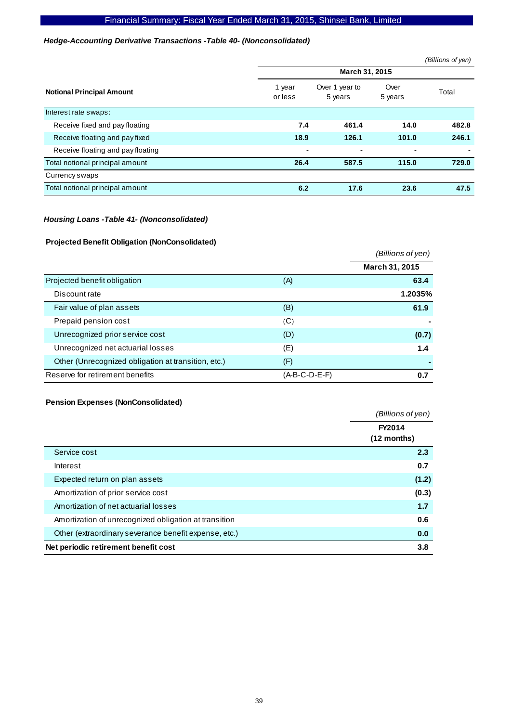#### *Hedge-Accounting Derivative Transactions -Table 40- (Nonconsolidated)*

|                                   |                   |                           |                 | (Billions of yen) |  |  |  |
|-----------------------------------|-------------------|---------------------------|-----------------|-------------------|--|--|--|
|                                   | March 31, 2015    |                           |                 |                   |  |  |  |
| <b>Notional Principal Amount</b>  | 1 year<br>or less | Over 1 year to<br>5 years | Over<br>5 years | Total             |  |  |  |
| Interest rate swaps:              |                   |                           |                 |                   |  |  |  |
| Receive fixed and pay floating    | 7.4               | 461.4                     | 14.0            | 482.8             |  |  |  |
| Receive floating and pay fixed    | 18.9              | 126.1                     | 101.0           | 246.1             |  |  |  |
| Receive floating and pay floating |                   | ۰                         | ٠               |                   |  |  |  |
| Total notional principal amount   | 26.4              | 587.5                     | 115.0           | 729.0             |  |  |  |
| Currency swaps                    |                   |                           |                 |                   |  |  |  |
| Total notional principal amount   | 6.2               | 17.6                      | 23.6            | 47.5              |  |  |  |

#### *Housing Loans -Table 41- (Nonconsolidated)*

### **Projected Benefit Obligation (NonConsolidated)**

|                                                     |               | (Billions of yen) |
|-----------------------------------------------------|---------------|-------------------|
|                                                     |               | March 31, 2015    |
| Projected benefit obligation                        | (A)           | 63.4              |
| Discount rate                                       |               | 1.2035%           |
| Fair value of plan assets                           | (B)           | 61.9              |
| Prepaid pension cost                                | (C)           |                   |
| Unrecognized prior service cost                     | (D)           | (0.7)             |
| Unrecognized net actuarial losses                   | (E)           | 1.4               |
| Other (Unrecognized obligation at transition, etc.) | (F)           |                   |
| Reserve for retirement benefits                     | (A-B-C-D-E-F) | 0.7               |

## **Pension Expenses (NonConsolidated)**

|                                                       | (Billions of yen)     |
|-------------------------------------------------------|-----------------------|
|                                                       | FY2014<br>(12 months) |
| Service cost                                          | 2.3                   |
| Interest                                              | 0.7                   |
| Expected return on plan assets                        | (1.2)                 |
| Amortization of prior service cost                    | (0.3)                 |
| Amortization of net actuarial losses                  | 1.7                   |
| Amortization of unrecognized obligation at transition | 0.6                   |
| Other (extraordinary severance benefit expense, etc.) | 0.0                   |
| Net periodic retirement benefit cost                  | 3.8                   |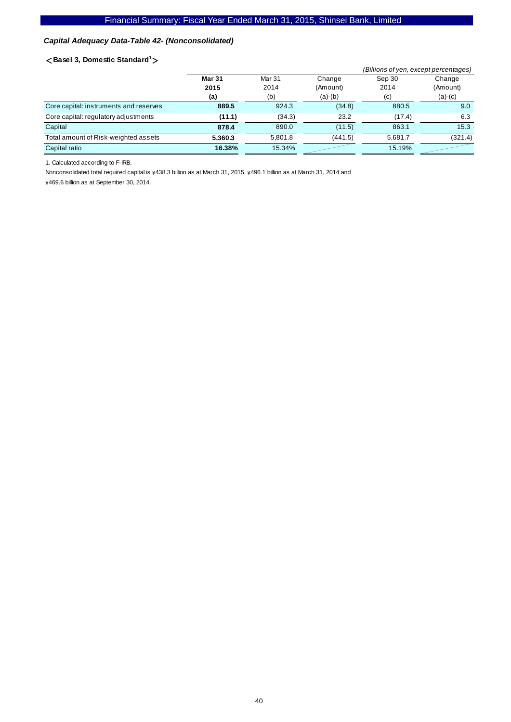## *Capital Adequacy Data-Table 42- (Nonconsolidated)*

#### <**Basel 3, Domestic Standard<sup>1</sup>** >

|                                        |               | (Billions of yen, except percentages) |           |                   |           |
|----------------------------------------|---------------|---------------------------------------|-----------|-------------------|-----------|
|                                        | <b>Mar 31</b> | Mar 31                                | Change    | Sep 30            | Change    |
|                                        | 2015          | 2014                                  | (Amount)  | 2014              | (Amount)  |
|                                        | (a)           | (b)                                   | $(a)-(b)$ | $\left( c\right)$ | $(a)-(c)$ |
| Core capital: instruments and reserves | 889.5         | 924.3                                 | (34.8)    | 880.5             | 9.0       |
| Core capital: regulatory adjustments   | (11.1)        | (34.3)                                | 23.2      | (17.4)            | 6.3       |
| Capital                                | 878.4         | 890.0                                 | (11.5)    | 863.1             | 15.3      |
| Total amount of Risk-weighted assets   | 5.360.3       | 5,801.8                               | (441.5)   | 5.681.7           | (321.4)   |
| Capital ratio                          | 16.38%        | 15.34%                                |           | 15.19%            |           |

1. Calculated according to F-IRB.

Nonconsolidated total required capital is  $\frac{1}{4}438.3$  billion as at March 31, 2015,  $\frac{1}{4}496.1$  billion as at March 31, 2014 and

\469.6 billion as at September 30, 2014.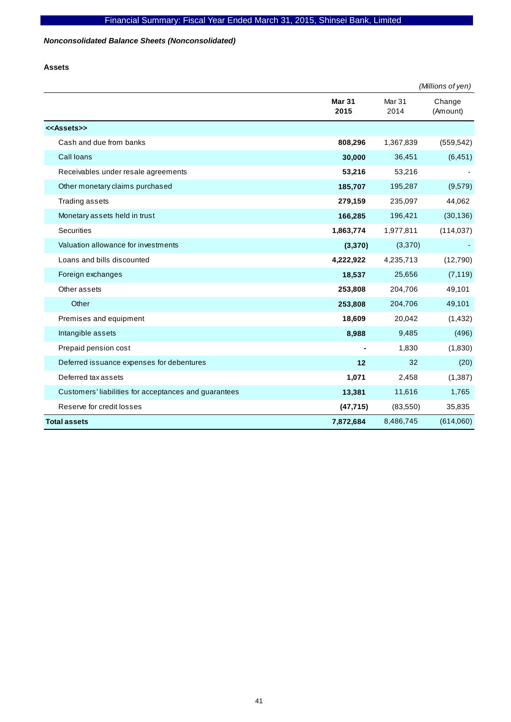## *Nonconsolidated Balance Sheets (Nonconsolidated)*

**Assets** 

|                                                       |                       |                           | (Millions of yen)  |
|-------------------------------------------------------|-----------------------|---------------------------|--------------------|
|                                                       | <b>Mar 31</b><br>2015 | Mar <sub>31</sub><br>2014 | Change<br>(Amount) |
| < <assets>&gt;</assets>                               |                       |                           |                    |
| Cash and due from banks                               | 808,296               | 1,367,839                 | (559, 542)         |
| Call loans                                            | 30,000                | 36,451                    | (6, 451)           |
| Receivables under resale agreements                   | 53,216                | 53,216                    |                    |
| Other monetary claims purchased                       | 185,707               | 195,287                   | (9,579)            |
| Trading assets                                        | 279,159               | 235,097                   | 44,062             |
| Monetary assets held in trust                         | 166,285               | 196,421                   | (30, 136)          |
| <b>Securities</b>                                     | 1,863,774             | 1,977,811                 | (114, 037)         |
| Valuation allowance for investments                   | (3, 370)              | (3,370)                   |                    |
| Loans and bills discounted                            | 4,222,922             | 4,235,713                 | (12,790)           |
| Foreign exchanges                                     | 18,537                | 25,656                    | (7, 119)           |
| Other assets                                          | 253,808               | 204,706                   | 49,101             |
| Other                                                 | 253,808               | 204,706                   | 49,101             |
| Premises and equipment                                | 18,609                | 20,042                    | (1, 432)           |
| Intangible assets                                     | 8,988                 | 9,485                     | (496)              |
| Prepaid pension cost                                  |                       | 1,830                     | (1,830)            |
| Deferred issuance expenses for debentures             | 12                    | 32                        | (20)               |
| Deferred tax assets                                   | 1,071                 | 2,458                     | (1, 387)           |
| Customers' liabilities for acceptances and guarantees | 13,381                | 11,616                    | 1,765              |
| Reserve for credit losses                             | (47, 715)             | (83, 550)                 | 35,835             |
| <b>Total assets</b>                                   | 7,872,684             | 8,486,745                 | (614,060)          |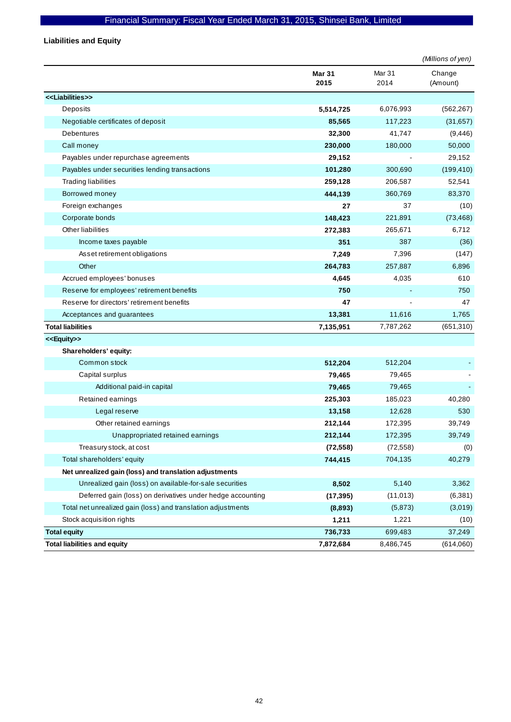**Liabilities and Equity** 

|                                                              |                       |                | (Millions of yen)  |
|--------------------------------------------------------------|-----------------------|----------------|--------------------|
|                                                              | <b>Mar 31</b><br>2015 | Mar 31<br>2014 | Change<br>(Amount) |
| < <liabilities>&gt;</liabilities>                            |                       |                |                    |
| Deposits                                                     | 5,514,725             | 6,076,993      | (562, 267)         |
| Negotiable certificates of deposit                           | 85,565                | 117,223        | (31, 657)          |
| Debentures                                                   | 32,300                | 41,747         | (9, 446)           |
| Call money                                                   | 230,000               | 180,000        | 50,000             |
| Payables under repurchase agreements                         | 29,152                |                | 29,152             |
| Payables under securities lending transactions               | 101,280               | 300,690        | (199, 410)         |
| <b>Trading liabilities</b>                                   | 259,128               | 206,587        | 52,541             |
| Borrowed money                                               | 444,139               | 360,769        | 83,370             |
| Foreign exchanges                                            | 27                    | 37             | (10)               |
| Corporate bonds                                              | 148,423               | 221,891        | (73, 468)          |
| Other liabilities                                            | 272,383               | 265,671        | 6,712              |
| Income taxes payable                                         | 351                   | 387            | (36)               |
| Asset retirement obligations                                 | 7,249                 | 7,396          | (147)              |
| Other                                                        | 264,783               | 257,887        | 6,896              |
| Accrued employees' bonuses                                   | 4,645                 | 4,035          | 610                |
| Reserve for employees' retirement benefits                   | 750                   |                | 750                |
| Reserve for directors' retirement benefits                   | 47                    |                | 47                 |
| Acceptances and guarantees                                   | 13,381                | 11,616         | 1,765              |
| <b>Total liabilities</b>                                     | 7,135,951             | 7,787,262      | (651, 310)         |
| < <equity>&gt;</equity>                                      |                       |                |                    |
| Shareholders' equity:                                        |                       |                |                    |
| Common stock                                                 | 512,204               | 512,204        |                    |
| Capital surplus                                              | 79,465                | 79,465         |                    |
| Additional paid-in capital                                   | 79,465                | 79,465         |                    |
| Retained earnings                                            | 225,303               | 185,023        | 40,280             |
| Legal reserve                                                | 13,158                | 12,628         | 530                |
| Other retained earnings                                      | 212,144               | 172,395        | 39,749             |
| Unappropriated retained earnings                             | 212,144               | 172,395        | 39,749             |
| Treasury stock, at cost                                      | (72, 558)             | (72, 558)      | (0)                |
| Total shareholders' equity                                   | 744,415               | 704,135        | 40,279             |
| Net unrealized gain (loss) and translation adjustments       |                       |                |                    |
| Unrealized gain (loss) on available-for-sale securities      | 8,502                 | 5,140          | 3,362              |
| Deferred gain (loss) on derivatives under hedge accounting   | (17, 395)             | (11, 013)      | (6, 381)           |
| Total net unrealized gain (loss) and translation adjustments | (8,893)               | (5,873)        | (3,019)            |
| Stock acquisition rights                                     | 1,211                 | 1,221          | (10)               |
| <b>Total equity</b>                                          | 736,733               | 699,483        | 37,249             |
| <b>Total liabilities and equity</b>                          | 7,872,684             | 8,486,745      | (614,060)          |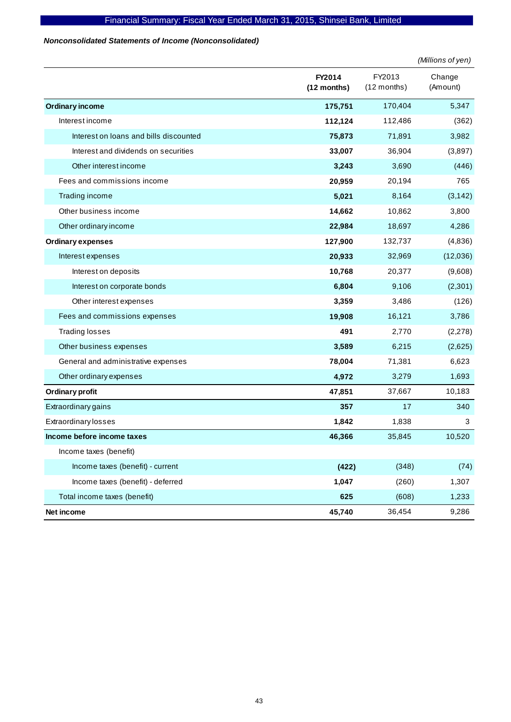#### *Nonconsolidated Statements of Income (Nonconsolidated)*

|                                        |                         |                       | (Millions of yen)  |
|----------------------------------------|-------------------------|-----------------------|--------------------|
|                                        | FY2014<br>$(12$ months) | FY2013<br>(12 months) | Change<br>(Amount) |
| <b>Ordinary income</b>                 | 175,751                 | 170,404               | 5,347              |
| Interest income                        | 112,124                 | 112,486               | (362)              |
| Interest on loans and bills discounted | 75,873                  | 71,891                | 3,982              |
| Interest and dividends on securities   | 33,007                  | 36,904                | (3,897)            |
| Other interest income                  | 3,243                   | 3,690                 | (446)              |
| Fees and commissions income            | 20,959                  | 20,194                | 765                |
| Trading income                         | 5,021                   | 8,164                 | (3, 142)           |
| Other business income                  | 14,662                  | 10,862                | 3,800              |
| Other ordinary income                  | 22,984                  | 18,697                | 4,286              |
| <b>Ordinary expenses</b>               | 127,900                 | 132,737               | (4,836)            |
| Interest expenses                      | 20,933                  | 32,969                | (12,036)           |
| Interest on deposits                   | 10,768                  | 20,377                | (9,608)            |
| Interest on corporate bonds            | 6,804                   | 9,106                 | (2,301)            |
| Other interest expenses                | 3,359                   | 3,486                 | (126)              |
| Fees and commissions expenses          | 19,908                  | 16,121                | 3,786              |
| <b>Trading losses</b>                  | 491                     | 2,770                 | (2, 278)           |
| Other business expenses                | 3,589                   | 6,215                 | (2,625)            |
| General and administrative expenses    | 78,004                  | 71,381                | 6,623              |
| Other ordinary expenses                | 4,972                   | 3,279                 | 1,693              |
| Ordinary profit                        | 47,851                  | 37,667                | 10,183             |
| Extraordinary gains                    | 357                     | 17                    | 340                |
| <b>Extraordinary losses</b>            | 1,842                   | 1,838                 | 3                  |
| Income before income taxes             | 46,366                  | 35,845                | 10,520             |
| Income taxes (benefit)                 |                         |                       |                    |
| Income taxes (benefit) - current       | (422)                   | (348)                 | (74)               |
| Income taxes (benefit) - deferred      | 1,047                   | (260)                 | 1,307              |
| Total income taxes (benefit)           | 625                     | (608)                 | 1,233              |
| Net income                             | 45,740                  | 36,454                | 9,286              |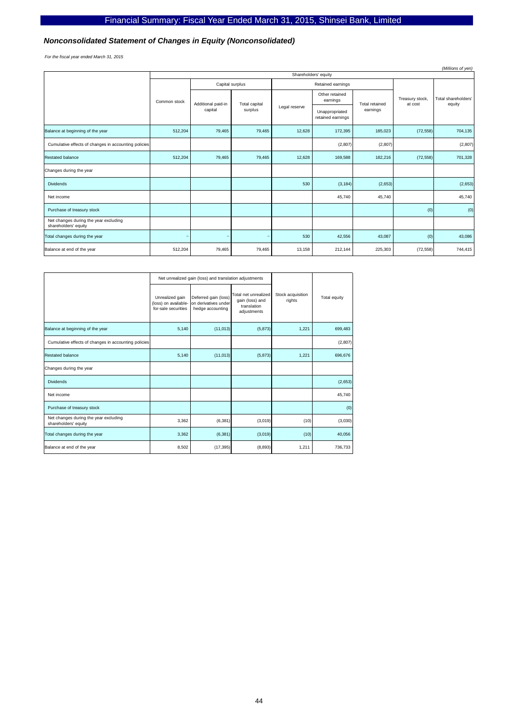#### *Nonconsolidated Statement of Changes in Equity (Nonconsolidated)*

*For the fiscal year ended March 31, 2015*

| (Millions of yen)                                             |              |                      |        |                                           |                   |         |                            |                                     |                            |                               |
|---------------------------------------------------------------|--------------|----------------------|--------|-------------------------------------------|-------------------|---------|----------------------------|-------------------------------------|----------------------------|-------------------------------|
|                                                               |              | Shareholders' equity |        |                                           |                   |         |                            |                                     |                            |                               |
|                                                               |              | Capital surplus      |        |                                           | Retained earnings |         |                            |                                     |                            |                               |
|                                                               | Common stock | Additional paid-in   |        | Total capital<br>Legal reserve<br>surplus |                   |         | Other retained<br>earnings | Total retained                      | Treasury stock,<br>at cost | Total shareholders'<br>equity |
|                                                               |              | capital              |        |                                           |                   |         |                            | Unappropriated<br>retained earnings | earnings                   |                               |
| Balance at beginning of the year                              | 512,204      | 79,465               | 79,465 | 12,628                                    | 172,395           | 185,023 | (72, 558)                  | 704,135                             |                            |                               |
| Cumulative effects of changes in accounting policies          |              |                      |        |                                           | (2, 807)          | (2,807) |                            | (2, 807)                            |                            |                               |
| <b>Restated balance</b>                                       | 512,204      | 79,465               | 79,465 | 12,628                                    | 169,588           | 182,216 | (72, 558)                  | 701,328                             |                            |                               |
| Changes during the year                                       |              |                      |        |                                           |                   |         |                            |                                     |                            |                               |
| <b>Dividends</b>                                              |              |                      |        | 530                                       | (3, 184)          | (2,653) |                            | (2,653)                             |                            |                               |
| Net income                                                    |              |                      |        |                                           | 45,740            | 45,740  |                            | 45,740                              |                            |                               |
| Purchase of treasury stock                                    |              |                      |        |                                           |                   |         | (0)                        | (0)                                 |                            |                               |
| Net changes during the year excluding<br>shareholders' equity |              |                      |        |                                           |                   |         |                            |                                     |                            |                               |
| Total changes during the year                                 |              |                      |        | 530                                       | 42,556            | 43,087  | (0)                        | 43,086                              |                            |                               |
| Balance at end of the year                                    | 512,204      | 79,465               | 79,465 | 13,158                                    | 212,144           | 225,303 | (72, 558)                  | 744,415                             |                            |                               |

|                                                               | Net unrealized gain (loss) and translation adjustments         |                                                                  |                                                                       |                             |              |
|---------------------------------------------------------------|----------------------------------------------------------------|------------------------------------------------------------------|-----------------------------------------------------------------------|-----------------------------|--------------|
|                                                               | Unrealized gain<br>(loss) on available-<br>for-sale securities | Deferred gain (loss)<br>on derivatives under<br>hedge accounting | Total net unrealized<br>gain (loss) and<br>translation<br>adjustments | Stock acquisition<br>rights | Total equity |
| Balance at beginning of the year                              | 5,140                                                          | (11, 013)                                                        | (5, 873)                                                              | 1,221                       | 699,483      |
| Cumulative effects of changes in accounting policies          |                                                                |                                                                  |                                                                       |                             | (2, 807)     |
| <b>Restated balance</b>                                       | 5,140                                                          | (11, 013)                                                        | (5, 873)                                                              | 1,221                       | 696,676      |
| Changes during the year                                       |                                                                |                                                                  |                                                                       |                             |              |
| <b>Dividends</b>                                              |                                                                |                                                                  |                                                                       |                             | (2,653)      |
| Net income                                                    |                                                                |                                                                  |                                                                       |                             | 45,740       |
| Purchase of treasury stock                                    |                                                                |                                                                  |                                                                       |                             | (0)          |
| Net changes during the year excluding<br>shareholders' equity | 3,362                                                          | (6, 381)                                                         | (3,019)                                                               | (10)                        | (3,030)      |
| Total changes during the year                                 | 3,362                                                          | (6, 381)                                                         | (3,019)                                                               | (10)                        | 40,056       |
| Balance at end of the year                                    | 8,502                                                          | (17, 395)                                                        | (8, 893)                                                              | 1,211                       | 736,733      |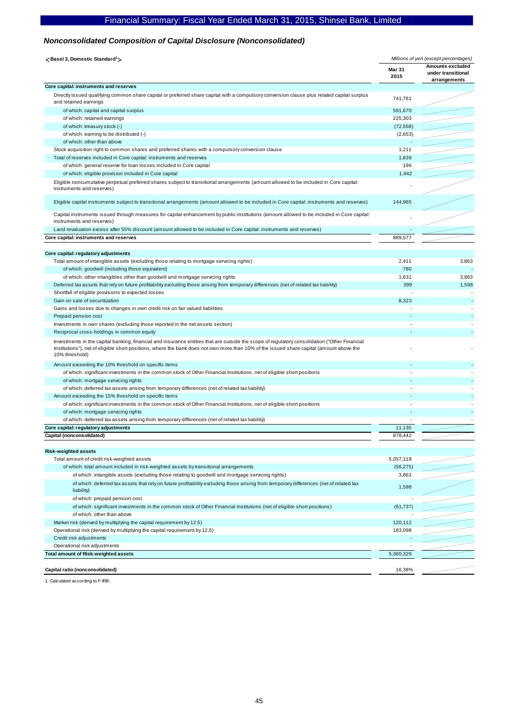#### *Nonconsolidated Composition of Capital Disclosure (Nonconsolidated)*

| <basel 3,="" domestic="" standard<sup="">1&gt;</basel>                                                                                                                                                                                                                                                      | Millions of yen (except percentages) |                                                               |
|-------------------------------------------------------------------------------------------------------------------------------------------------------------------------------------------------------------------------------------------------------------------------------------------------------------|--------------------------------------|---------------------------------------------------------------|
|                                                                                                                                                                                                                                                                                                             | <b>Mar 31</b><br>2015                | <b>Amounts excluded</b><br>under transitional<br>arrangements |
| Core capital: instruments and reserves                                                                                                                                                                                                                                                                      |                                      |                                                               |
| Directly issued qualifying common share capital or preferred share capital with a compulsory conversion clause plus related capital surplus<br>and retained earnings                                                                                                                                        | 741,761                              |                                                               |
| of which: capital and capital surplus                                                                                                                                                                                                                                                                       | 591,670                              |                                                               |
| of which: retained earnings                                                                                                                                                                                                                                                                                 | 225,303                              |                                                               |
| of which: treasury stock (-)                                                                                                                                                                                                                                                                                | (72, 558)                            |                                                               |
| of which: earning to be distributed (-)                                                                                                                                                                                                                                                                     | (2,653)                              |                                                               |
| of which: other than above                                                                                                                                                                                                                                                                                  |                                      |                                                               |
| Stock acquisition right to common shares and preferred shares with a compulsory conversion clause                                                                                                                                                                                                           | 1,211                                |                                                               |
| Total of reserves included in Core capital: instruments and reserves                                                                                                                                                                                                                                        | 1,639                                |                                                               |
| of which: general reserve for loan losses included in Core capital                                                                                                                                                                                                                                          | 196                                  |                                                               |
| of which: eligible provision included in Core capital                                                                                                                                                                                                                                                       | 1,442                                |                                                               |
| Eligible noncumulative perpetual preferred shares subject to transitional arrangements (amount allowed to be included in Core capital:<br>instruments and reserves)                                                                                                                                         |                                      |                                                               |
| Eligible capital instruments subject to transitional arrangements (amount allowed to be included in Core capital: instruments and reserves)                                                                                                                                                                 | 144,965                              |                                                               |
| Capital instruments issued through measures for capital enhancement by public institutions (amount allowed to be included in Core capital:<br>instruments and reserves)                                                                                                                                     |                                      |                                                               |
| Land revaluation excess after 55% discount (amount allowed to be included in Core capital: instruments and reserves)                                                                                                                                                                                        |                                      |                                                               |
| Core capital: instruments and reserves                                                                                                                                                                                                                                                                      | 889,577                              |                                                               |
|                                                                                                                                                                                                                                                                                                             |                                      |                                                               |
| Core capital: regulatory adjustments                                                                                                                                                                                                                                                                        |                                      |                                                               |
| Total amount of intangible assets (excluding those relating to mortgage servicing rights)                                                                                                                                                                                                                   | 2,411                                | 3,863                                                         |
| of which: goodwill (including those equivalent)                                                                                                                                                                                                                                                             | 780                                  |                                                               |
| of which: other intangibles other than goodwill and mortgage servicing rights                                                                                                                                                                                                                               | 1,631                                | 3,863                                                         |
| Deferred tax assets that rely on future profitability excluding those arising from temporary differences (net of related tax liability)                                                                                                                                                                     | 399                                  | 1,598                                                         |
| Shortfall of eligible provisions to expected losses                                                                                                                                                                                                                                                         |                                      |                                                               |
| Gain on sale of securitization                                                                                                                                                                                                                                                                              | 8,323                                |                                                               |
| Gains and losses due to changes in own credit risk on fair valued liabilities                                                                                                                                                                                                                               |                                      |                                                               |
| Prepaid pension cost                                                                                                                                                                                                                                                                                        |                                      |                                                               |
| Investments in own shares (excluding those reported in the net assets section)<br>Reciprocal cross-holdings in common equity                                                                                                                                                                                |                                      |                                                               |
|                                                                                                                                                                                                                                                                                                             |                                      |                                                               |
| Investments in the capital banking, financial and insurance entities that are outside the scope of regulatory consolidation ("Other Financial<br>Institutions"), net of eligible short positions, where the bank does not own more than 10% of the issued share capital (amount above the<br>10% threshold) |                                      |                                                               |
| Amount exceeding the 10% threshold on specific items                                                                                                                                                                                                                                                        |                                      |                                                               |
| of which: significant investments in the common stock of Other Financial Institutions, net of eligible short positions                                                                                                                                                                                      |                                      |                                                               |
| of which: mortgage servicing rights                                                                                                                                                                                                                                                                         |                                      |                                                               |
| of which: deferred tax assets arising from temporary differences (net of related tax liability)                                                                                                                                                                                                             |                                      |                                                               |
| Amount exceeding the 15% threshold on specific items                                                                                                                                                                                                                                                        |                                      |                                                               |
| of which: significant investments in the common stock of Other Financial Institutions, net of eligible short positions                                                                                                                                                                                      |                                      |                                                               |
| of which: mortgage servicing rights                                                                                                                                                                                                                                                                         |                                      |                                                               |
| of which: deferred tax assets arising from temporary differences (net of related tax liability)                                                                                                                                                                                                             |                                      |                                                               |
| Core capital: regulatory adjustments                                                                                                                                                                                                                                                                        | 11,135                               |                                                               |
| Capital (nonconsolidated)                                                                                                                                                                                                                                                                                   | 878,442                              |                                                               |
| <b>Risk-weighted assets</b>                                                                                                                                                                                                                                                                                 |                                      |                                                               |
| Total amount of credit risk-weighted assets                                                                                                                                                                                                                                                                 | 5,057,118                            |                                                               |
| of which: total amount included in risk-weighted assets by transitional arrangements                                                                                                                                                                                                                        | (56, 275)                            |                                                               |
| of which: intangible assets (excluding those relating to goodwill and mortgage servicing rights)                                                                                                                                                                                                            | 3,863                                |                                                               |
| of which: deferred tax assets that rely on future profitability excluding those arising from temporary differences (net of related tax<br>liability)                                                                                                                                                        | 1,598                                |                                                               |
| of which: prepaid pension cost                                                                                                                                                                                                                                                                              |                                      |                                                               |
| of which: significant investments in the common stock of Other Financial Institutions (net of eligible short positions)<br>of which: other than above                                                                                                                                                       | (61, 737)                            |                                                               |
| Market risk (derived by multiplying the capital requirement by 12.5)                                                                                                                                                                                                                                        | 120,112                              |                                                               |
| Operational risk (derived by multiplying the capital requirement by 12.5)                                                                                                                                                                                                                                   | 183,098                              |                                                               |
| Credit risk adjustments                                                                                                                                                                                                                                                                                     |                                      |                                                               |
| Operational risk adjustments                                                                                                                                                                                                                                                                                |                                      |                                                               |
| <b>Total amount of Risk-weighted assets</b>                                                                                                                                                                                                                                                                 | 5,360,329                            |                                                               |
| Capital ratio (nonconsolidated)                                                                                                                                                                                                                                                                             | 16.38%                               |                                                               |
|                                                                                                                                                                                                                                                                                                             |                                      |                                                               |

1. Calculated according to F-IRB.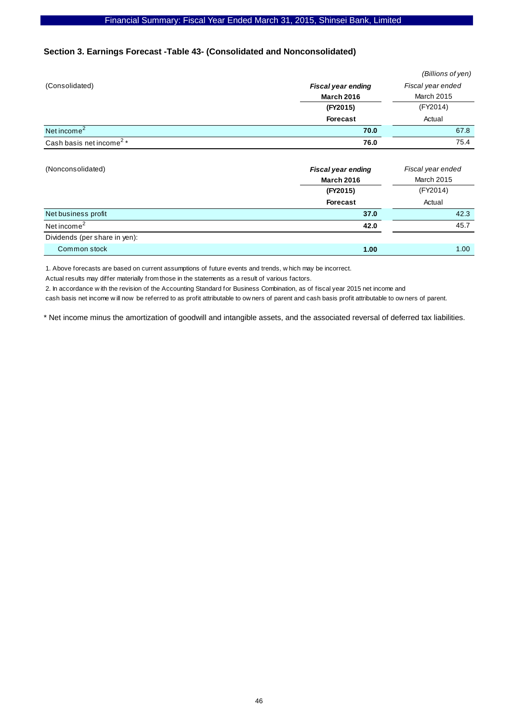## **Section 3. Earnings Forecast -Table 43- (Consolidated and Nonconsolidated)**

|                                      |                           | (Billions of yen) |
|--------------------------------------|---------------------------|-------------------|
| (Consolidated)                       | <b>Fiscal year ending</b> | Fiscal year ended |
|                                      | <b>March 2016</b>         | <b>March 2015</b> |
|                                      | (FY2015)                  | (FY2014)          |
|                                      | <b>Forecast</b>           | Actual            |
| Net income $2$                       | 70.0                      | 67.8              |
| Cash basis net income <sup>2</sup> * | 76.0                      | 75.4              |

| (Nonconsolidated)             | <b>Fiscal year ending</b><br><b>March 2016</b> | Fiscal year ended<br><b>March 2015</b> |
|-------------------------------|------------------------------------------------|----------------------------------------|
|                               | (FY2015)                                       | (FY2014)                               |
|                               | <b>Forecast</b>                                | Actual                                 |
| Net business profit           | 37.0                                           | 42.3                                   |
| Net income <sup>2</sup>       | 42.0                                           | 45.7                                   |
| Dividends (per share in yen): |                                                |                                        |
| Common stock                  | 1.00                                           | 1.00                                   |

1. Above forecasts are based on current assumptions of future events and trends, w hich may be incorrect.

Actual results may differ materially from those in the statements as a result of various factors.

2. In accordance w ith the revision of the Accounting Standard for Business Combination, as of fiscal year 2015 net income and

cash basis net income w ill now be referred to as profit attributable to ow ners of parent and cash basis profit attributable to ow ners of parent.

\* Net income minus the amortization of goodwill and intangible assets, and the associated reversal of deferred tax liabilities.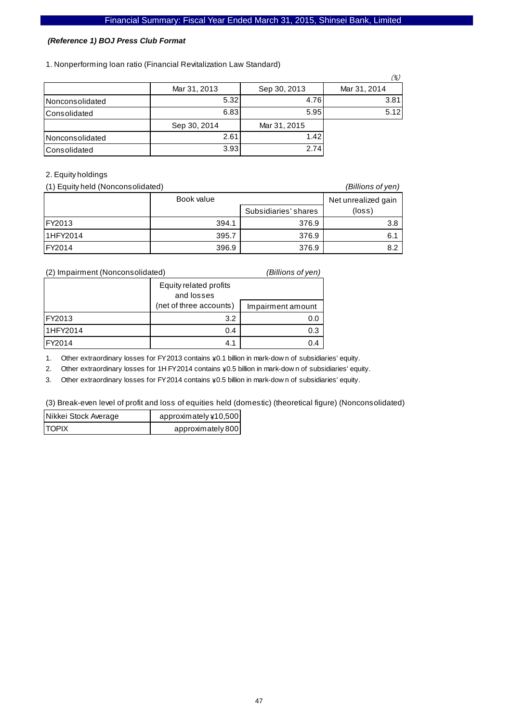#### *(Reference 1) BOJ Press Club Format*

1. Nonperforming loan ratio (Financial Revitalization Law Standard)

|                        |              |              | (%)          |
|------------------------|--------------|--------------|--------------|
|                        | Mar 31, 2013 | Sep 30, 2013 | Mar 31, 2014 |
| <b>Nonconsolidated</b> | 5.32         | 4.76         | 3.81         |
| <b>Consolidated</b>    | 6.83         | 5.95         | 5.12         |
|                        | Sep 30, 2014 | Mar 31, 2015 |              |
| <b>Nonconsolidated</b> | 2.61         | 1.42         |              |
| <b>Consolidated</b>    | 3.93         | 2.74         |              |

## 2. Equity holdings

| (1) Equity held (Nonconsolidated) |            |                      | (Billions of yen)   |
|-----------------------------------|------------|----------------------|---------------------|
|                                   | Book value |                      | Net unrealized gain |
|                                   |            | Subsidiaries' shares | $(\text{loss})$     |
| IFY2013                           | 394.1      | 376.9                | 3.8                 |
| 11HFY2014                         | 395.7      | 376.9                | 6.1                 |
| IFY2014                           | 396.9      | 376.9                | 8.2                 |

| (2) Impairment (Nonconsolidated) |                                      | (Billions of yen) |
|----------------------------------|--------------------------------------|-------------------|
|                                  | Equity related profits<br>and losses |                   |
|                                  | (net of three accounts)              | Impairment amount |
| FY2013                           | 3.2                                  | 0.0               |
| 11HFY2014                        | 0.4                                  | 0.3               |
| FY2014                           | 4.1                                  | 0.4               |

1. Other extraordinary losses for FY2013 contains ¥0.1 billion in mark-dow n of subsidiaries' equity.

2. Other extraordinary losses for 1H FY2014 contains  $\angle 0.5$  billion in mark-dow n of subsidiaries' equity.

3. Other extraordinary losses for FY2014 contains  $\angle 0.5$  billion in mark-dow n of subsidiaries' equity.

(3) Break-even level of profit and loss of equities held (domestic) (theoretical figure) (Nonconsolidated)

| Nikkei Stock Average | approximately ¥10,500 |
|----------------------|-----------------------|
| <b>ITOPIX</b>        | approximately 800     |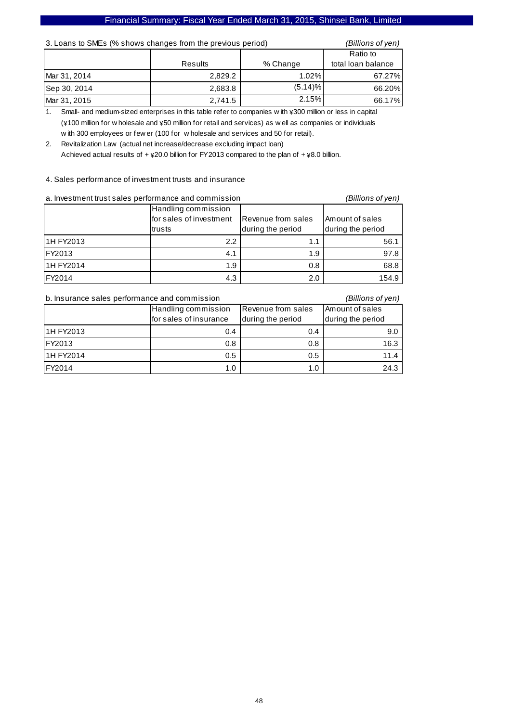| 3. Loans to SMEs (% shows changes from the previous period) |         |            | (Billions of yen)  |
|-------------------------------------------------------------|---------|------------|--------------------|
|                                                             |         |            | Ratio to           |
|                                                             | Results | % Change   | total loan balance |
| Mar 31, 2014                                                | 2,829.2 | 1.02%      | 67.27%             |
| Sep 30, 2014                                                | 2,683.8 | $(5.14)\%$ | 66.20%             |
| Mar 31, 2015                                                | 2,741.5 | 2.15%      | 66.17%             |

1. Small- and medium-sized enterprises in this table refer to companies w ith  $\frac{1}{2}300$  million or less in capital  $(\frac{1}{4}100$  million for w holesale and  $\frac{1}{4}50$  million for retail and services) as w ell as companies or individuals w ith 300 employees or few er (100 for w holesale and services and 50 for retail).

2. Revitalization Law (actual net increase/decrease excluding impact loan) Achieved actual results of +  $\frac{1}{20.0}$  billion for FY2013 compared to the plan of +  $\frac{1}{20.0}$  billion.

#### 4. Sales performance of investment trusts and insurance

| a. Investment trust sales performance and commission |                         | (Billions of yen)  |                   |
|------------------------------------------------------|-------------------------|--------------------|-------------------|
|                                                      | Handling commission     |                    |                   |
|                                                      | for sales of investment | Revenue from sales | Amount of sales   |
|                                                      | trusts                  | during the period  | during the period |
| 1H FY2013                                            | $2.2^{\circ}$           | 1.1                | 56.1              |
| FY2013                                               | 4.1                     | 1.9                | 97.8              |
| 1H FY2014                                            | 1.9                     | 0.8                | 68.8              |
| <b>IFY2014</b>                                       | 4.3                     | 2.0                | 154.9             |

| b. Insurance sales performance and commission<br>(Billions of yen) |                        |                           |                   |
|--------------------------------------------------------------------|------------------------|---------------------------|-------------------|
|                                                                    | Handling commission    | <b>Revenue from sales</b> | Amount of sales   |
|                                                                    | for sales of insurance | during the period         | during the period |
| 11H FY2013                                                         | 0.4                    | 0.4                       | 9.0               |
| <b>IFY2013</b>                                                     | 0.8                    | 0.8                       | 16.3              |
| 1H FY2014                                                          | 0.5                    | 0.5                       | 11.4              |
| <b>IFY2014</b>                                                     | 1.0                    | 1.0                       | 24.3              |